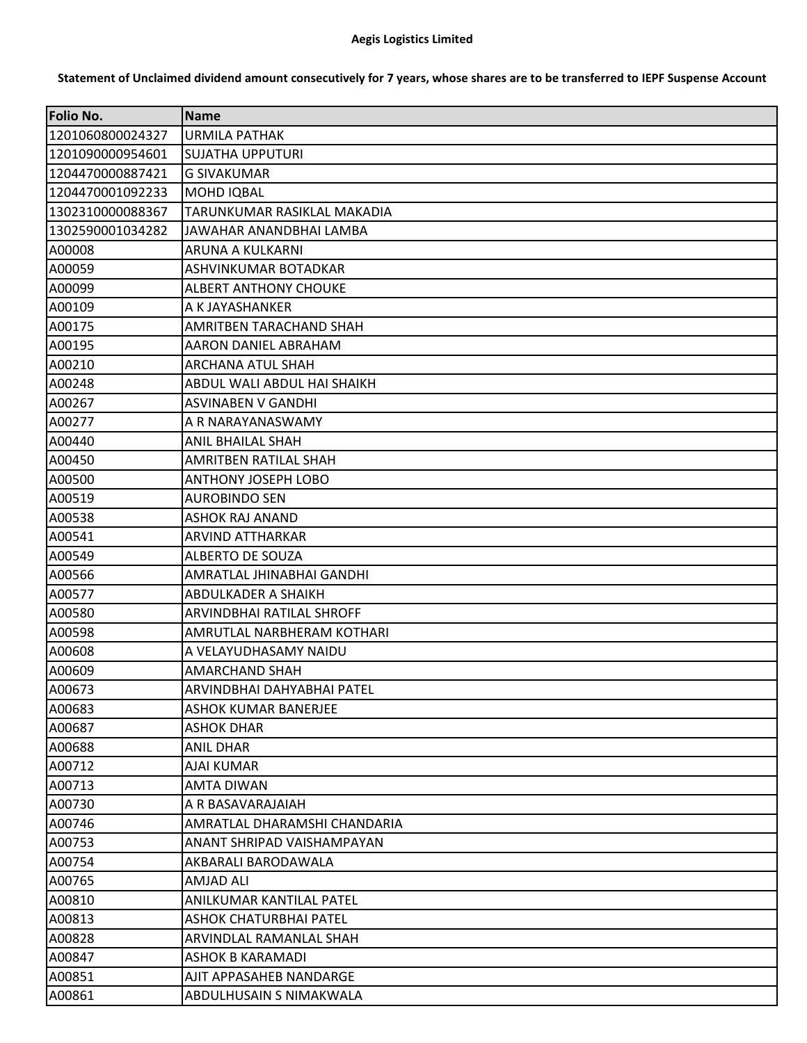## **Aegis Logistics Limited**

**Folio No. Name** 1201060800024327 URMILA PATHAK 1201090000954601 SUJATHA UPPUTURI 1204470000887421 G SIVAKUMAR 1204470001092233 MOHD IQBAL 1302310000088367 TARUNKUMAR RASIKLAL MAKADIA 1302590001034282 JAWAHAR ANANDBHAI LAMBA A00008 ARUNA A KULKARNI A00059 ASHVINKUMAR BOTADKAR A00099 ALBERT ANTHONY CHOUKE A00109 A K JAYASHANKER A00175 AMRITBEN TARACHAND SHAH A00195 AARON DANIEL ABRAHAM A00210 ARCHANA ATUL SHAH A00248 ABDUL WALI ABDUL HAI SHAIKH A00267 ASVINABEN V GANDHI A00277 A R NARAYANASWAMY A00440 ANIL BHAILAL SHAH A00450 AMRITBEN RATILAL SHAH A00500 ANTHONY JOSEPH LOBO A00519 AUROBINDO SEN A00538 **AND** ASHOK RAJ ANAND A00541 ARVIND ATTHARKAR A00549 ALBERTO DE SOUZA A00566 AMRATLAL JHINABHAI GANDHI A00577 ABDULKADER A SHAIKH A00580 ARVINDBHAI RATILAL SHROFF A00598 AMRUTLAL NARBHERAM KOTHARI A00608 A VELAYUDHASAMY NAIDU A00609 AMARCHAND SHAH A00673 ARVINDBHAI DAHYABHAI PATEL A00683 ASHOK KUMAR BANERJEE A00687 ASHOK DHAR A00688 ANIL DHAR A00712 AJAI KUMAR A00713 AMTA DIWAN A00730 A R BASAVARAJAIAH A00746 AMRATLAL DHARAMSHI CHANDARIA A00753 ANANT SHRIPAD VAISHAMPAYAN A00754 AKBARALI BARODAWALA A00765 AMJAD ALI A00810 ANILKUMAR KANTILAL PATEL A00813 ASHOK CHATURBHAI PATEL A00828 ARVINDLAL RAMANLAL SHAH A00847 ASHOK B KARAMADI A00851 AJIT APPASAHEB NANDARGE A00861 ABDULHUSAIN S NIMAKWALA

## **Statement of Unclaimed dividend amount consecutively for 7 years, whose shares are to be transferred to IEPF Suspense Account**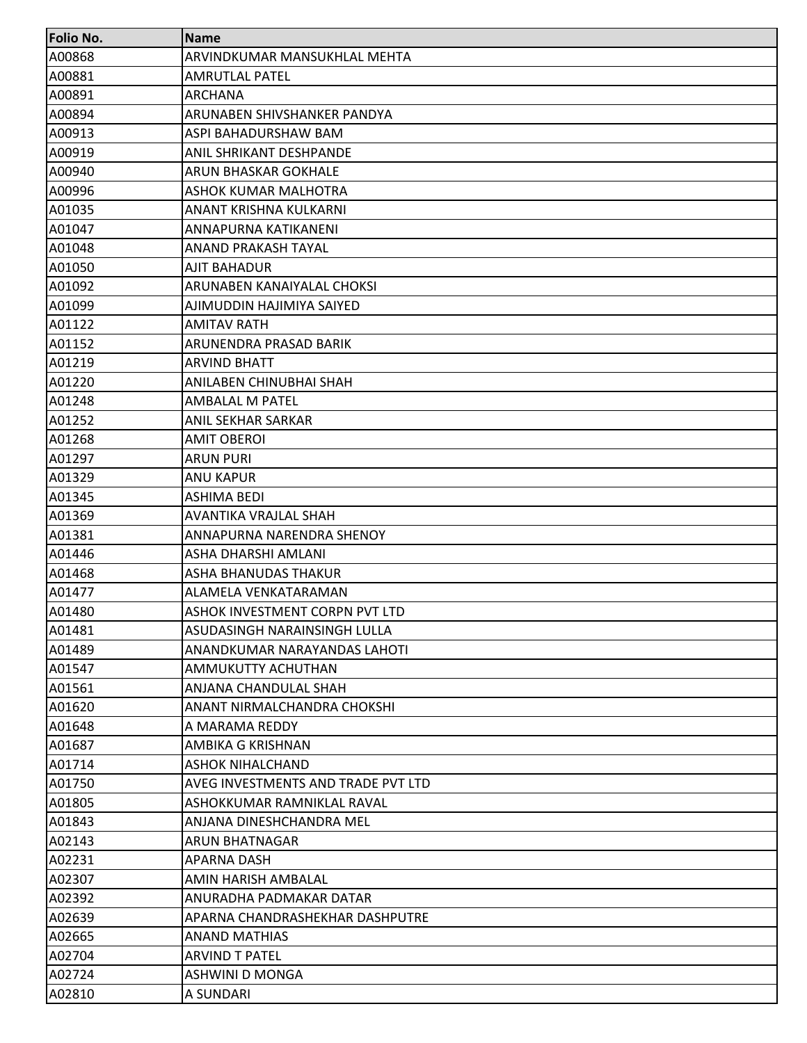| <b>Folio No.</b> | <b>Name</b>                        |
|------------------|------------------------------------|
| A00868           | ARVINDKUMAR MANSUKHLAL MEHTA       |
| A00881           | <b>AMRUTLAL PATEL</b>              |
| A00891           | <b>ARCHANA</b>                     |
| A00894           | ARUNABEN SHIVSHANKER PANDYA        |
| A00913           | ASPI BAHADURSHAW BAM               |
| A00919           | ANIL SHRIKANT DESHPANDE            |
| A00940           | ARUN BHASKAR GOKHALE               |
| A00996           | ASHOK KUMAR MALHOTRA               |
| A01035           | ANANT KRISHNA KULKARNI             |
| A01047           | ANNAPURNA KATIKANENI               |
| A01048           | ANAND PRAKASH TAYAL                |
| A01050           | AJIT BAHADUR                       |
| A01092           | ARUNABEN KANAIYALAL CHOKSI         |
| A01099           | AJIMUDDIN HAJIMIYA SAIYED          |
| A01122           | <b>AMITAV RATH</b>                 |
| A01152           | ARUNENDRA PRASAD BARIK             |
| A01219           | <b>ARVIND BHATT</b>                |
| A01220           | ANILABEN CHINUBHAI SHAH            |
| A01248           | AMBALAL M PATEL                    |
| A01252           | ANIL SEKHAR SARKAR                 |
| A01268           | <b>AMIT OBEROI</b>                 |
| A01297           | <b>ARUN PURI</b>                   |
| A01329           | ANU KAPUR                          |
| A01345           | ASHIMA BEDI                        |
| A01369           | AVANTIKA VRAJLAL SHAH              |
| A01381           | ANNAPURNA NARENDRA SHENOY          |
| A01446           | ASHA DHARSHI AMLANI                |
| A01468           | ASHA BHANUDAS THAKUR               |
| A01477           | ALAMELA VENKATARAMAN               |
| A01480           | ASHOK INVESTMENT CORPN PVT LTD     |
| A01481           | ASUDASINGH NARAINSINGH LULLA       |
| A01489           | ANANDKUMAR NARAYANDAS LAHOTI       |
| A01547           | AMMUKUTTY ACHUTHAN                 |
| A01561           | ANJANA CHANDULAL SHAH              |
| A01620           | ANANT NIRMALCHANDRA CHOKSHI        |
| A01648           | A MARAMA REDDY                     |
| A01687           | AMBIKA G KRISHNAN                  |
| A01714           | <b>ASHOK NIHALCHAND</b>            |
| A01750           | AVEG INVESTMENTS AND TRADE PVT LTD |
| A01805           | ASHOKKUMAR RAMNIKLAL RAVAL         |
| A01843           | ANJANA DINESHCHANDRA MEL           |
| A02143           | ARUN BHATNAGAR                     |
| A02231           | <b>APARNA DASH</b>                 |
| A02307           | AMIN HARISH AMBALAL                |
| A02392           | ANURADHA PADMAKAR DATAR            |
| A02639           | APARNA CHANDRASHEKHAR DASHPUTRE    |
| A02665           | ANAND MATHIAS                      |
| A02704           | <b>ARVIND T PATEL</b>              |
| A02724           | ASHWINI D MONGA                    |
| A02810           | A SUNDARI                          |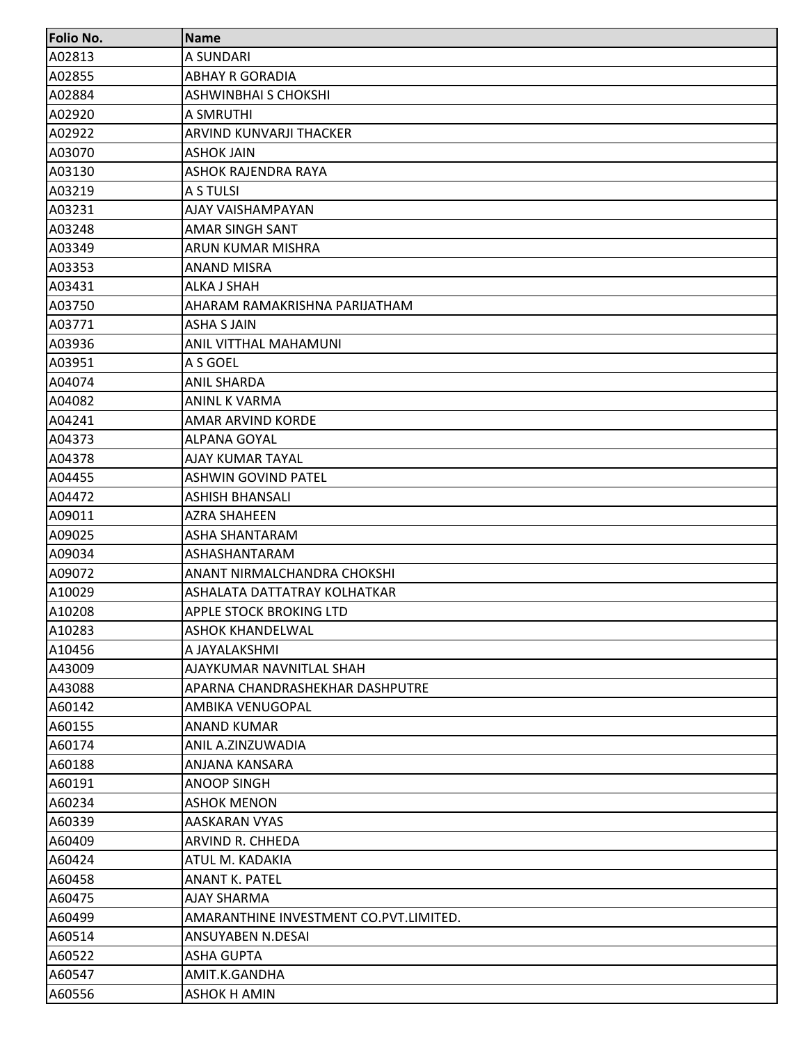| <b>Folio No.</b> | <b>Name</b>                            |
|------------------|----------------------------------------|
| A02813           | A SUNDARI                              |
| A02855           | <b>ABHAY R GORADIA</b>                 |
| A02884           | <b>ASHWINBHAI S CHOKSHI</b>            |
| A02920           | A SMRUTHI                              |
| A02922           | ARVIND KUNVARJI THACKER                |
| A03070           | <b>ASHOK JAIN</b>                      |
| A03130           | ASHOK RAJENDRA RAYA                    |
| A03219           | A S TULSI                              |
| A03231           | AJAY VAISHAMPAYAN                      |
| A03248           | AMAR SINGH SANT                        |
| A03349           | ARUN KUMAR MISHRA                      |
| A03353           | <b>ANAND MISRA</b>                     |
| A03431           | ALKA J SHAH                            |
| A03750           | AHARAM RAMAKRISHNA PARIJATHAM          |
| A03771           | <b>ASHA S JAIN</b>                     |
| A03936           | ANIL VITTHAL MAHAMUNI                  |
| A03951           | A S GOEL                               |
| A04074           | <b>ANIL SHARDA</b>                     |
| A04082           | ANINL K VARMA                          |
| A04241           | AMAR ARVIND KORDE                      |
| A04373           | <b>ALPANA GOYAL</b>                    |
| A04378           | AJAY KUMAR TAYAL                       |
| A04455           | <b>ASHWIN GOVIND PATEL</b>             |
| A04472           | <b>ASHISH BHANSALI</b>                 |
| A09011           | <b>AZRA SHAHEEN</b>                    |
| A09025           | ASHA SHANTARAM                         |
| A09034           | ASHASHANTARAM                          |
| A09072           | ANANT NIRMALCHANDRA CHOKSHI            |
| A10029           | ASHALATA DATTATRAY KOLHATKAR           |
| A10208           | APPLE STOCK BROKING LTD                |
| A10283           | <b>ASHOK KHANDELWAL</b>                |
| A10456           | A JAYALAKSHMI                          |
| A43009           | AJAYKUMAR NAVNITLAL SHAH               |
| A43088           | APARNA CHANDRASHEKHAR DASHPUTRE        |
| A60142           | AMBIKA VENUGOPAL                       |
| A60155           | <b>ANAND KUMAR</b>                     |
| A60174           | ANIL A.ZINZUWADIA                      |
| A60188           | ANJANA KANSARA                         |
| A60191           | <b>ANOOP SINGH</b>                     |
| A60234           | <b>ASHOK MENON</b>                     |
| A60339           | AASKARAN VYAS                          |
| A60409           | ARVIND R. CHHEDA                       |
| A60424           | ATUL M. KADAKIA                        |
| A60458           | <b>ANANT K. PATEL</b>                  |
| A60475           | AJAY SHARMA                            |
| A60499           | AMARANTHINE INVESTMENT CO.PVT.LIMITED. |
| A60514           | ANSUYABEN N.DESAI                      |
| A60522           | <b>ASHA GUPTA</b>                      |
| A60547           | AMIT.K.GANDHA                          |
| A60556           | ASHOK H AMIN                           |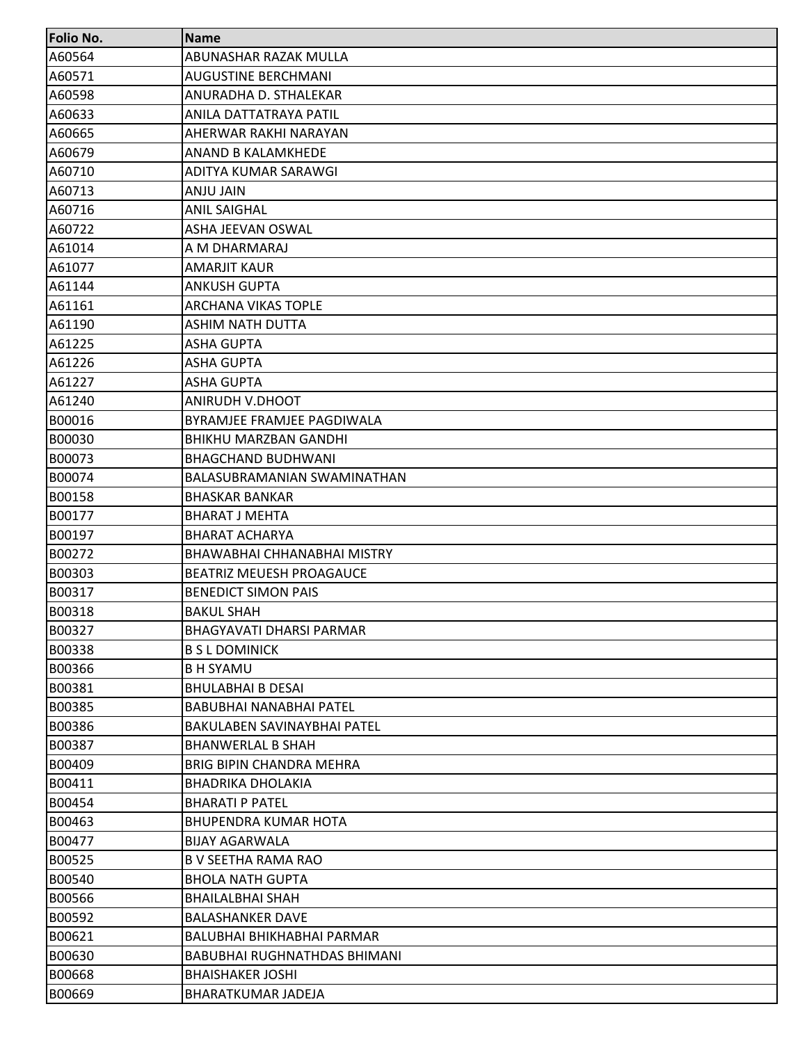| <b>Folio No.</b> | <b>Name</b>                         |
|------------------|-------------------------------------|
| A60564           | ABUNASHAR RAZAK MULLA               |
| A60571           | <b>AUGUSTINE BERCHMANI</b>          |
| A60598           | ANURADHA D. STHALEKAR               |
| A60633           | ANILA DATTATRAYA PATIL              |
| A60665           | AHERWAR RAKHI NARAYAN               |
| A60679           | ANAND B KALAMKHEDE                  |
| A60710           | ADITYA KUMAR SARAWGI                |
| A60713           | ANJU JAIN                           |
| A60716           | <b>ANIL SAIGHAL</b>                 |
| A60722           | ASHA JEEVAN OSWAL                   |
| A61014           | A M DHARMARAJ                       |
| A61077           | <b>AMARJIT KAUR</b>                 |
| A61144           | <b>ANKUSH GUPTA</b>                 |
| A61161           | <b>ARCHANA VIKAS TOPLE</b>          |
| A61190           | <b>ASHIM NATH DUTTA</b>             |
| A61225           | <b>ASHA GUPTA</b>                   |
| A61226           | <b>ASHA GUPTA</b>                   |
| A61227           | <b>ASHA GUPTA</b>                   |
| A61240           | ANIRUDH V.DHOOT                     |
| B00016           | BYRAMJEE FRAMJEE PAGDIWALA          |
| B00030           | <b>BHIKHU MARZBAN GANDHI</b>        |
| B00073           | <b>BHAGCHAND BUDHWANI</b>           |
| B00074           | BALASUBRAMANIAN SWAMINATHAN         |
| B00158           | <b>BHASKAR BANKAR</b>               |
| B00177           | <b>BHARAT J MEHTA</b>               |
| B00197           | <b>BHARAT ACHARYA</b>               |
| B00272           | BHAWABHAI CHHANABHAI MISTRY         |
| B00303           | <b>BEATRIZ MEUESH PROAGAUCE</b>     |
| B00317           | <b>BENEDICT SIMON PAIS</b>          |
| B00318           | <b>BAKUL SHAH</b>                   |
| B00327           | <b>BHAGYAVATI DHARSI PARMAR</b>     |
| B00338           | <b>B S L DOMINICK</b>               |
| B00366           | <b>BH SYAMU</b>                     |
| B00381           | <b>BHULABHAI B DESAI</b>            |
| B00385           | <b>BABUBHAI NANABHAI PATEL</b>      |
| B00386           | <b>BAKULABEN SAVINAYBHAI PATEL</b>  |
| B00387           | <b>BHANWERLAL B SHAH</b>            |
| B00409           | <b>BRIG BIPIN CHANDRA MEHRA</b>     |
| B00411           | <b>BHADRIKA DHOLAKIA</b>            |
| B00454           | <b>BHARATI P PATEL</b>              |
| B00463           | <b>BHUPENDRA KUMAR HOTA</b>         |
| B00477           | <b>BIJAY AGARWALA</b>               |
| B00525           | B V SEETHA RAMA RAO                 |
| B00540           | <b>BHOLA NATH GUPTA</b>             |
| B00566           | <b>BHAILALBHAI SHAH</b>             |
| B00592           | <b>BALASHANKER DAVE</b>             |
| B00621           | BALUBHAI BHIKHABHAI PARMAR          |
| B00630           | <b>BABUBHAI RUGHNATHDAS BHIMANI</b> |
| B00668           | <b>BHAISHAKER JOSHI</b>             |
| B00669           | <b>BHARATKUMAR JADEJA</b>           |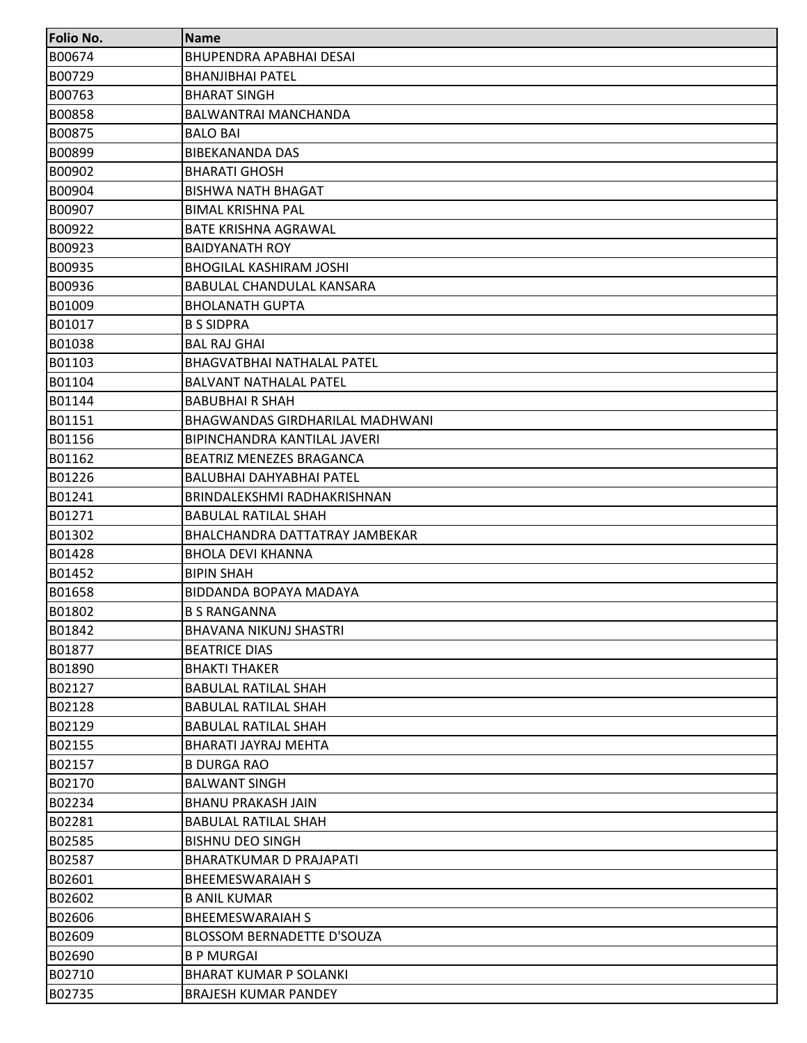| <b>Folio No.</b> | <b>Name</b>                       |
|------------------|-----------------------------------|
| B00674           | <b>BHUPENDRA APABHAI DESAI</b>    |
| B00729           | <b>BHANJIBHAI PATEL</b>           |
| B00763           | <b>BHARAT SINGH</b>               |
| <b>B00858</b>    | BALWANTRAI MANCHANDA              |
| B00875           | <b>BALO BAI</b>                   |
| B00899           | <b>BIBEKANANDA DAS</b>            |
| B00902           | <b>BHARATI GHOSH</b>              |
| B00904           | <b>BISHWA NATH BHAGAT</b>         |
| B00907           | <b>BIMAL KRISHNA PAL</b>          |
| B00922           | <b>BATE KRISHNA AGRAWAL</b>       |
| B00923           | <b>BAIDYANATH ROY</b>             |
| B00935           | <b>BHOGILAL KASHIRAM JOSHI</b>    |
| B00936           | <b>BABULAL CHANDULAL KANSARA</b>  |
| B01009           | <b>BHOLANATH GUPTA</b>            |
| B01017           | <b>B S SIDPRA</b>                 |
| B01038           | <b>BAL RAJ GHAI</b>               |
| B01103           | <b>BHAGVATBHAI NATHALAL PATEL</b> |
| B01104           | <b>BALVANT NATHALAL PATEL</b>     |
| B01144           | <b>BABUBHAI R SHAH</b>            |
| B01151           | BHAGWANDAS GIRDHARILAL MADHWANI   |
| B01156           | BIPINCHANDRA KANTILAL JAVERI      |
| B01162           | <b>BEATRIZ MENEZES BRAGANCA</b>   |
| B01226           | BALUBHAI DAHYABHAI PATEL          |
| B01241           | BRINDALEKSHMI RADHAKRISHNAN       |
| B01271           | <b>BABULAL RATILAL SHAH</b>       |
| B01302           | BHALCHANDRA DATTATRAY JAMBEKAR    |
| B01428           | <b>BHOLA DEVI KHANNA</b>          |
| B01452           | <b>BIPIN SHAH</b>                 |
| B01658           | BIDDANDA BOPAYA MADAYA            |
| B01802           | <b>B S RANGANNA</b>               |
| B01842           | <b>BHAVANA NIKUNJ SHASTRI</b>     |
| B01877           | <b>BEATRICE DIAS</b>              |
| B01890           | <b>BHAKTI THAKER</b>              |
| B02127           | <b>BABULAL RATILAL SHAH</b>       |
| B02128           | <b>BABULAL RATILAL SHAH</b>       |
| B02129           | <b>BABULAL RATILAL SHAH</b>       |
| B02155           | BHARATI JAYRAJ MEHTA              |
| B02157           | <b>B DURGA RAO</b>                |
| B02170           | <b>BALWANT SINGH</b>              |
| B02234           | <b>BHANU PRAKASH JAIN</b>         |
| B02281           | <b>BABULAL RATILAL SHAH</b>       |
| B02585           | <b>BISHNU DEO SINGH</b>           |
| B02587           | <b>BHARATKUMAR D PRAJAPATI</b>    |
| B02601           | <b>BHEEMESWARAIAH S</b>           |
| B02602           | <b>B ANIL KUMAR</b>               |
| B02606           | <b>BHEEMESWARAIAH S</b>           |
| B02609           | BLOSSOM BERNADETTE D'SOUZA        |
| B02690           | <b>B P MURGAI</b>                 |
| B02710           | <b>BHARAT KUMAR P SOLANKI</b>     |
| B02735           | <b>BRAJESH KUMAR PANDEY</b>       |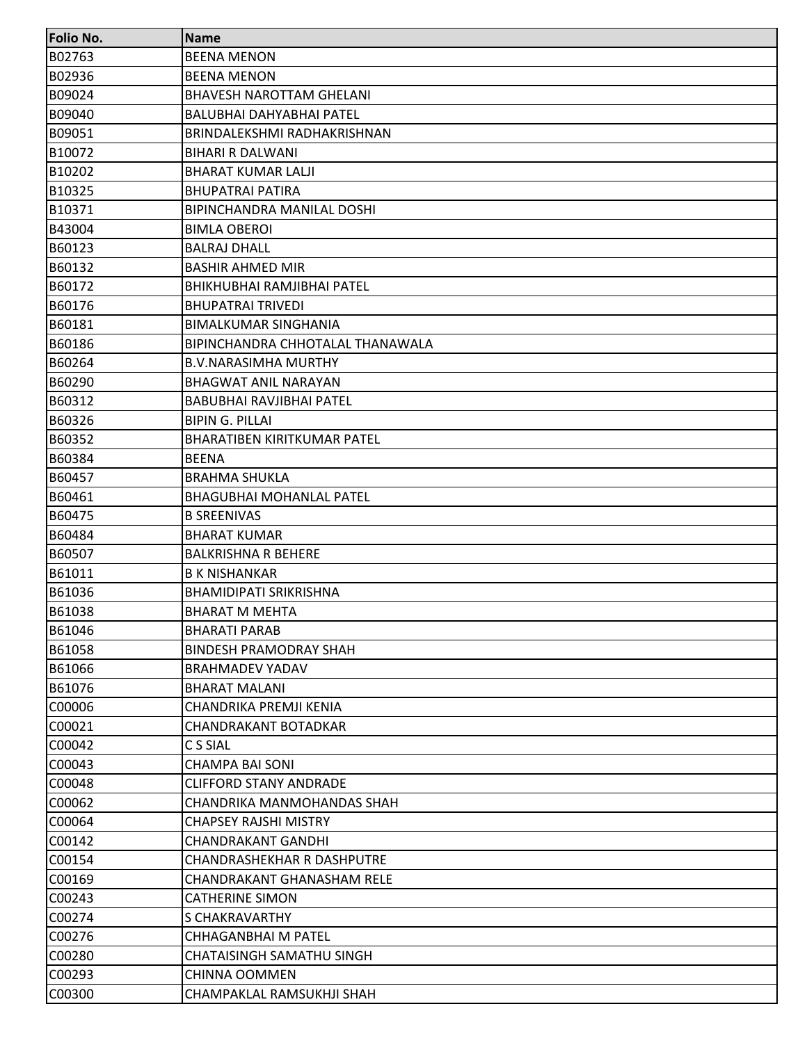| <b>Folio No.</b> | <b>Name</b>                        |
|------------------|------------------------------------|
| <b>B02763</b>    | <b>BEENA MENON</b>                 |
| B02936           | <b>BEENA MENON</b>                 |
| B09024           | <b>BHAVESH NAROTTAM GHELANI</b>    |
| B09040           | BALUBHAI DAHYABHAI PATEL           |
| B09051           | BRINDALEKSHMI RADHAKRISHNAN        |
| B10072           | BIHARI R DALWANI                   |
| B10202           | <b>BHARAT KUMAR LALJI</b>          |
| B10325           | <b>BHUPATRAI PATIRA</b>            |
| B10371           | BIPINCHANDRA MANILAL DOSHI         |
| B43004           | <b>BIMLA OBEROI</b>                |
| B60123           | <b>BALRAJ DHALL</b>                |
| B60132           | <b>BASHIR AHMED MIR</b>            |
| B60172           | BHIKHUBHAI RAMJIBHAI PATEL         |
| B60176           | <b>BHUPATRAI TRIVEDI</b>           |
| B60181           | <b>BIMALKUMAR SINGHANIA</b>        |
| B60186           | BIPINCHANDRA CHHOTALAL THANAWALA   |
| B60264           | <b>B.V.NARASIMHA MURTHY</b>        |
| B60290           | <b>BHAGWAT ANIL NARAYAN</b>        |
| B60312           | <b>BABUBHAI RAVJIBHAI PATEL</b>    |
| B60326           | <b>BIPIN G. PILLAI</b>             |
| B60352           | <b>BHARATIBEN KIRITKUMAR PATEL</b> |
| B60384           | <b>BEENA</b>                       |
| B60457           | <b>BRAHMA SHUKLA</b>               |
| B60461           | <b>BHAGUBHAI MOHANLAL PATEL</b>    |
| B60475           | <b>B SREENIVAS</b>                 |
| B60484           | <b>BHARAT KUMAR</b>                |
| B60507           | <b>BALKRISHNA R BEHERE</b>         |
| B61011           | <b>B K NISHANKAR</b>               |
| B61036           | <b>BHAMIDIPATI SRIKRISHNA</b>      |
| B61038           | <b>BHARAT M MEHTA</b>              |
| B61046           | <b>BHARATI PARAB</b>               |
| B61058           | <b>BINDESH PRAMODRAY SHAH</b>      |
| B61066           | <b>BRAHMADEV YADAV</b>             |
| B61076           | <b>BHARAT MALANI</b>               |
| C00006           | CHANDRIKA PREMJI KENIA             |
| C00021           | <b>CHANDRAKANT BOTADKAR</b>        |
| C00042           | C S SIAL                           |
| C00043           | <b>CHAMPA BAI SONI</b>             |
| C00048           | <b>CLIFFORD STANY ANDRADE</b>      |
| C00062           | CHANDRIKA MANMOHANDAS SHAH         |
| C00064           | <b>CHAPSEY RAJSHI MISTRY</b>       |
| C00142           | <b>CHANDRAKANT GANDHI</b>          |
| C00154           | <b>CHANDRASHEKHAR R DASHPUTRE</b>  |
| C00169           | CHANDRAKANT GHANASHAM RELE         |
| C00243           | <b>CATHERINE SIMON</b>             |
| C00274           | S CHAKRAVARTHY                     |
| C00276           | CHHAGANBHAI M PATEL                |
| C00280           | <b>CHATAISINGH SAMATHU SINGH</b>   |
| C00293           | <b>CHINNA OOMMEN</b>               |
| C00300           | CHAMPAKLAL RAMSUKHJI SHAH          |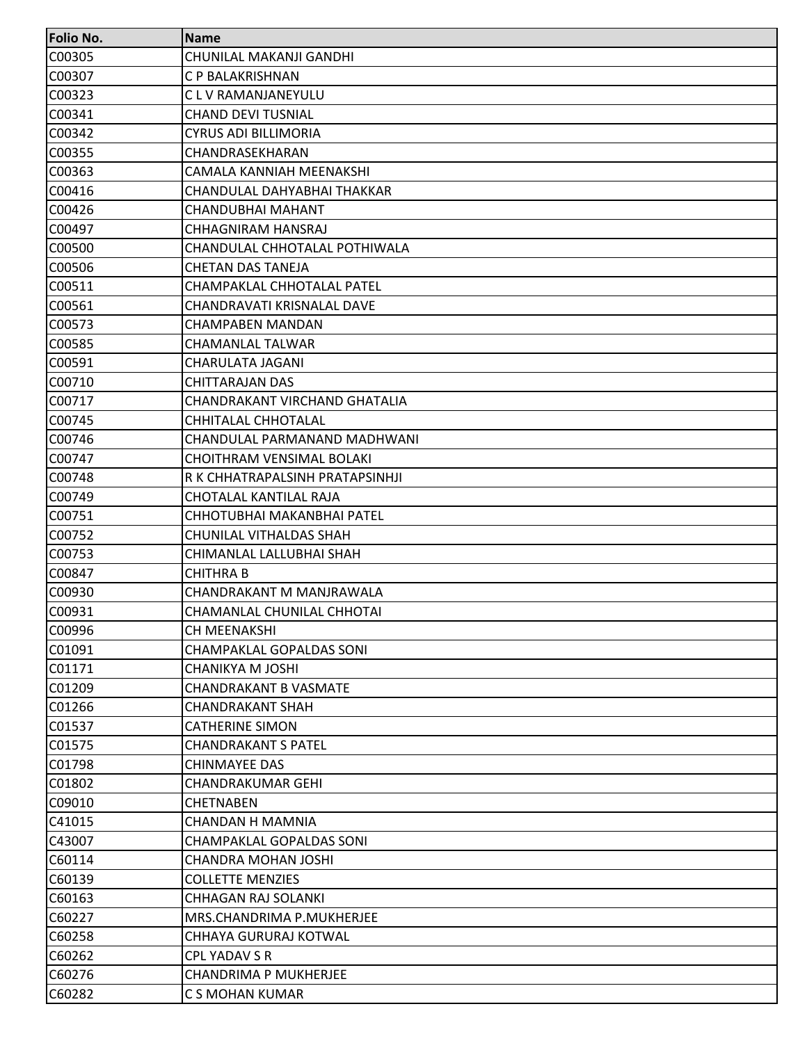| <b>Folio No.</b> | <b>Name</b>                      |
|------------------|----------------------------------|
| C00305           | CHUNILAL MAKANJI GANDHI          |
| C00307           | C P BALAKRISHNAN                 |
| C00323           | C L V RAMANJANEYULU              |
| C00341           | <b>CHAND DEVI TUSNIAL</b>        |
| C00342           | <b>CYRUS ADI BILLIMORIA</b>      |
| C00355           | CHANDRASEKHARAN                  |
| C00363           | CAMALA KANNIAH MEENAKSHI         |
| C00416           | CHANDULAL DAHYABHAI THAKKAR      |
| C00426           | CHANDUBHAI MAHANT                |
| C00497           | CHHAGNIRAM HANSRAJ               |
| C00500           | CHANDULAL CHHOTALAL POTHIWALA    |
| C00506           | <b>CHETAN DAS TANEJA</b>         |
| C00511           | CHAMPAKLAL CHHOTALAL PATEL       |
| C00561           | CHANDRAVATI KRISNALAL DAVE       |
| C00573           | CHAMPABEN MANDAN                 |
| C00585           | CHAMANLAL TALWAR                 |
| C00591           | <b>CHARULATA JAGANI</b>          |
| C00710           | <b>CHITTARAJAN DAS</b>           |
| C00717           | CHANDRAKANT VIRCHAND GHATALIA    |
| C00745           | CHHITALAL CHHOTALAL              |
| C00746           | CHANDULAL PARMANAND MADHWANI     |
| C00747           | <b>CHOITHRAM VENSIMAL BOLAKI</b> |
| C00748           | R K CHHATRAPALSINH PRATAPSINHJI  |
| C00749           | CHOTALAL KANTILAL RAJA           |
| C00751           | CHHOTUBHAI MAKANBHAI PATEL       |
| C00752           | CHUNILAL VITHALDAS SHAH          |
| C00753           | CHIMANLAL LALLUBHAI SHAH         |
| C00847           | <b>CHITHRA B</b>                 |
| C00930           | CHANDRAKANT M MANJRAWALA         |
| C00931           | CHAMANLAL CHUNILAL CHHOTAI       |
| C00996           | CH MEENAKSHI                     |
| C01091           | <b>CHAMPAKLAL GOPALDAS SONI</b>  |
| C01171           | CHANIKYA M JOSHI                 |
| C01209           | <b>CHANDRAKANT B VASMATE</b>     |
| C01266           | <b>CHANDRAKANT SHAH</b>          |
| C01537           | <b>CATHERINE SIMON</b>           |
| C01575           | <b>CHANDRAKANT S PATEL</b>       |
| C01798           | <b>CHINMAYEE DAS</b>             |
| C01802           | <b>CHANDRAKUMAR GEHI</b>         |
| C09010           | <b>CHETNABEN</b>                 |
| C41015           | <b>CHANDAN H MAMNIA</b>          |
| C43007           | <b>CHAMPAKLAL GOPALDAS SONI</b>  |
| C60114           | <b>CHANDRA MOHAN JOSHI</b>       |
| C60139           | <b>COLLETTE MENZIES</b>          |
| C60163           | <b>CHHAGAN RAJ SOLANKI</b>       |
| C60227           | MRS.CHANDRIMA P.MUKHERJEE        |
| C60258           | CHHAYA GURURAJ KOTWAL            |
| C60262           | <b>CPL YADAV S R</b>             |
| C60276           | <b>CHANDRIMA P MUKHERJEE</b>     |
| C60282           | C S MOHAN KUMAR                  |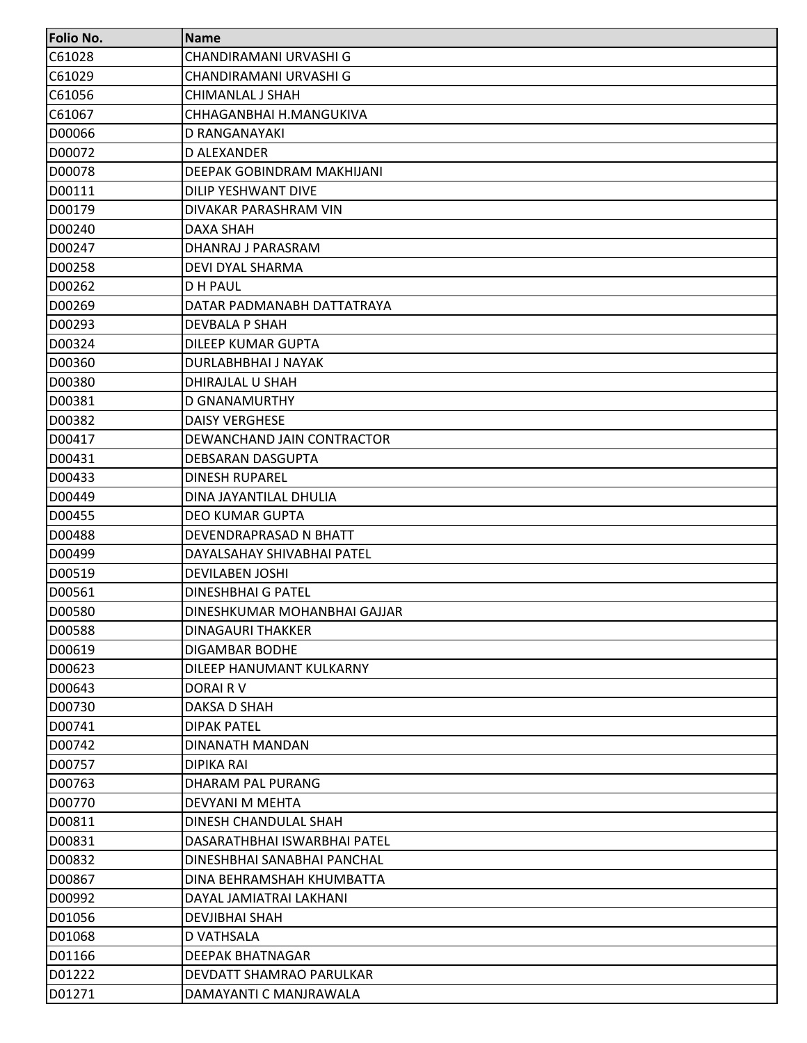| C61028<br>CHANDIRAMANI URVASHI G<br>C61029<br>CHANDIRAMANI URVASHI G<br>C61056<br>CHIMANLAL J SHAH<br>C61067<br>CHHAGANBHAI H.MANGUKIVA<br>D00066<br>D RANGANAYAKI |  |
|--------------------------------------------------------------------------------------------------------------------------------------------------------------------|--|
|                                                                                                                                                                    |  |
|                                                                                                                                                                    |  |
|                                                                                                                                                                    |  |
|                                                                                                                                                                    |  |
|                                                                                                                                                                    |  |
| D00072<br>D ALEXANDER                                                                                                                                              |  |
| D00078<br>DEEPAK GOBINDRAM MAKHIJANI                                                                                                                               |  |
| D00111<br><b>DILIP YESHWANT DIVE</b>                                                                                                                               |  |
| D00179<br>DIVAKAR PARASHRAM VIN                                                                                                                                    |  |
| D00240<br>DAXA SHAH                                                                                                                                                |  |
| D00247<br>DHANRAJ J PARASRAM                                                                                                                                       |  |
| D00258<br>DEVI DYAL SHARMA                                                                                                                                         |  |
| D00262<br>D H PAUL                                                                                                                                                 |  |
| D00269<br>DATAR PADMANABH DATTATRAYA                                                                                                                               |  |
| D00293<br><b>DEVBALA P SHAH</b>                                                                                                                                    |  |
| D00324<br>DILEEP KUMAR GUPTA                                                                                                                                       |  |
| D00360<br><b>DURLABHBHAI J NAYAK</b>                                                                                                                               |  |
| D00380<br>DHIRAJLAL U SHAH                                                                                                                                         |  |
| D00381<br>D GNANAMURTHY                                                                                                                                            |  |
| D00382<br><b>DAISY VERGHESE</b>                                                                                                                                    |  |
| D00417<br>DEWANCHAND JAIN CONTRACTOR                                                                                                                               |  |
| D00431<br>DEBSARAN DASGUPTA                                                                                                                                        |  |
| D00433<br><b>DINESH RUPAREL</b>                                                                                                                                    |  |
| D00449<br>DINA JAYANTILAL DHULIA                                                                                                                                   |  |
| D00455<br><b>DEO KUMAR GUPTA</b>                                                                                                                                   |  |
| D00488<br>DEVENDRAPRASAD N BHATT                                                                                                                                   |  |
| D00499<br>DAYALSAHAY SHIVABHAI PATEL                                                                                                                               |  |
| D00519<br><b>DEVILABEN JOSHI</b>                                                                                                                                   |  |
| D00561<br><b>DINESHBHAI G PATEL</b>                                                                                                                                |  |
| D00580<br>DINESHKUMAR MOHANBHAI GAJJAR                                                                                                                             |  |
| D00588<br><b>DINAGAURI THAKKER</b>                                                                                                                                 |  |
| D00619<br>DIGAMBAR BODHE                                                                                                                                           |  |
| D00623<br>DILEEP HANUMANT KULKARNY                                                                                                                                 |  |
| D00643<br>DORAIR V                                                                                                                                                 |  |
| D00730<br>DAKSA D SHAH                                                                                                                                             |  |
| D00741<br><b>DIPAK PATEL</b>                                                                                                                                       |  |
| D00742<br>DINANATH MANDAN                                                                                                                                          |  |
| D00757<br>DIPIKA RAI                                                                                                                                               |  |
| D00763<br>DHARAM PAL PURANG                                                                                                                                        |  |
| D00770<br>DEVYANI M MEHTA                                                                                                                                          |  |
| D00811<br>DINESH CHANDULAL SHAH                                                                                                                                    |  |
| D00831<br>DASARATHBHAI ISWARBHAI PATEL                                                                                                                             |  |
| D00832<br>DINESHBHAI SANABHAI PANCHAL                                                                                                                              |  |
| D00867<br>DINA BEHRAMSHAH KHUMBATTA                                                                                                                                |  |
| D00992<br>DAYAL JAMIATRAI LAKHANI                                                                                                                                  |  |
| D01056<br>DEVJIBHAI SHAH                                                                                                                                           |  |
| D01068<br>D VATHSALA                                                                                                                                               |  |
| D01166<br><b>DEEPAK BHATNAGAR</b>                                                                                                                                  |  |
| D01222<br>DEVDATT SHAMRAO PARULKAR                                                                                                                                 |  |
| D01271<br>DAMAYANTI C MANJRAWALA                                                                                                                                   |  |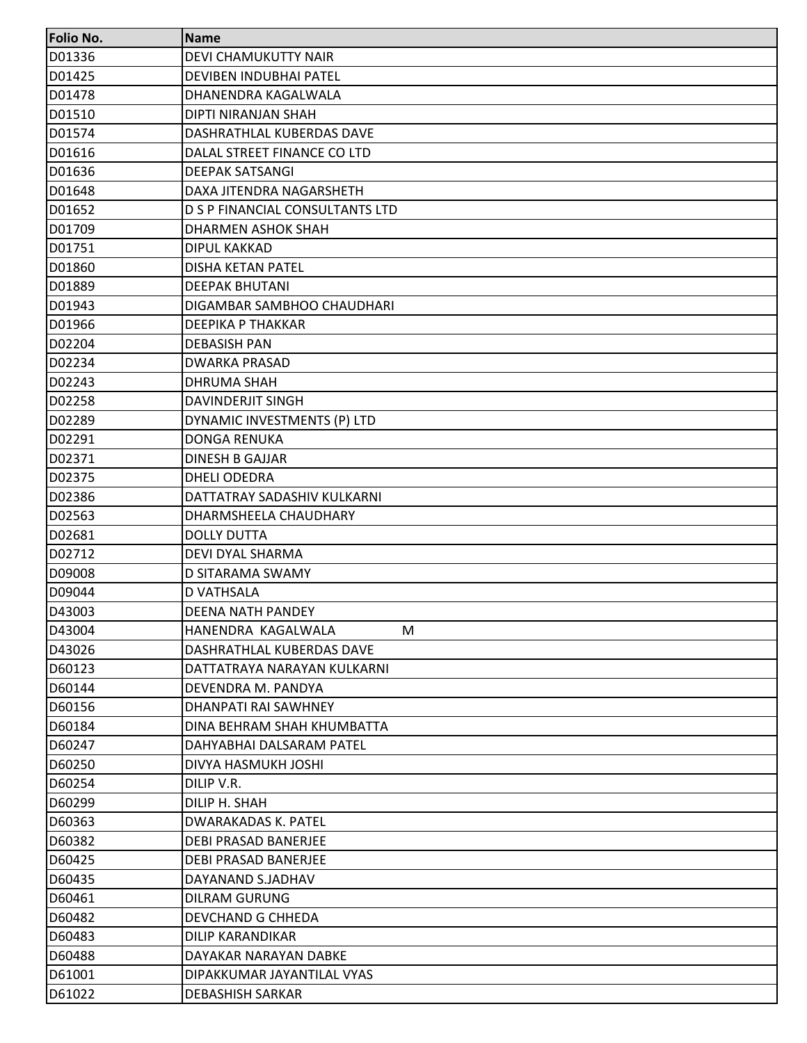| <b>Folio No.</b> | <b>Name</b>                     |
|------------------|---------------------------------|
| D01336           | <b>DEVI CHAMUKUTTY NAIR</b>     |
| D01425           | DEVIBEN INDUBHAI PATEL          |
| D01478           | DHANENDRA KAGALWALA             |
| D01510           | DIPTI NIRANJAN SHAH             |
| D01574           | DASHRATHLAL KUBERDAS DAVE       |
| D01616           | DALAL STREET FINANCE CO LTD     |
| D01636           | <b>DEEPAK SATSANGI</b>          |
| D01648           | DAXA JITENDRA NAGARSHETH        |
| D01652           | D S P FINANCIAL CONSULTANTS LTD |
| D01709           | DHARMEN ASHOK SHAH              |
| D01751           | DIPUL KAKKAD                    |
| D01860           | <b>DISHA KETAN PATEL</b>        |
| D01889           | <b>DEEPAK BHUTANI</b>           |
| D01943           | DIGAMBAR SAMBHOO CHAUDHARI      |
| D01966           | <b>DEEPIKA P THAKKAR</b>        |
| D02204           | <b>DEBASISH PAN</b>             |
| D02234           | <b>DWARKA PRASAD</b>            |
| D02243           | <b>DHRUMA SHAH</b>              |
| D02258           | <b>DAVINDERJIT SINGH</b>        |
| D02289           | DYNAMIC INVESTMENTS (P) LTD     |
| D02291           | <b>DONGA RENUKA</b>             |
| D02371           | <b>DINESH B GAJJAR</b>          |
| D02375           | <b>DHELI ODEDRA</b>             |
| D02386           | DATTATRAY SADASHIV KULKARNI     |
| D02563           | DHARMSHEELA CHAUDHARY           |
| D02681           | <b>DOLLY DUTTA</b>              |
| D02712           | <b>DEVI DYAL SHARMA</b>         |
| D09008           | D SITARAMA SWAMY                |
| D09044           | <b>D VATHSALA</b>               |
| D43003           | <b>DEENA NATH PANDEY</b>        |
| D43004           | HANENDRA KAGALWALA<br>M         |
| D43026           | DASHRATHLAL KUBERDAS DAVE       |
| D60123           | DATTATRAYA NARAYAN KULKARNI     |
| D60144           | DEVENDRA M. PANDYA              |
| D60156           | DHANPATI RAI SAWHNEY            |
| D60184           | DINA BEHRAM SHAH KHUMBATTA      |
| D60247           | DAHYABHAI DALSARAM PATEL        |
| D60250           | DIVYA HASMUKH JOSHI             |
| D60254           | DILIP V.R.                      |
| D60299           | DILIP H. SHAH                   |
| D60363           | DWARAKADAS K. PATEL             |
| D60382           | <b>DEBI PRASAD BANERJEE</b>     |
| D60425           | DEBI PRASAD BANERJEE            |
| D60435           | DAYANAND S.JADHAV               |
| D60461           | <b>DILRAM GURUNG</b>            |
| D60482           | DEVCHAND G CHHEDA               |
| D60483           | DILIP KARANDIKAR                |
| D60488           | DAYAKAR NARAYAN DABKE           |
| D61001           | DIPAKKUMAR JAYANTILAL VYAS      |
| D61022           | <b>DEBASHISH SARKAR</b>         |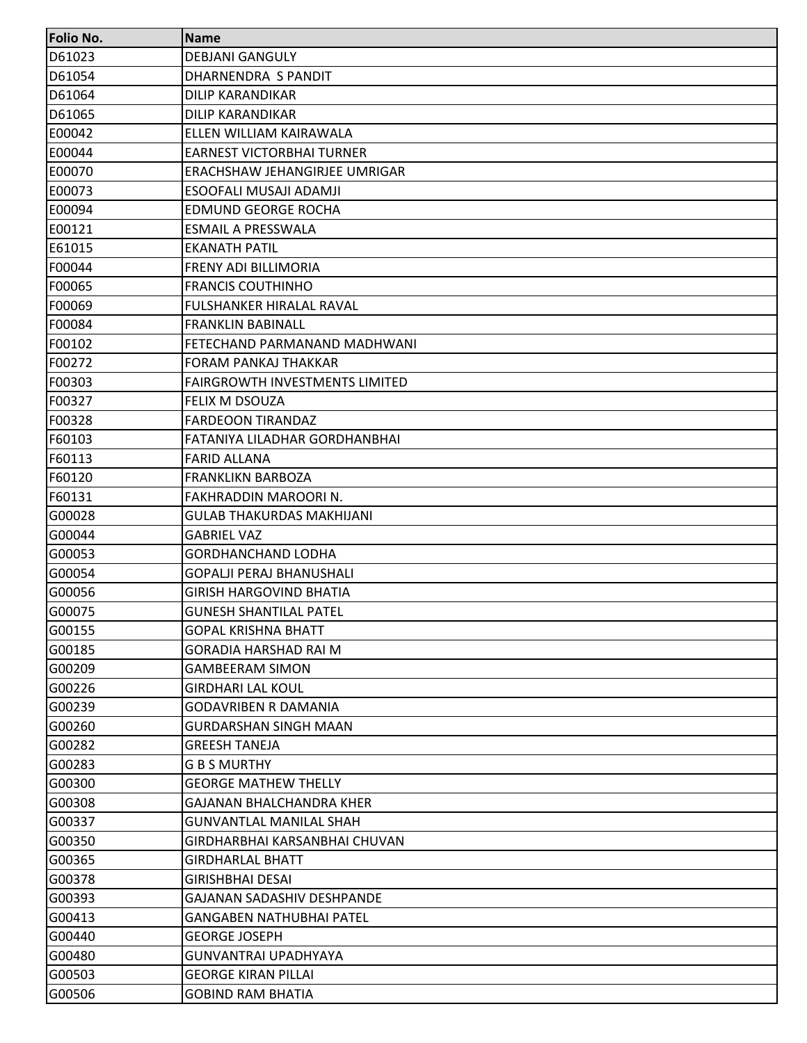| <b>Folio No.</b> | <b>Name</b>                           |
|------------------|---------------------------------------|
| D61023           | <b>DEBJANI GANGULY</b>                |
| D61054           | DHARNENDRA S PANDIT                   |
| D61064           | <b>DILIP KARANDIKAR</b>               |
| D61065           | <b>DILIP KARANDIKAR</b>               |
| E00042           | ELLEN WILLIAM KAIRAWALA               |
| E00044           | <b>EARNEST VICTORBHAI TURNER</b>      |
| E00070           | ERACHSHAW JEHANGIRJEE UMRIGAR         |
| E00073           | ESOOFALI MUSAJI ADAMJI                |
| E00094           | <b>EDMUND GEORGE ROCHA</b>            |
| E00121           | <b>ESMAIL A PRESSWALA</b>             |
| E61015           | EKANATH PATIL                         |
| F00044           | <b>FRENY ADI BILLIMORIA</b>           |
| F00065           | <b>FRANCIS COUTHINHO</b>              |
| F00069           | <b>FULSHANKER HIRALAL RAVAL</b>       |
| F00084           | <b>FRANKLIN BABINALL</b>              |
| F00102           | FETECHAND PARMANAND MADHWANI          |
| F00272           | <b>FORAM PANKAJ THAKKAR</b>           |
| F00303           | <b>FAIRGROWTH INVESTMENTS LIMITED</b> |
| F00327           | FELIX M DSOUZA                        |
| F00328           | <b>FARDEOON TIRANDAZ</b>              |
| F60103           | FATANIYA LILADHAR GORDHANBHAI         |
| F60113           | <b>FARID ALLANA</b>                   |
| F60120           | <b>FRANKLIKN BARBOZA</b>              |
| F60131           | FAKHRADDIN MAROORI N.                 |
| G00028           | <b>GULAB THAKURDAS MAKHIJANI</b>      |
| G00044           | <b>GABRIEL VAZ</b>                    |
| G00053           | <b>GORDHANCHAND LODHA</b>             |
| G00054           | <b>GOPALJI PERAJ BHANUSHALI</b>       |
| G00056           | <b>GIRISH HARGOVIND BHATIA</b>        |
| G00075           | <b>GUNESH SHANTILAL PATEL</b>         |
| G00155           | <b>GOPAL KRISHNA BHATT</b>            |
| G00185           | GORADIA HARSHAD RAI M                 |
| G00209           | <b>GAMBEERAM SIMON</b>                |
| G00226           | <b>GIRDHARI LAL KOUL</b>              |
| G00239           | <b>GODAVRIBEN R DAMANIA</b>           |
| G00260           | <b>GURDARSHAN SINGH MAAN</b>          |
| G00282           | <b>GREESH TANEJA</b>                  |
| G00283           | <b>G B S MURTHY</b>                   |
| G00300           | <b>GEORGE MATHEW THELLY</b>           |
| G00308           | GAJANAN BHALCHANDRA KHER              |
| G00337           | <b>GUNVANTLAL MANILAL SHAH</b>        |
| G00350           | GIRDHARBHAI KARSANBHAI CHUVAN         |
| G00365           | <b>GIRDHARLAL BHATT</b>               |
| G00378           | <b>GIRISHBHAI DESAI</b>               |
| G00393           | GAJANAN SADASHIV DESHPANDE            |
| G00413           | <b>GANGABEN NATHUBHAI PATEL</b>       |
| G00440           | <b>GEORGE JOSEPH</b>                  |
| G00480           | <b>GUNVANTRAI UPADHYAYA</b>           |
| G00503           | <b>GEORGE KIRAN PILLAI</b>            |
| G00506           | <b>GOBIND RAM BHATIA</b>              |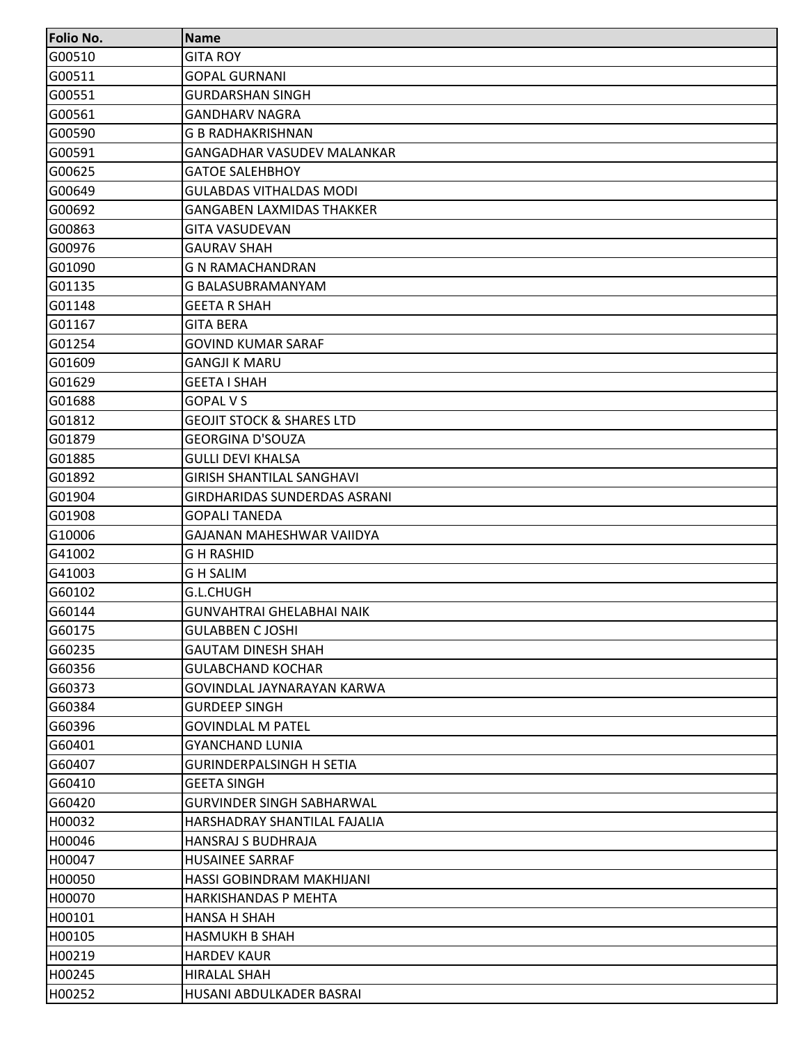| <b>Folio No.</b> | <b>Name</b>                          |
|------------------|--------------------------------------|
| G00510           | <b>GITA ROY</b>                      |
| G00511           | <b>GOPAL GURNANI</b>                 |
| G00551           | <b>GURDARSHAN SINGH</b>              |
| G00561           | <b>GANDHARV NAGRA</b>                |
| G00590           | <b>G B RADHAKRISHNAN</b>             |
| G00591           | <b>GANGADHAR VASUDEV MALANKAR</b>    |
| G00625           | <b>GATOE SALEHBHOY</b>               |
| G00649           | <b>GULABDAS VITHALDAS MODI</b>       |
| G00692           | <b>GANGABEN LAXMIDAS THAKKER</b>     |
| G00863           | <b>GITA VASUDEVAN</b>                |
| G00976           | <b>GAURAV SHAH</b>                   |
| G01090           | <b>G N RAMACHANDRAN</b>              |
| G01135           | G BALASUBRAMANYAM                    |
| G01148           | <b>GEETA R SHAH</b>                  |
| G01167           | <b>GITA BERA</b>                     |
| G01254           | <b>GOVIND KUMAR SARAF</b>            |
| G01609           | <b>GANGJI K MARU</b>                 |
| G01629           | <b>GEETA I SHAH</b>                  |
| G01688           | <b>GOPAL V S</b>                     |
| G01812           | <b>GEOJIT STOCK &amp; SHARES LTD</b> |
| G01879           | <b>GEORGINA D'SOUZA</b>              |
| G01885           | <b>GULLI DEVI KHALSA</b>             |
| G01892           | <b>GIRISH SHANTILAL SANGHAVI</b>     |
| G01904           | <b>GIRDHARIDAS SUNDERDAS ASRANI</b>  |
| G01908           | <b>GOPALI TANEDA</b>                 |
| G10006           | GAJANAN MAHESHWAR VAIIDYA            |
| G41002           | <b>GH RASHID</b>                     |
| G41003           | G H SALIM                            |
| G60102           | G.L.CHUGH                            |
| G60144           | <b>GUNVAHTRAI GHELABHAI NAIK</b>     |
| G60175           | <b>GULABBEN C JOSHI</b>              |
| G60235           | <b>GAUTAM DINESH SHAH</b>            |
| G60356           | <b>GULABCHAND KOCHAR</b>             |
| G60373           | GOVINDLAL JAYNARAYAN KARWA           |
| G60384           | <b>GURDEEP SINGH</b>                 |
| G60396           | <b>GOVINDLAL M PATEL</b>             |
| G60401           | <b>GYANCHAND LUNIA</b>               |
| G60407           | <b>GURINDERPALSINGH H SETIA</b>      |
| G60410           | <b>GEETA SINGH</b>                   |
| G60420           | <b>GURVINDER SINGH SABHARWAL</b>     |
| H00032           | HARSHADRAY SHANTILAL FAJALIA         |
| H00046           | <b>HANSRAJ S BUDHRAJA</b>            |
| H00047           | <b>HUSAINEE SARRAF</b>               |
| H00050           | HASSI GOBINDRAM MAKHIJANI            |
| H00070           | <b>HARKISHANDAS P MEHTA</b>          |
| H00101           | <b>HANSA H SHAH</b>                  |
| H00105           | <b>HASMUKH B SHAH</b>                |
| H00219           | <b>HARDEV KAUR</b>                   |
| H00245           | <b>HIRALAL SHAH</b>                  |
| H00252           | HUSANI ABDULKADER BASRAI             |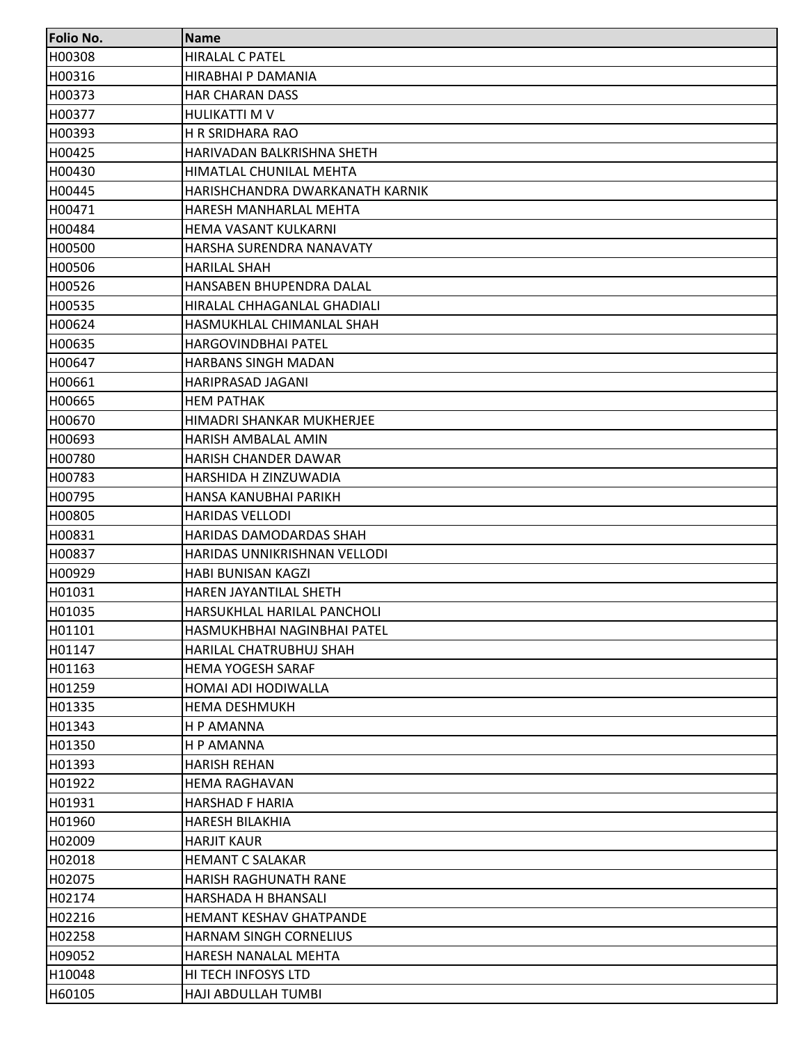| <b>Folio No.</b> | <b>Name</b>                     |
|------------------|---------------------------------|
| H00308           | <b>HIRALAL C PATEL</b>          |
| H00316           | HIRABHAI P DAMANIA              |
| H00373           | <b>HAR CHARAN DASS</b>          |
| H00377           | <b>HULIKATTI M V</b>            |
| H00393           | H R SRIDHARA RAO                |
| H00425           | HARIVADAN BALKRISHNA SHETH      |
| H00430           | HIMATLAL CHUNILAL MEHTA         |
| H00445           | HARISHCHANDRA DWARKANATH KARNIK |
| H00471           | HARESH MANHARLAL MEHTA          |
| H00484           | HEMA VASANT KULKARNI            |
| H00500           | HARSHA SURENDRA NANAVATY        |
| H00506           | <b>HARILAL SHAH</b>             |
| H00526           | HANSABEN BHUPENDRA DALAL        |
| H00535           | HIRALAL CHHAGANLAL GHADIALI     |
| H00624           | HASMUKHLAL CHIMANLAL SHAH       |
| H00635           | <b>HARGOVINDBHAI PATEL</b>      |
| H00647           | HARBANS SINGH MADAN             |
| H00661           | HARIPRASAD JAGANI               |
| H00665           | <b>HEM PATHAK</b>               |
| H00670           | HIMADRI SHANKAR MUKHERJEE       |
| H00693           | HARISH AMBALAL AMIN             |
| H00780           | <b>HARISH CHANDER DAWAR</b>     |
| H00783           | HARSHIDA H ZINZUWADIA           |
| H00795           | HANSA KANUBHAI PARIKH           |
| H00805           | <b>HARIDAS VELLODI</b>          |
| H00831           | HARIDAS DAMODARDAS SHAH         |
| H00837           | HARIDAS UNNIKRISHNAN VELLODI    |
| H00929           | HABI BUNISAN KAGZI              |
| H01031           | HAREN JAYANTILAL SHETH          |
| H01035           | HARSUKHLAL HARILAL PANCHOLI     |
| H01101           | HASMUKHBHAI NAGINBHAI PATEL     |
| H01147           | <b>HARILAL CHATRUBHUJ SHAH</b>  |
| H01163           | <b>HEMA YOGESH SARAF</b>        |
| H01259           | HOMAI ADI HODIWALLA             |
| H01335           | <b>HEMA DESHMUKH</b>            |
| H01343           | H P AMANNA                      |
| H01350           | H P AMANNA                      |
| H01393           | <b>HARISH REHAN</b>             |
| H01922           | <b>HEMA RAGHAVAN</b>            |
| H01931           | <b>HARSHAD F HARIA</b>          |
| H01960           | <b>HARESH BILAKHIA</b>          |
| H02009           | <b>HARJIT KAUR</b>              |
| H02018           | <b>HEMANT C SALAKAR</b>         |
| H02075           | HARISH RAGHUNATH RANE           |
| H02174           | HARSHADA H BHANSALI             |
| H02216           | HEMANT KESHAV GHATPANDE         |
| H02258           | <b>HARNAM SINGH CORNELIUS</b>   |
| H09052           | HARESH NANALAL MEHTA            |
| H10048           | HI TECH INFOSYS LTD             |
| H60105           | HAJI ABDULLAH TUMBI             |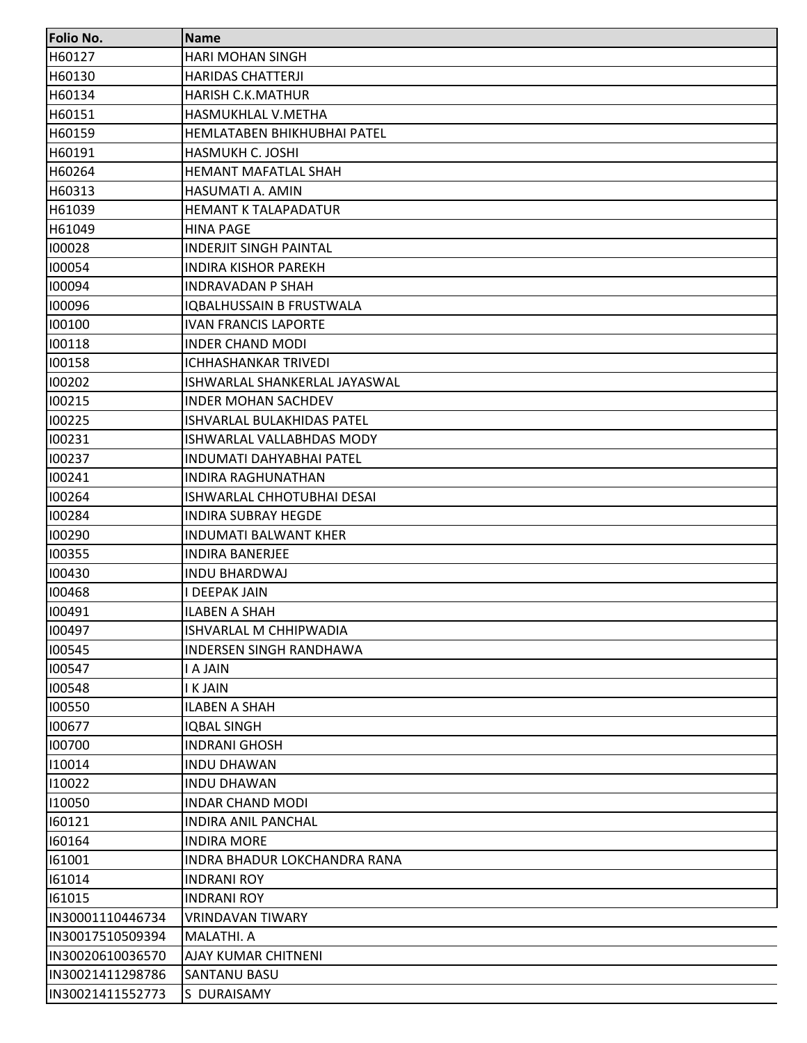| <b>Folio No.</b> | <b>Name</b>                     |
|------------------|---------------------------------|
| H60127           | <b>HARI MOHAN SINGH</b>         |
| H60130           | <b>HARIDAS CHATTERJI</b>        |
| H60134           | <b>HARISH C.K.MATHUR</b>        |
| H60151           | HASMUKHLAL V.METHA              |
| H60159           | HEMLATABEN BHIKHUBHAI PATEL     |
| H60191           | HASMUKH C. JOSHI                |
| H60264           | <b>HEMANT MAFATLAL SHAH</b>     |
| H60313           | HASUMATI A. AMIN                |
| H61039           | <b>HEMANT K TALAPADATUR</b>     |
| H61049           | <b>HINA PAGE</b>                |
| 100028           | <b>INDERJIT SINGH PAINTAL</b>   |
| 100054           | <b>INDIRA KISHOR PAREKH</b>     |
| 100094           | <b>INDRAVADAN P SHAH</b>        |
| 100096           | <b>IOBALHUSSAIN B FRUSTWALA</b> |
| 100100           | <b>IVAN FRANCIS LAPORTE</b>     |
| 100118           | <b>INDER CHAND MODI</b>         |
| 100158           | <b>ICHHASHANKAR TRIVEDI</b>     |
| 100202           | ISHWARLAL SHANKERLAL JAYASWAL   |
| 100215           | <b>INDER MOHAN SACHDEV</b>      |
| 100225           | ISHVARLAL BULAKHIDAS PATEL      |
| 100231           | ISHWARLAL VALLABHDAS MODY       |
| 100237           | <b>INDUMATI DAHYABHAI PATEL</b> |
| 100241           | <b>INDIRA RAGHUNATHAN</b>       |
| 100264           | ISHWARLAL CHHOTUBHAI DESAI      |
| 100284           | <b>INDIRA SUBRAY HEGDE</b>      |
| 100290           | <b>INDUMATI BALWANT KHER</b>    |
| 100355           | <b>INDIRA BANERJEE</b>          |
| 100430           | <b>INDU BHARDWAJ</b>            |
| 100468           | <b>I DEEPAK JAIN</b>            |
| 100491           | <b>ILABEN A SHAH</b>            |
| 100497           | ISHVARLAL M CHHIPWADIA          |
| 100545           | <b>INDERSEN SINGH RANDHAWA</b>  |
| 100547           | I A JAIN                        |
| 100548           | I K JAIN                        |
| 100550           | <b>ILABEN A SHAH</b>            |
| 100677           | <b>IQBAL SINGH</b>              |
| 100700           | <b>INDRANI GHOSH</b>            |
| 110014           | <b>INDU DHAWAN</b>              |
| 110022           | <b>INDU DHAWAN</b>              |
| 110050           | <b>INDAR CHAND MODI</b>         |
| 160121           | <b>INDIRA ANIL PANCHAL</b>      |
| 160164           | <b>INDIRA MORE</b>              |
| 161001           | INDRA BHADUR LOKCHANDRA RANA    |
| 161014           | <b>INDRANI ROY</b>              |
| 161015           | INDRANI ROY                     |
| IN30001110446734 | <b>VRINDAVAN TIWARY</b>         |
| IN30017510509394 | <b>MALATHI. A</b>               |
| IN30020610036570 | <b>AJAY KUMAR CHITNENI</b>      |
| IN30021411298786 | <b>SANTANU BASU</b>             |
| IN30021411552773 | S DURAISAMY                     |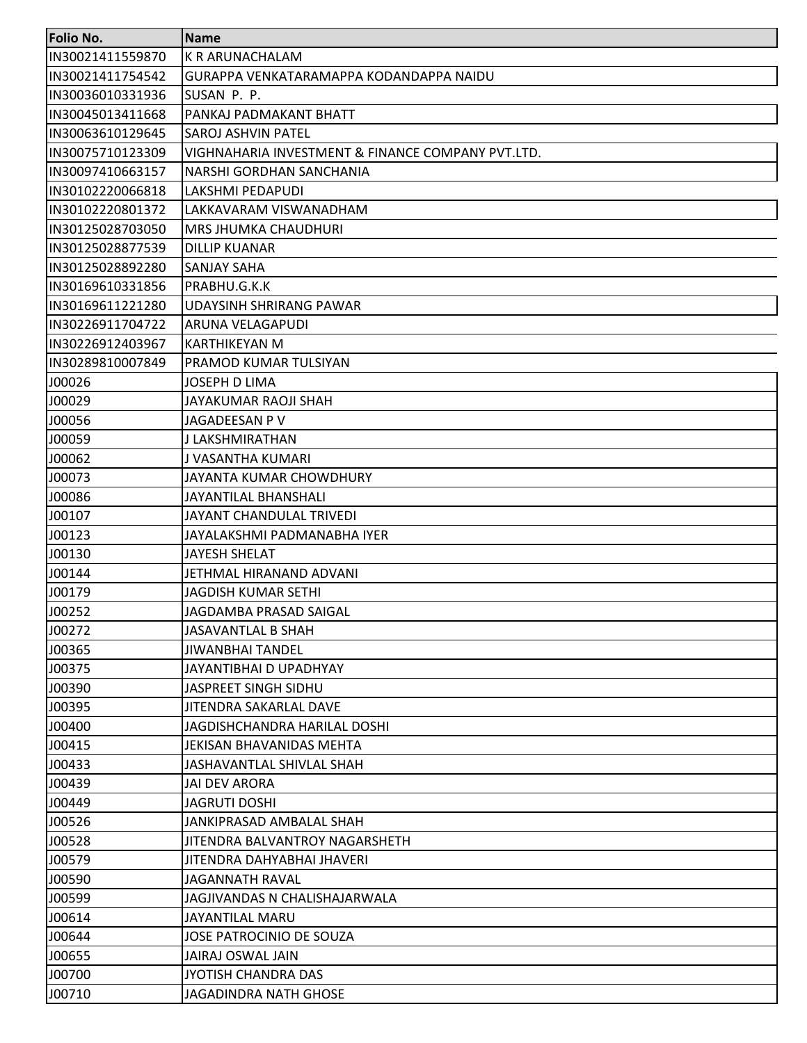| <b>Folio No.</b> | <b>Name</b>                                       |
|------------------|---------------------------------------------------|
| IN30021411559870 | K R ARUNACHALAM                                   |
| IN30021411754542 | GURAPPA VENKATARAMAPPA KODANDAPPA NAIDU           |
| IN30036010331936 | SUSAN P. P.                                       |
| IN30045013411668 | PANKAJ PADMAKANT BHATT                            |
| IN30063610129645 | <b>SAROJ ASHVIN PATEL</b>                         |
| IN30075710123309 | VIGHNAHARIA INVESTMENT & FINANCE COMPANY PVT.LTD. |
| IN30097410663157 | NARSHI GORDHAN SANCHANIA                          |
| IN30102220066818 | LAKSHMI PEDAPUDI                                  |
| IN30102220801372 | LAKKAVARAM VISWANADHAM                            |
| IN30125028703050 | MRS JHUMKA CHAUDHURI                              |
| IN30125028877539 | <b>DILLIP KUANAR</b>                              |
| IN30125028892280 | <b>SANJAY SAHA</b>                                |
| IN30169610331856 | PRABHU.G.K.K                                      |
| IN30169611221280 | UDAYSINH SHRIRANG PAWAR                           |
| IN30226911704722 | ARUNA VELAGAPUDI                                  |
| IN30226912403967 | KARTHIKEYAN M                                     |
| IN30289810007849 | PRAMOD KUMAR TULSIYAN                             |
| J00026           | <b>JOSEPH D LIMA</b>                              |
| J00029           | JAYAKUMAR RAOJI SHAH                              |
| J00056           | JAGADEESAN P V                                    |
| J00059           | J LAKSHMIRATHAN                                   |
| J00062           | J VASANTHA KUMARI                                 |
| J00073           | JAYANTA KUMAR CHOWDHURY                           |
| J00086           | JAYANTILAL BHANSHALI                              |
| J00107           | JAYANT CHANDULAL TRIVEDI                          |
| J00123           | JAYALAKSHMI PADMANABHA IYER                       |
| J00130           | <b>JAYESH SHELAT</b>                              |
| J00144           | JETHMAL HIRANAND ADVANI                           |
| J00179           | <b>JAGDISH KUMAR SETHI</b>                        |
| J00252           | <b>JAGDAMBA PRASAD SAIGAL</b>                     |
| J00272           | <b>JASAVANTLAL B SHAH</b>                         |
| J00365           | <b>JIWANBHAI TANDEL</b>                           |
| J00375           | JAYANTIBHAI D UPADHYAY                            |
| J00390           | JASPREET SINGH SIDHU                              |
| J00395           | JITENDRA SAKARLAL DAVE                            |
| J00400           | JAGDISHCHANDRA HARILAL DOSHI                      |
| J00415           | JEKISAN BHAVANIDAS MEHTA                          |
| J00433           | JASHAVANTLAL SHIVLAL SHAH                         |
| J00439           | <b>JAI DEV ARORA</b>                              |
| J00449           | <b>JAGRUTI DOSHI</b>                              |
| J00526           | JANKIPRASAD AMBALAL SHAH                          |
| J00528           | JITENDRA BALVANTROY NAGARSHETH                    |
| J00579           | JITENDRA DAHYABHAI JHAVERI                        |
| J00590           | <b>JAGANNATH RAVAL</b>                            |
| J00599           | JAGJIVANDAS N CHALISHAJARWALA                     |
| J00614           | JAYANTILAL MARU                                   |
| J00644           | JOSE PATROCINIO DE SOUZA                          |
| J00655           | JAIRAJ OSWAL JAIN                                 |
| J00700           | JYOTISH CHANDRA DAS                               |
| J00710           | <b>JAGADINDRA NATH GHOSE</b>                      |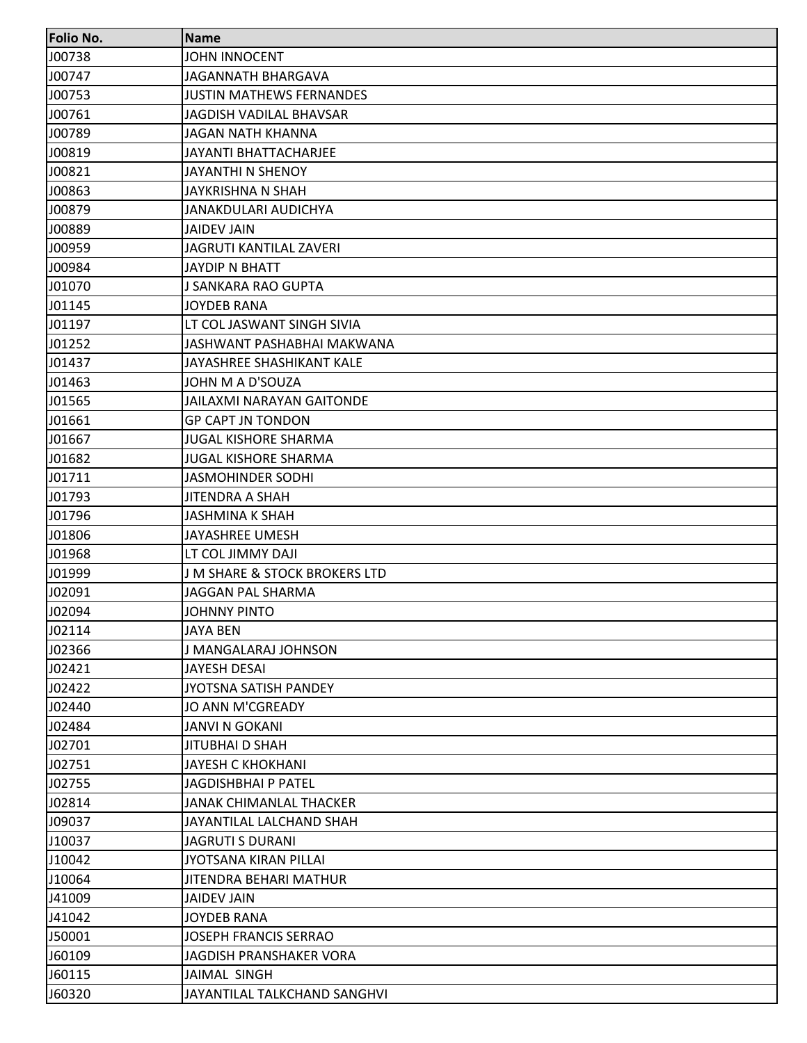| Folio No. | <b>Name</b>                      |
|-----------|----------------------------------|
| J00738    | <b>JOHN INNOCENT</b>             |
| J00747    | <b>JAGANNATH BHARGAVA</b>        |
| J00753    | <b>JUSTIN MATHEWS FERNANDES</b>  |
| J00761    | JAGDISH VADILAL BHAVSAR          |
| J00789    | <b>JAGAN NATH KHANNA</b>         |
| J00819    | <b>JAYANTI BHATTACHARJEE</b>     |
| J00821    | <b>JAYANTHI N SHENOY</b>         |
| J00863    | <b>JAYKRISHNA N SHAH</b>         |
| J00879    | JANAKDULARI AUDICHYA             |
| J00889    | <b>JAIDEV JAIN</b>               |
| J00959    | <b>JAGRUTI KANTILAL ZAVERI</b>   |
| J00984    | <b>JAYDIP N BHATT</b>            |
| J01070    | J SANKARA RAO GUPTA              |
| J01145    | <b>JOYDEB RANA</b>               |
| J01197    | LT COL JASWANT SINGH SIVIA       |
| J01252    | JASHWANT PASHABHAI MAKWANA       |
| J01437    | JAYASHREE SHASHIKANT KALE        |
| J01463    | JOHN M A D'SOUZA                 |
| J01565    | <b>JAILAXMI NARAYAN GAITONDE</b> |
| J01661    | <b>GP CAPT JN TONDON</b>         |
| J01667    | <b>JUGAL KISHORE SHARMA</b>      |
| J01682    | <b>JUGAL KISHORE SHARMA</b>      |
| J01711    | <b>JASMOHINDER SODHI</b>         |
| J01793    | <b>JITENDRA A SHAH</b>           |
| J01796    | <b>JASHMINA K SHAH</b>           |
| J01806    | <b>JAYASHREE UMESH</b>           |
| J01968    | LT COL JIMMY DAJI                |
| J01999    | J M SHARE & STOCK BROKERS LTD    |
| J02091    | <b>JAGGAN PAL SHARMA</b>         |
| J02094    | <b>JOHNNY PINTO</b>              |
| J02114    | <b>JAYA BEN</b>                  |
| J02366    | J MANGALARAJ JOHNSON             |
| J02421    | JAYESH DESAI                     |
| J02422    | JYOTSNA SATISH PANDEY            |
| J02440    | JO ANN M'CGREADY                 |
| J02484    | <b>JANVI N GOKANI</b>            |
| J02701    | <b>JITUBHAI D SHAH</b>           |
| J02751    | <b>JAYESH C KHOKHANI</b>         |
| J02755    | JAGDISHBHAI P PATEL              |
| J02814    | <b>JANAK CHIMANLAL THACKER</b>   |
| J09037    | JAYANTILAL LALCHAND SHAH         |
| J10037    | <b>JAGRUTI S DURANI</b>          |
| J10042    | JYOTSANA KIRAN PILLAI            |
| J10064    | JITENDRA BEHARI MATHUR           |
| J41009    | <b>JAIDEV JAIN</b>               |
| J41042    | <b>JOYDEB RANA</b>               |
| J50001    | <b>JOSEPH FRANCIS SERRAO</b>     |
| J60109    | JAGDISH PRANSHAKER VORA          |
| J60115    | <b>JAIMAL SINGH</b>              |
| J60320    | JAYANTILAL TALKCHAND SANGHVI     |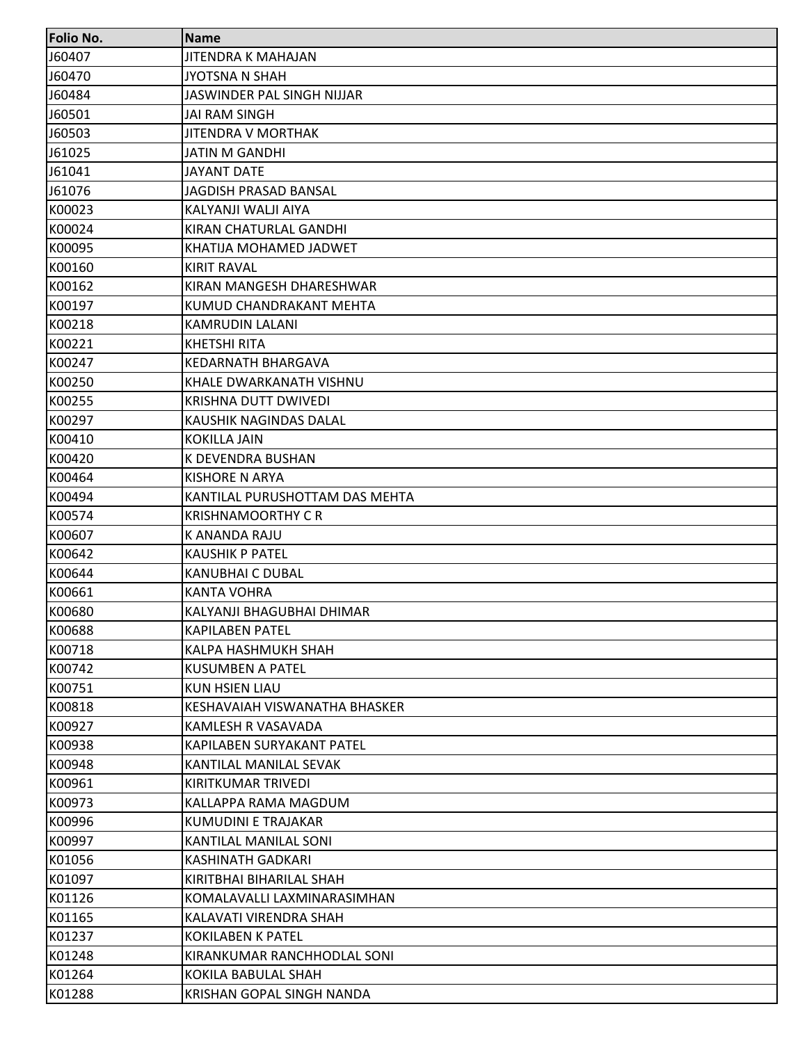| Folio No. | Name                           |
|-----------|--------------------------------|
| J60407    | JITENDRA K MAHAJAN             |
| J60470    | JYOTSNA N SHAH                 |
| J60484    | JASWINDER PAL SINGH NIJJAR     |
| J60501    | JAI RAM SINGH                  |
| J60503    | <b>JITENDRA V MORTHAK</b>      |
| J61025    | <b>JATIN M GANDHI</b>          |
| J61041    | <b>JAYANT DATE</b>             |
| J61076    | JAGDISH PRASAD BANSAL          |
| K00023    | KALYANJI WALJI AIYA            |
| K00024    | KIRAN CHATURLAL GANDHI         |
| K00095    | KHATIJA MOHAMED JADWET         |
| K00160    | <b>KIRIT RAVAL</b>             |
| K00162    | KIRAN MANGESH DHARESHWAR       |
| K00197    | KUMUD CHANDRAKANT MEHTA        |
| K00218    | KAMRUDIN LALANI                |
| K00221    | <b>KHETSHI RITA</b>            |
| K00247    | KEDARNATH BHARGAVA             |
| K00250    | KHALE DWARKANATH VISHNU        |
| K00255    | KRISHNA DUTT DWIVEDI           |
| K00297    | KAUSHIK NAGINDAS DALAL         |
| K00410    | <b>KOKILLA JAIN</b>            |
| K00420    | K DEVENDRA BUSHAN              |
| K00464    | KISHORE N ARYA                 |
| K00494    | KANTILAL PURUSHOTTAM DAS MEHTA |
| K00574    | <b>KRISHNAMOORTHY C R</b>      |
| K00607    | K ANANDA RAJU                  |
| K00642    | <b>KAUSHIK P PATEL</b>         |
| K00644    | KANUBHAI C DUBAL               |
| K00661    | <b>KANTA VOHRA</b>             |
| K00680    | KALYANJI BHAGUBHAI DHIMAR      |
| K00688    | <b>KAPILABEN PATEL</b>         |
| K00718    | KALPA HASHMUKH SHAH            |
| K00742    | <b>KUSUMBEN A PATEL</b>        |
| K00751    | <b>KUN HSIEN LIAU</b>          |
| K00818    | KESHAVAIAH VISWANATHA BHASKER  |
| K00927    | KAMLESH R VASAVADA             |
| K00938    | KAPILABEN SURYAKANT PATEL      |
| K00948    | KANTILAL MANILAL SEVAK         |
| K00961    | KIRITKUMAR TRIVEDI             |
| K00973    | KALLAPPA RAMA MAGDUM           |
| K00996    | KUMUDINI E TRAJAKAR            |
| K00997    | KANTILAL MANILAL SONI          |
| K01056    | <b>KASHINATH GADKARI</b>       |
| K01097    | KIRITBHAI BIHARILAL SHAH       |
| K01126    | KOMALAVALLI LAXMINARASIMHAN    |
| K01165    | KALAVATI VIRENDRA SHAH         |
| K01237    | <b>KOKILABEN K PATEL</b>       |
| K01248    | KIRANKUMAR RANCHHODLAL SONI    |
| K01264    | KOKILA BABULAL SHAH            |
| K01288    | KRISHAN GOPAL SINGH NANDA      |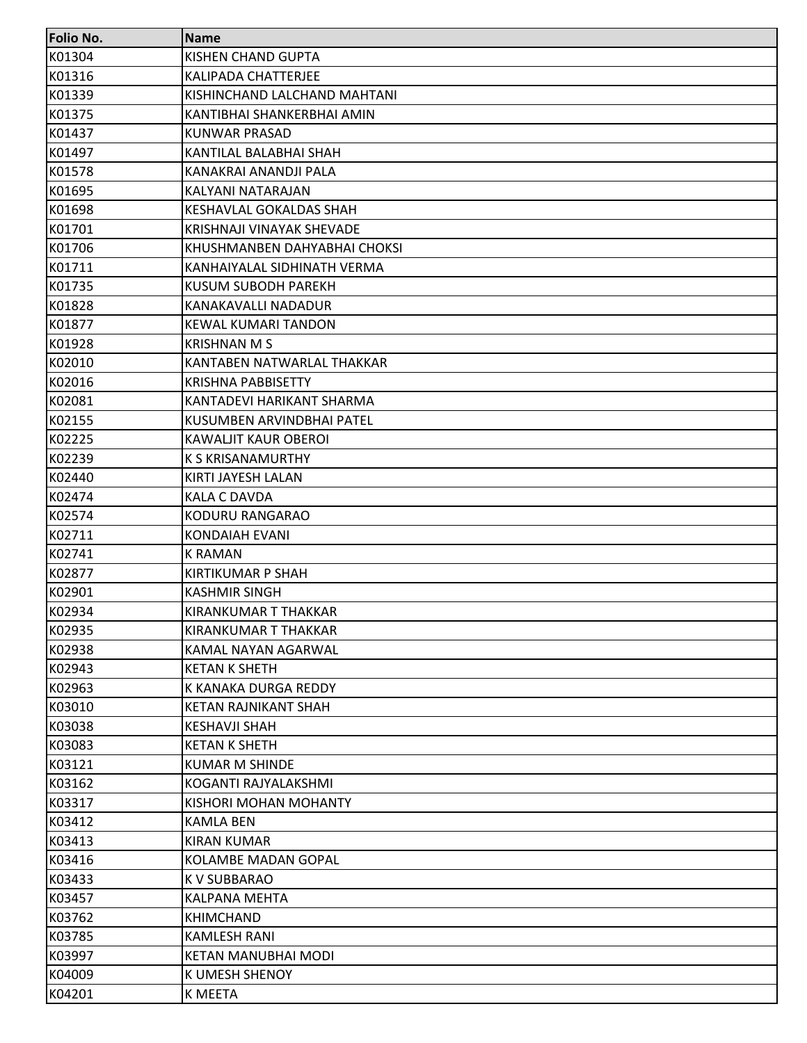| Folio No. | <b>Name</b>                  |
|-----------|------------------------------|
| K01304    | KISHEN CHAND GUPTA           |
| K01316    | <b>KALIPADA CHATTERJEE</b>   |
| K01339    | KISHINCHAND LALCHAND MAHTANI |
| K01375    | KANTIBHAI SHANKERBHAI AMIN   |
| K01437    | <b>KUNWAR PRASAD</b>         |
| K01497    | KANTILAL BALABHAI SHAH       |
| K01578    | KANAKRAI ANANDJI PALA        |
| K01695    | KALYANI NATARAJAN            |
| K01698    | KESHAVLAL GOKALDAS SHAH      |
| K01701    | KRISHNAJI VINAYAK SHEVADE    |
| K01706    | KHUSHMANBEN DAHYABHAI CHOKSI |
| K01711    | KANHAIYALAL SIDHINATH VERMA  |
| K01735    | KUSUM SUBODH PAREKH          |
| K01828    | KANAKAVALLI NADADUR          |
| K01877    | KEWAL KUMARI TANDON          |
| K01928    | <b>KRISHNAN M S</b>          |
| K02010    | KANTABEN NATWARLAL THAKKAR   |
| K02016    | KRISHNA PABBISETTY           |
| K02081    | KANTADEVI HARIKANT SHARMA    |
| K02155    | KUSUMBEN ARVINDBHAI PATEL    |
| K02225    | KAWALJIT KAUR OBEROI         |
| K02239    | <b>K S KRISANAMURTHY</b>     |
| K02440    | KIRTI JAYESH LALAN           |
| K02474    | <b>KALA C DAVDA</b>          |
| K02574    | KODURU RANGARAO              |
| K02711    | <b>KONDAIAH EVANI</b>        |
| K02741    | K RAMAN                      |
| K02877    | KIRTIKUMAR P SHAH            |
| K02901    | <b>KASHMIR SINGH</b>         |
| K02934    | KIRANKUMAR T THAKKAR         |
| K02935    | KIRANKUMAR T THAKKAR         |
| K02938    | KAMAL NAYAN AGARWAL          |
| K02943    | <b>KETAN K SHETH</b>         |
| K02963    | K KANAKA DURGA REDDY         |
| K03010    | KETAN RAJNIKANT SHAH         |
| K03038    | <b>KESHAVJI SHAH</b>         |
| K03083    | <b>KETAN K SHETH</b>         |
| K03121    | <b>KUMAR M SHINDE</b>        |
| K03162    | KOGANTI RAJYALAKSHMI         |
| K03317    | KISHORI MOHAN MOHANTY        |
| K03412    | <b>KAMLA BEN</b>             |
| K03413    | <b>KIRAN KUMAR</b>           |
| K03416    | <b>KOLAMBE MADAN GOPAL</b>   |
| K03433    | K V SUBBARAO                 |
| K03457    | <b>KALPANA MEHTA</b>         |
| K03762    | <b>KHIMCHAND</b>             |
| K03785    | <b>KAMLESH RANI</b>          |
| K03997    | KETAN MANUBHAI MODI          |
| K04009    | K UMESH SHENOY               |
| K04201    | K MEETA                      |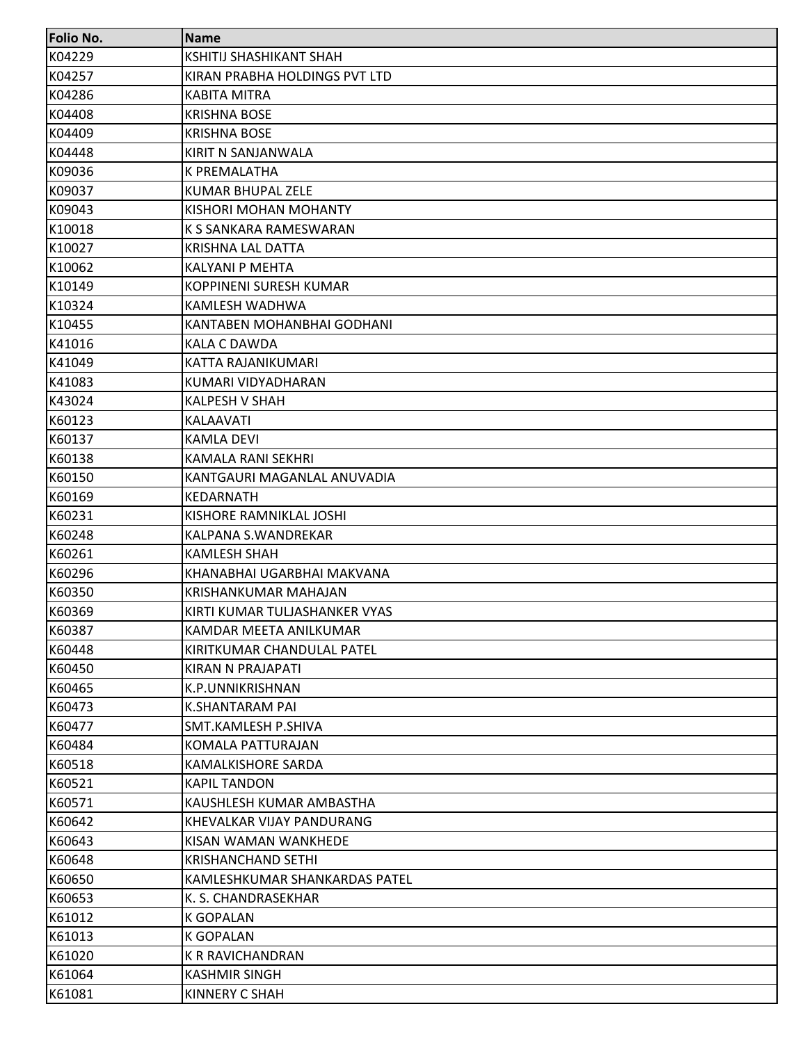| <b>Folio No.</b> | <b>Name</b>                   |
|------------------|-------------------------------|
| K04229           | KSHITIJ SHASHIKANT SHAH       |
| K04257           | KIRAN PRABHA HOLDINGS PVT LTD |
| K04286           | <b>KABITA MITRA</b>           |
| K04408           | <b>KRISHNA BOSE</b>           |
| K04409           | <b>KRISHNA BOSE</b>           |
| K04448           | KIRIT N SANJANWALA            |
| K09036           | K PREMALATHA                  |
| K09037           | <b>KUMAR BHUPAL ZELE</b>      |
| K09043           | KISHORI MOHAN MOHANTY         |
| K10018           | K S SANKARA RAMESWARAN        |
| K10027           | KRISHNA LAL DATTA             |
| K10062           | <b>KALYANI P MEHTA</b>        |
| K10149           | KOPPINENI SURESH KUMAR        |
| K10324           | KAMLESH WADHWA                |
| K10455           | KANTABEN MOHANBHAI GODHANI    |
| K41016           | <b>KALA C DAWDA</b>           |
| K41049           | KATTA RAJANIKUMARI            |
| K41083           | KUMARI VIDYADHARAN            |
| K43024           | <b>KALPESH V SHAH</b>         |
| K60123           | KALAAVATI                     |
| K60137           | <b>KAMLA DEVI</b>             |
| K60138           | KAMALA RANI SEKHRI            |
| K60150           | KANTGAURI MAGANLAL ANUVADIA   |
| K60169           | KEDARNATH                     |
| K60231           | KISHORE RAMNIKLAL JOSHI       |
| K60248           | KALPANA S.WANDREKAR           |
| K60261           | <b>KAMLESH SHAH</b>           |
| K60296           | KHANABHAI UGARBHAI MAKVANA    |
| K60350           | KRISHANKUMAR MAHAJAN          |
| K60369           | KIRTI KUMAR TULJASHANKER VYAS |
| K60387           | KAMDAR MEETA ANILKUMAR        |
| K60448           | KIRITKUMAR CHANDULAL PATEL    |
| K60450           | KIRAN N PRAJAPATI             |
| K60465           | K.P.UNNIKRISHNAN              |
| K60473           | K.SHANTARAM PAI               |
| K60477           | SMT.KAMLESH P.SHIVA           |
| K60484           | KOMALA PATTURAJAN             |
| K60518           | KAMALKISHORE SARDA            |
| K60521           | <b>KAPIL TANDON</b>           |
| K60571           | KAUSHLESH KUMAR AMBASTHA      |
| K60642           | KHEVALKAR VIJAY PANDURANG     |
| K60643           | KISAN WAMAN WANKHEDE          |
| K60648           | <b>KRISHANCHAND SETHI</b>     |
| K60650           | KAMLESHKUMAR SHANKARDAS PATEL |
| K60653           | K. S. CHANDRASEKHAR           |
| K61012           | <b>K GOPALAN</b>              |
| K61013           | <b>K GOPALAN</b>              |
| K61020           | <b>K R RAVICHANDRAN</b>       |
| K61064           | <b>KASHMIR SINGH</b>          |
| K61081           | <b>KINNERY C SHAH</b>         |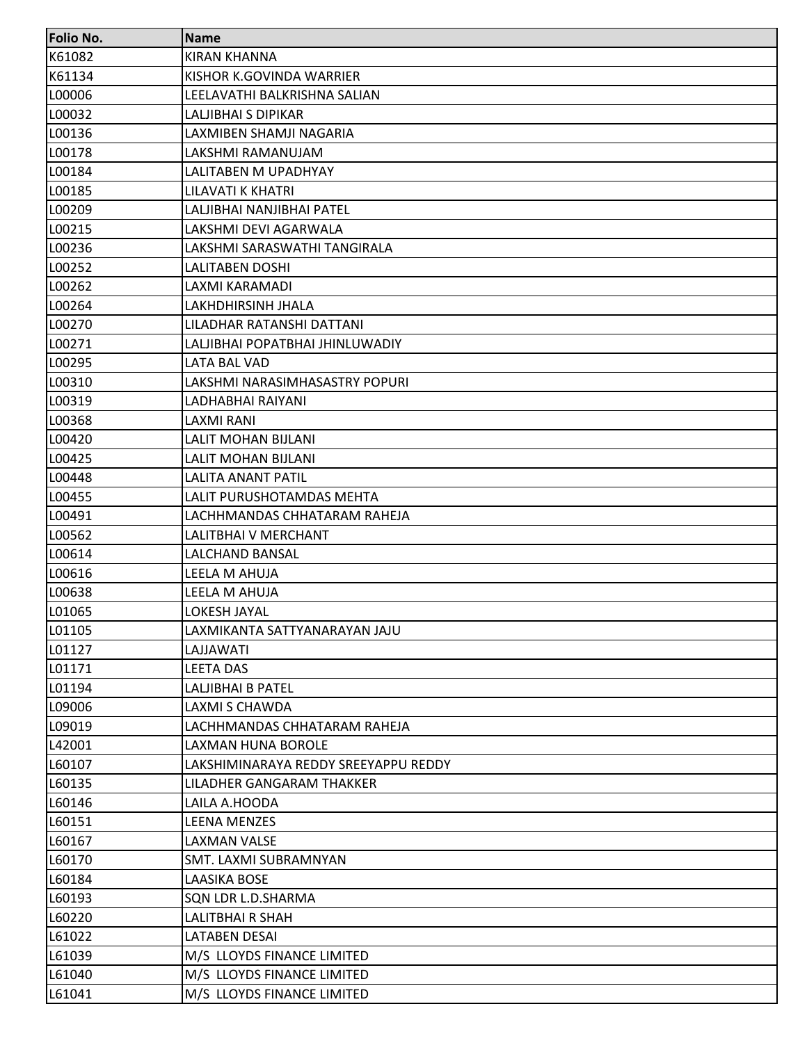| <b>Folio No.</b> | <b>Name</b>                          |
|------------------|--------------------------------------|
| K61082           | <b>KIRAN KHANNA</b>                  |
| K61134           | KISHOR K.GOVINDA WARRIER             |
| L00006           | LEELAVATHI BALKRISHNA SALIAN         |
| L00032           | LALJIBHAI S DIPIKAR                  |
| L00136           | LAXMIBEN SHAMJI NAGARIA              |
| L00178           | LAKSHMI RAMANUJAM                    |
| L00184           | LALITABEN M UPADHYAY                 |
| L00185           | LILAVATI K KHATRI                    |
| L00209           | LALJIBHAI NANJIBHAI PATEL            |
| L00215           | LAKSHMI DEVI AGARWALA                |
| L00236           | LAKSHMI SARASWATHI TANGIRALA         |
| L00252           | <b>LALITABEN DOSHI</b>               |
| L00262           | LAXMI KARAMADI                       |
| L00264           | LAKHDHIRSINH JHALA                   |
| L00270           | LILADHAR RATANSHI DATTANI            |
| L00271           | LALJIBHAI POPATBHAI JHINLUWADIY      |
| L00295           | <b>LATA BAL VAD</b>                  |
| L00310           | LAKSHMI NARASIMHASASTRY POPURI       |
| L00319           | LADHABHAI RAIYANI                    |
| L00368           | LAXMI RANI                           |
| L00420           | LALIT MOHAN BIJLANI                  |
| L00425           | LALIT MOHAN BIJLANI                  |
| L00448           | <b>LALITA ANANT PATIL</b>            |
| L00455           | LALIT PURUSHOTAMDAS MEHTA            |
| L00491           | LACHHMANDAS CHHATARAM RAHEJA         |
| L00562           | LALITBHAI V MERCHANT                 |
| L00614           | <b>LALCHAND BANSAL</b>               |
| L00616           | LEELA M AHUJA                        |
| L00638           | LEELA M AHUJA                        |
| L01065           | <b>LOKESH JAYAL</b>                  |
| L01105           | LAXMIKANTA SATTYANARAYAN JAJU        |
| L01127           | LAJJAWATI                            |
| L01171           | <b>LEETA DAS</b>                     |
| L01194           | <b>LALJIBHAI B PATEL</b>             |
| L09006           | LAXMI S CHAWDA                       |
| L09019           | LACHHMANDAS CHHATARAM RAHEJA         |
| L42001           | <b>LAXMAN HUNA BOROLE</b>            |
| L60107           | LAKSHIMINARAYA REDDY SREEYAPPU REDDY |
| L60135           | LILADHER GANGARAM THAKKER            |
| L60146           | LAILA A.HOODA                        |
| L60151           | <b>LEENA MENZES</b>                  |
| L60167           | <b>LAXMAN VALSE</b>                  |
| L60170           | SMT. LAXMI SUBRAMNYAN                |
| L60184           | <b>LAASIKA BOSE</b>                  |
| L60193           | SQN LDR L.D.SHARMA                   |
| L60220           | LALITBHAI R SHAH                     |
| L61022           | <b>LATABEN DESAI</b>                 |
| L61039           | M/S LLOYDS FINANCE LIMITED           |
| L61040           | M/S LLOYDS FINANCE LIMITED           |
| L61041           | M/S LLOYDS FINANCE LIMITED           |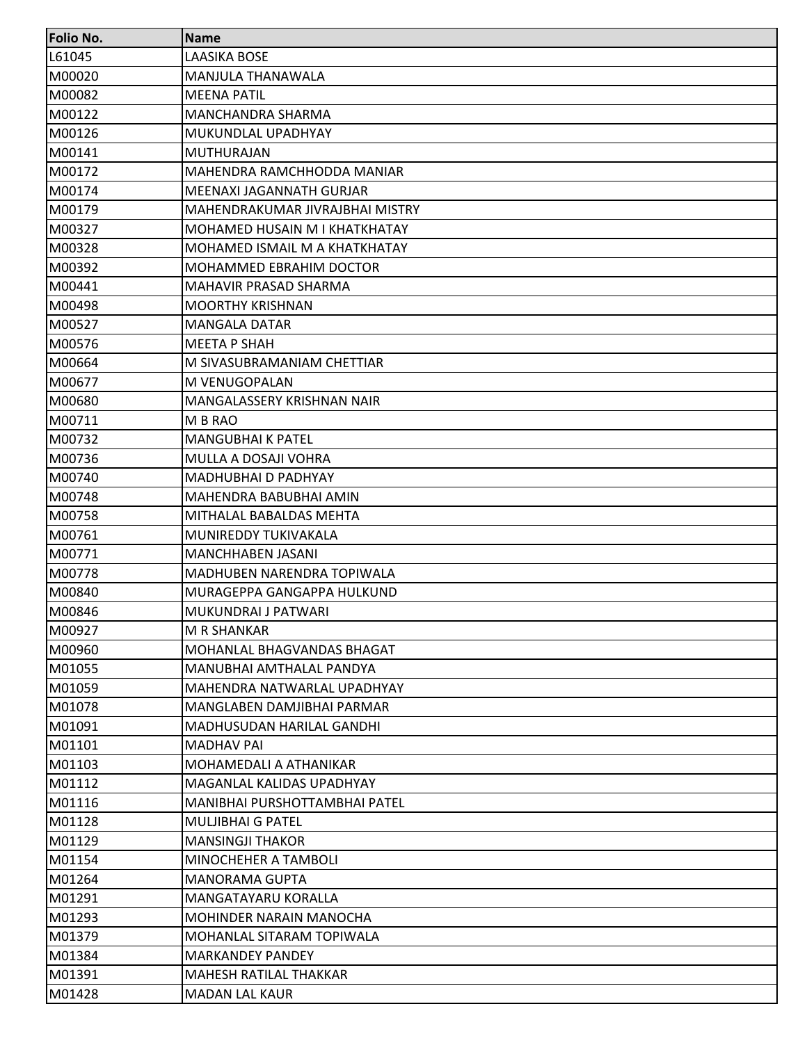| <b>Folio No.</b> | <b>Name</b>                      |
|------------------|----------------------------------|
| L61045           | <b>LAASIKA BOSE</b>              |
| M00020           | MANJULA THANAWALA                |
| M00082           | <b>MEENA PATIL</b>               |
| M00122           | MANCHANDRA SHARMA                |
| M00126           | MUKUNDLAL UPADHYAY               |
| M00141           | <b>MUTHURAJAN</b>                |
| M00172           | MAHENDRA RAMCHHODDA MANIAR       |
| M00174           | MEENAXI JAGANNATH GURJAR         |
| M00179           | MAHENDRAKUMAR JIVRAJBHAI MISTRY  |
| M00327           | MOHAMED HUSAIN M I KHATKHATAY    |
| M00328           | MOHAMED ISMAIL M A KHATKHATAY    |
| M00392           | MOHAMMED EBRAHIM DOCTOR          |
| M00441           | MAHAVIR PRASAD SHARMA            |
| M00498           | <b>MOORTHY KRISHNAN</b>          |
| M00527           | <b>MANGALA DATAR</b>             |
| M00576           | <b>MEETA P SHAH</b>              |
| M00664           | M SIVASUBRAMANIAM CHETTIAR       |
| M00677           | M VENUGOPALAN                    |
| M00680           | MANGALASSERY KRISHNAN NAIR       |
| M00711           | M B RAO                          |
| M00732           | <b>MANGUBHAI K PATEL</b>         |
| M00736           | MULLA A DOSAJI VOHRA             |
| M00740           | <b>MADHUBHAI D PADHYAY</b>       |
| M00748           | MAHENDRA BABUBHAI AMIN           |
| M00758           | MITHALAL BABALDAS MEHTA          |
| M00761           | MUNIREDDY TUKIVAKALA             |
| M00771           | <b>MANCHHABEN JASANI</b>         |
| M00778           | MADHUBEN NARENDRA TOPIWALA       |
| M00840           | MURAGEPPA GANGAPPA HULKUND       |
| M00846           | MUKUNDRAI J PATWARI              |
| M00927           | M R SHANKAR                      |
| M00960           | MOHANLAL BHAGVANDAS BHAGAT       |
| M01055           | MANUBHAI AMTHALAL PANDYA         |
| M01059           | MAHENDRA NATWARLAL UPADHYAY      |
| M01078           | MANGLABEN DAMJIBHAI PARMAR       |
| M01091           | <b>MADHUSUDAN HARILAL GANDHI</b> |
| M01101           | <b>MADHAV PAI</b>                |
| M01103           | MOHAMEDALI A ATHANIKAR           |
| M01112           | MAGANLAL KALIDAS UPADHYAY        |
| M01116           | MANIBHAI PURSHOTTAMBHAI PATEL    |
| M01128           | <b>MULJIBHAI G PATEL</b>         |
| M01129           | <b>MANSINGJI THAKOR</b>          |
| M01154           | MINOCHEHER A TAMBOLI             |
| M01264           | <b>MANORAMA GUPTA</b>            |
| M01291           | MANGATAYARU KORALLA              |
| M01293           | MOHINDER NARAIN MANOCHA          |
| M01379           | MOHANLAL SITARAM TOPIWALA        |
| M01384           | <b>MARKANDEY PANDEY</b>          |
| M01391           | MAHESH RATILAL THAKKAR           |
| M01428           | <b>MADAN LAL KAUR</b>            |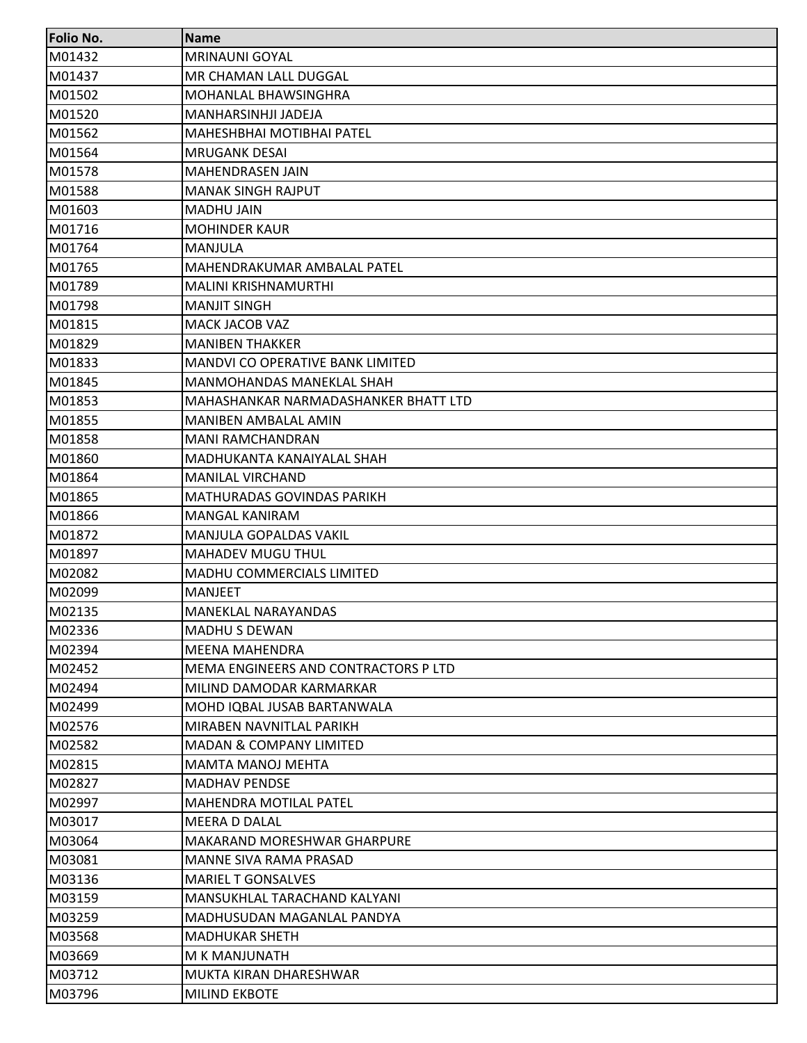| <b>Folio No.</b> | <b>Name</b>                             |
|------------------|-----------------------------------------|
| M01432           | <b>MRINAUNI GOYAL</b>                   |
| M01437           | MR CHAMAN LALL DUGGAL                   |
| M01502           | MOHANLAL BHAWSINGHRA                    |
| M01520           | MANHARSINHJI JADEJA                     |
| M01562           | <b>MAHESHBHAI MOTIBHAI PATEL</b>        |
| M01564           | <b>MRUGANK DESAI</b>                    |
| M01578           | <b>MAHENDRASEN JAIN</b>                 |
| M01588           | <b>MANAK SINGH RAJPUT</b>               |
| M01603           | <b>MADHU JAIN</b>                       |
| M01716           | <b>MOHINDER KAUR</b>                    |
| M01764           | MANJULA                                 |
| M01765           | MAHENDRAKUMAR AMBALAL PATEL             |
| M01789           | <b>MALINI KRISHNAMURTHI</b>             |
| M01798           | <b>MANJIT SINGH</b>                     |
| M01815           | <b>MACK JACOB VAZ</b>                   |
| M01829           | <b>MANIBEN THAKKER</b>                  |
| M01833           | <b>MANDVI CO OPERATIVE BANK LIMITED</b> |
| M01845           | <b>MANMOHANDAS MANEKLAL SHAH</b>        |
| M01853           | MAHASHANKAR NARMADASHANKER BHATT LTD    |
| M01855           | <b>MANIBEN AMBALAL AMIN</b>             |
| M01858           | <b>MANI RAMCHANDRAN</b>                 |
| M01860           | MADHUKANTA KANAIYALAL SHAH              |
| M01864           | <b>MANILAL VIRCHAND</b>                 |
| M01865           | <b>MATHURADAS GOVINDAS PARIKH</b>       |
| M01866           | MANGAL KANIRAM                          |
| M01872           | MANJULA GOPALDAS VAKIL                  |
| M01897           | <b>MAHADEV MUGU THUL</b>                |
| M02082           | MADHU COMMERCIALS LIMITED               |
| M02099           | <b>MANJEET</b>                          |
| M02135           | <b>MANEKLAL NARAYANDAS</b>              |
| M02336           | <b>MADHU S DEWAN</b>                    |
| M02394           | <b>MEENA MAHENDRA</b>                   |
| M02452           | MEMA ENGINEERS AND CONTRACTORS P LTD    |
| M02494           | MILIND DAMODAR KARMARKAR                |
| M02499           | MOHD IQBAL JUSAB BARTANWALA             |
| M02576           | MIRABEN NAVNITLAL PARIKH                |
| M02582           | <b>MADAN &amp; COMPANY LIMITED</b>      |
| M02815           | <b>MAMTA MANOJ MEHTA</b>                |
| M02827           | <b>MADHAV PENDSE</b>                    |
| M02997           | <b>MAHENDRA MOTILAL PATEL</b>           |
| M03017           | MEERA D DALAL                           |
| M03064           | MAKARAND MORESHWAR GHARPURE             |
| M03081           | MANNE SIVA RAMA PRASAD                  |
| M03136           | <b>MARIEL T GONSALVES</b>               |
| M03159           | MANSUKHLAL TARACHAND KALYANI            |
| M03259           | MADHUSUDAN MAGANLAL PANDYA              |
| M03568           | <b>MADHUKAR SHETH</b>                   |
| M03669           | M K MANJUNATH                           |
| M03712           | MUKTA KIRAN DHARESHWAR                  |
| M03796           | <b>MILIND EKBOTE</b>                    |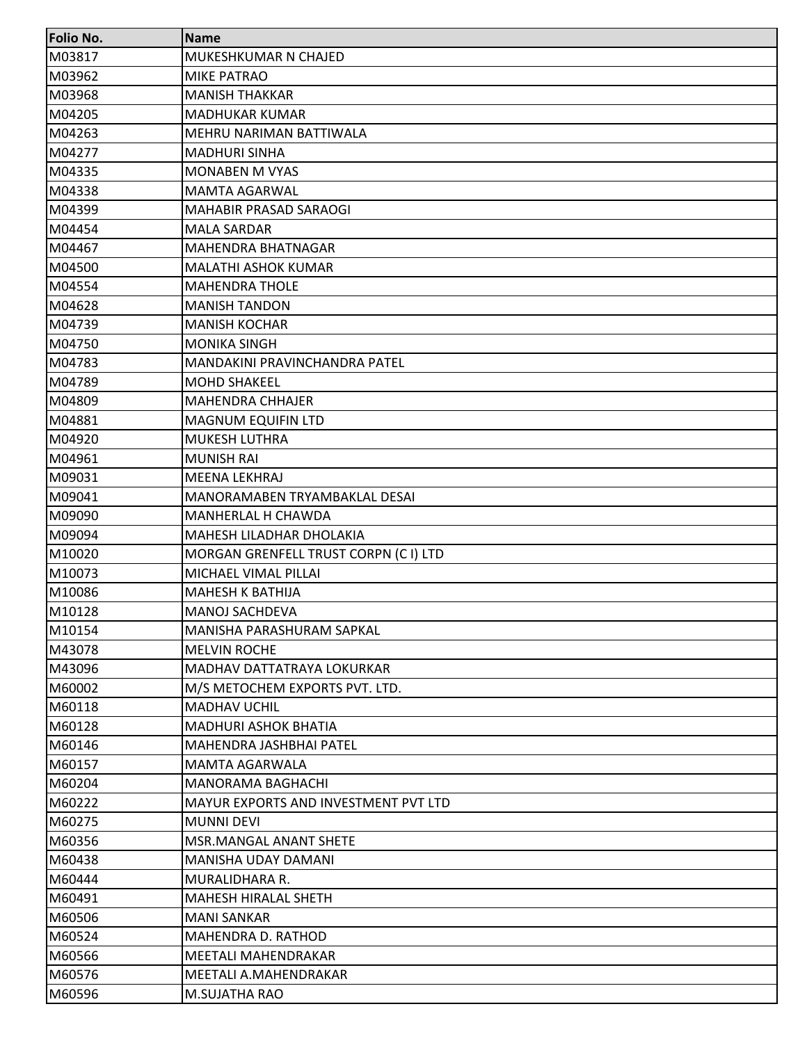| <b>Folio No.</b> | <b>Name</b>                                 |
|------------------|---------------------------------------------|
| M03817           | MUKESHKUMAR N CHAJED                        |
| M03962           | <b>MIKE PATRAO</b>                          |
| M03968           | <b>MANISH THAKKAR</b>                       |
| M04205           | <b>MADHUKAR KUMAR</b>                       |
| M04263           | MEHRU NARIMAN BATTIWALA                     |
| M04277           | <b>MADHURI SINHA</b>                        |
| M04335           | <b>MONABEN M VYAS</b>                       |
| M04338           | <b>MAMTA AGARWAL</b>                        |
| M04399           | <b>MAHABIR PRASAD SARAOGI</b>               |
| M04454           | <b>MALA SARDAR</b>                          |
| M04467           | <b>MAHENDRA BHATNAGAR</b>                   |
| M04500           | <b>MALATHI ASHOK KUMAR</b>                  |
| M04554           | <b>MAHENDRA THOLE</b>                       |
| M04628           | <b>MANISH TANDON</b>                        |
| M04739           | <b>MANISH KOCHAR</b>                        |
| M04750           | <b>MONIKA SINGH</b>                         |
| M04783           | <b>MANDAKINI PRAVINCHANDRA PATEL</b>        |
| M04789           | <b>MOHD SHAKEEL</b>                         |
| M04809           | <b>MAHENDRA CHHAJER</b>                     |
| M04881           | <b>MAGNUM EQUIFIN LTD</b>                   |
| M04920           | <b>MUKESH LUTHRA</b>                        |
| M04961           | <b>MUNISH RAI</b>                           |
| M09031           | <b>MEENA LEKHRAJ</b>                        |
| M09041           | MANORAMABEN TRYAMBAKLAL DESAI               |
| M09090           | <b>MANHERLAL H CHAWDA</b>                   |
| M09094           | <b>MAHESH LILADHAR DHOLAKIA</b>             |
| M10020           | MORGAN GRENFELL TRUST CORPN (CI) LTD        |
| M10073           | MICHAEL VIMAL PILLAI                        |
| M10086           | <b>MAHESH K BATHIJA</b>                     |
| M10128           | <b>MANOJ SACHDEVA</b>                       |
| M10154           | MANISHA PARASHURAM SAPKAL                   |
| M43078           | IMELVIN ROCHE                               |
| M43096           | <b>MADHAV DATTATRAYA LOKURKAR</b>           |
| M60002           | M/S METOCHEM EXPORTS PVT. LTD.              |
| M60118           | <b>MADHAV UCHIL</b>                         |
| M60128           | <b>MADHURI ASHOK BHATIA</b>                 |
| M60146           | lMAHENDRA JASHBHAI PATEL                    |
| M60157           | <b>MAMTA AGARWALA</b>                       |
| M60204           | <b>MANORAMA BAGHACHI</b>                    |
| M60222           | <b>MAYUR EXPORTS AND INVESTMENT PVT LTD</b> |
| M60275           | <b>MUNNI DEVI</b>                           |
| M60356           | <b>MSR.MANGAL ANANT SHETE</b>               |
| M60438           | MANISHA UDAY DAMANI                         |
| M60444           | MURALIDHARA R.                              |
| M60491           | <b>MAHESH HIRALAL SHETH</b>                 |
| M60506           | <b>MANI SANKAR</b>                          |
| M60524           | <b>MAHENDRA D. RATHOD</b>                   |
| M60566           | <b>MEETALI MAHENDRAKAR</b>                  |
| M60576           | MEETALI A.MAHENDRAKAR                       |
| M60596           | M.SUJATHA RAO                               |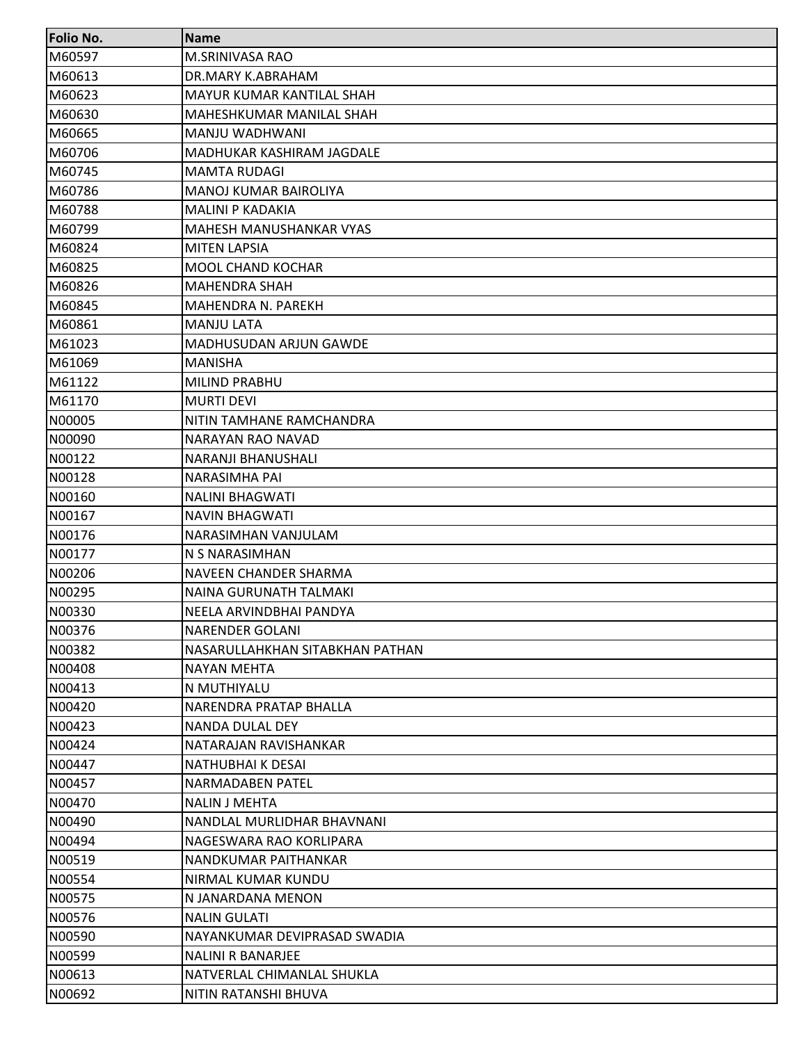| <b>Folio No.</b> | <b>Name</b>                     |
|------------------|---------------------------------|
| M60597           | M.SRINIVASA RAO                 |
| M60613           | DR.MARY K.ABRAHAM               |
| M60623           | MAYUR KUMAR KANTILAL SHAH       |
| M60630           | MAHESHKUMAR MANILAL SHAH        |
| M60665           | MANJU WADHWANI                  |
| M60706           | MADHUKAR KASHIRAM JAGDALE       |
| M60745           | <b>MAMTA RUDAGI</b>             |
| M60786           | <b>MANOJ KUMAR BAIROLIYA</b>    |
| M60788           | <b>MALINI P KADAKIA</b>         |
| M60799           | MAHESH MANUSHANKAR VYAS         |
| M60824           | <b>MITEN LAPSIA</b>             |
| M60825           | <b>MOOL CHAND KOCHAR</b>        |
| M60826           | <b>MAHENDRA SHAH</b>            |
| M60845           | MAHENDRA N. PAREKH              |
| M60861           | <b>MANJU LATA</b>               |
| M61023           | MADHUSUDAN ARJUN GAWDE          |
| M61069           | <b>MANISHA</b>                  |
| M61122           | MILIND PRABHU                   |
| M61170           | <b>MURTI DEVI</b>               |
| N00005           | NITIN TAMHANE RAMCHANDRA        |
| N00090           | NARAYAN RAO NAVAD               |
| N00122           | NARANJI BHANUSHALI              |
| N00128           | <b>NARASIMHA PAI</b>            |
| N00160           | <b>NALINI BHAGWATI</b>          |
| N00167           | <b>NAVIN BHAGWATI</b>           |
| N00176           | NARASIMHAN VANJULAM             |
| N00177           | N S NARASIMHAN                  |
| N00206           | NAVEEN CHANDER SHARMA           |
| N00295           | <b>NAINA GURUNATH TALMAKI</b>   |
| N00330           | NEELA ARVINDBHAI PANDYA         |
| N00376           | <b>NARENDER GOLANI</b>          |
| N00382           | NASARULLAHKHAN SITABKHAN PATHAN |
| N00408           | NAYAN MEHTA                     |
| N00413           | N MUTHIYALU                     |
| N00420           | NARENDRA PRATAP BHALLA          |
| N00423           | NANDA DULAL DEY                 |
| N00424           | NATARAJAN RAVISHANKAR           |
| N00447           | NATHUBHAI K DESAI               |
| N00457           | NARMADABEN PATEL                |
| N00470           | <b>NALIN J MEHTA</b>            |
| N00490           | NANDLAL MURLIDHAR BHAVNANI      |
| N00494           | NAGESWARA RAO KORLIPARA         |
| N00519           | NANDKUMAR PAITHANKAR            |
| N00554           | NIRMAL KUMAR KUNDU              |
| N00575           | N JANARDANA MENON               |
| N00576           | <b>NALIN GULATI</b>             |
| N00590           | NAYANKUMAR DEVIPRASAD SWADIA    |
| N00599           | <b>NALINI R BANARJEE</b>        |
| N00613           | NATVERLAL CHIMANLAL SHUKLA      |
| N00692           | NITIN RATANSHI BHUVA            |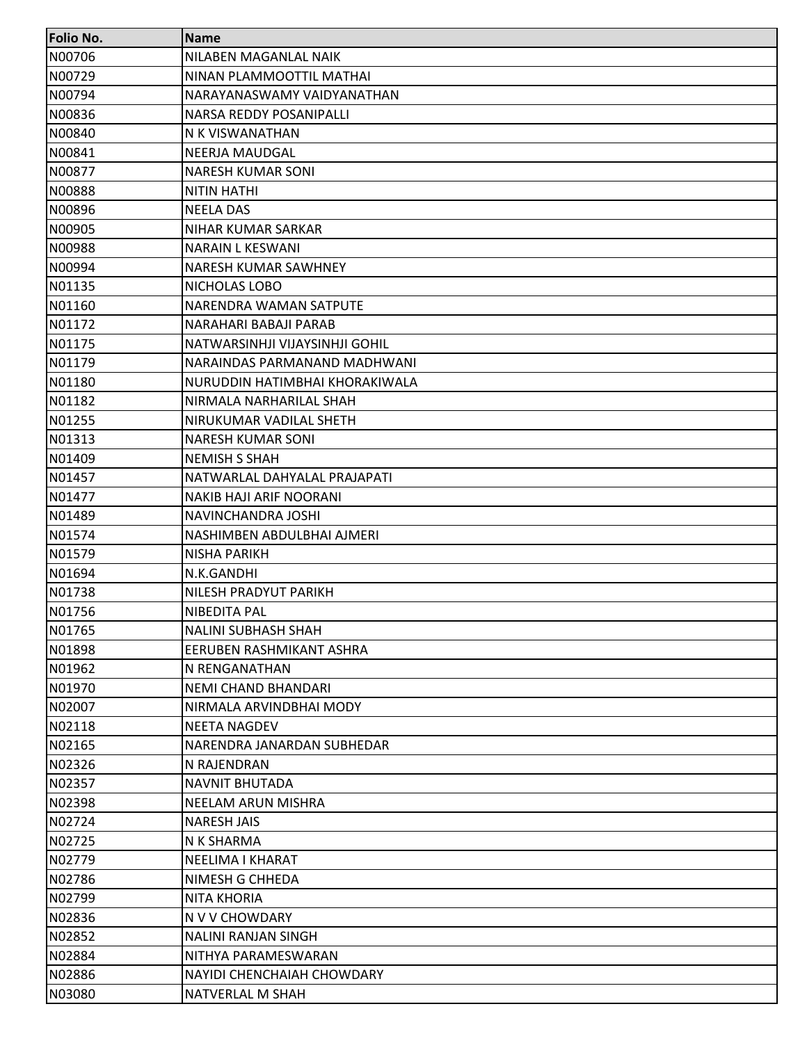| <b>Folio No.</b> | <b>Name</b>                    |
|------------------|--------------------------------|
| N00706           | NILABEN MAGANLAL NAIK          |
| N00729           | NINAN PLAMMOOTTIL MATHAI       |
| N00794           | NARAYANASWAMY VAIDYANATHAN     |
| N00836           | NARSA REDDY POSANIPALLI        |
| N00840           | N K VISWANATHAN                |
| N00841           | NEERJA MAUDGAL                 |
| N00877           | NARESH KUMAR SONI              |
| N00888           | <b>NITIN HATHI</b>             |
| N00896           | <b>NEELA DAS</b>               |
| N00905           | NIHAR KUMAR SARKAR             |
| N00988           | <b>NARAIN L KESWANI</b>        |
| N00994           | NARESH KUMAR SAWHNEY           |
| N01135           | NICHOLAS LOBO                  |
| N01160           | NARENDRA WAMAN SATPUTE         |
| N01172           | NARAHARI BABAJI PARAB          |
| N01175           | NATWARSINHJI VIJAYSINHJI GOHIL |
| N01179           | NARAINDAS PARMANAND MADHWANI   |
| N01180           | NURUDDIN HATIMBHAI KHORAKIWALA |
| N01182           | NIRMALA NARHARILAL SHAH        |
| N01255           | NIRUKUMAR VADILAL SHETH        |
| N01313           | <b>NARESH KUMAR SONI</b>       |
| N01409           | <b>NEMISH S SHAH</b>           |
| N01457           | NATWARLAL DAHYALAL PRAJAPATI   |
| N01477           | <b>NAKIB HAJI ARIF NOORANI</b> |
| N01489           | NAVINCHANDRA JOSHI             |
| N01574           | NASHIMBEN ABDULBHAI AJMERI     |
| N01579           | <b>NISHA PARIKH</b>            |
| N01694           | N.K.GANDHI                     |
| N01738           | NILESH PRADYUT PARIKH          |
| N01756           | NIBEDITA PAL                   |
| N01765           | <b>NALINI SUBHASH SHAH</b>     |
| N01898           | EERUBEN RASHMIKANT ASHRA       |
| N01962           | N RENGANATHAN                  |
| N01970           | NEMI CHAND BHANDARI            |
| N02007           | NIRMALA ARVINDBHAI MODY        |
| N02118           | <b>NEETA NAGDEV</b>            |
| N02165           | NARENDRA JANARDAN SUBHEDAR     |
| N02326           | N RAJENDRAN                    |
| N02357           | <b>NAVNIT BHUTADA</b>          |
| N02398           | NEELAM ARUN MISHRA             |
| N02724           | <b>NARESH JAIS</b>             |
| N02725           | N K SHARMA                     |
| N02779           | NEELIMA I KHARAT               |
| N02786           | NIMESH G CHHEDA                |
| N02799           | NITA KHORIA                    |
| N02836           | N V V CHOWDARY                 |
| N02852           | <b>NALINI RANJAN SINGH</b>     |
| N02884           | NITHYA PARAMESWARAN            |
| N02886           | NAYIDI CHENCHAIAH CHOWDARY     |
| N03080           | NATVERLAL M SHAH               |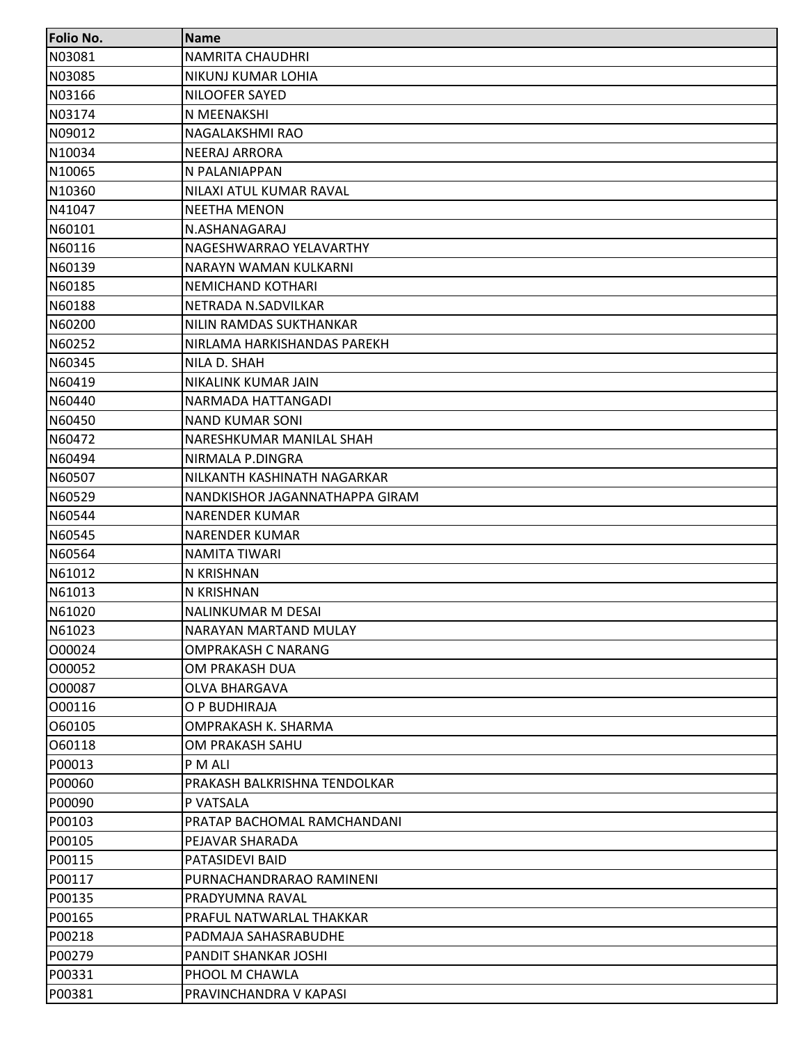| <b>Folio No.</b> | <b>Name</b>                    |
|------------------|--------------------------------|
| N03081           | <b>NAMRITA CHAUDHRI</b>        |
| N03085           | NIKUNJ KUMAR LOHIA             |
| N03166           | NILOOFER SAYED                 |
| N03174           | N MEENAKSHI                    |
| N09012           | NAGALAKSHMI RAO                |
| N10034           | <b>NEERAJ ARRORA</b>           |
| N10065           | N PALANIAPPAN                  |
| N10360           | NILAXI ATUL KUMAR RAVAL        |
| N41047           | <b>NEETHA MENON</b>            |
| N60101           | N.ASHANAGARAJ                  |
| N60116           | NAGESHWARRAO YELAVARTHY        |
| N60139           | NARAYN WAMAN KULKARNI          |
| N60185           | <b>NEMICHAND KOTHARI</b>       |
| N60188           | NETRADA N.SADVILKAR            |
| N60200           | NILIN RAMDAS SUKTHANKAR        |
| N60252           | NIRLAMA HARKISHANDAS PAREKH    |
| N60345           | NILA D. SHAH                   |
| N60419           | NIKALINK KUMAR JAIN            |
| N60440           | NARMADA HATTANGADI             |
| N60450           | <b>NAND KUMAR SONI</b>         |
| N60472           | NARESHKUMAR MANILAL SHAH       |
| N60494           | NIRMALA P.DINGRA               |
| N60507           | NILKANTH KASHINATH NAGARKAR    |
| N60529           | NANDKISHOR JAGANNATHAPPA GIRAM |
| N60544           | <b>NARENDER KUMAR</b>          |
| N60545           | <b>NARENDER KUMAR</b>          |
| N60564           | <b>NAMITA TIWARI</b>           |
| N61012           | N KRISHNAN                     |
| N61013           | N KRISHNAN                     |
| N61020           | NALINKUMAR M DESAI             |
| N61023           | NARAYAN MARTAND MULAY          |
| 000024           | <b>OMPRAKASH C NARANG</b>      |
| 000052           | OM PRAKASH DUA                 |
| 000087           | <b>OLVA BHARGAVA</b>           |
| 000116           | O P BUDHIRAJA                  |
| 060105           | OMPRAKASH K. SHARMA            |
| 060118           | OM PRAKASH SAHU                |
| P00013           | P M ALI                        |
| P00060           | PRAKASH BALKRISHNA TENDOLKAR   |
| P00090           | P VATSALA                      |
| P00103           | PRATAP BACHOMAL RAMCHANDANI    |
| P00105           | PEJAVAR SHARADA                |
| P00115           | PATASIDEVI BAID                |
| P00117           | PURNACHANDRARAO RAMINENI       |
| P00135           | PRADYUMNA RAVAL                |
| P00165           | PRAFUL NATWARLAL THAKKAR       |
| P00218           | PADMAJA SAHASRABUDHE           |
| P00279           | PANDIT SHANKAR JOSHI           |
| P00331           | PHOOL M CHAWLA                 |
| P00381           | PRAVINCHANDRA V KAPASI         |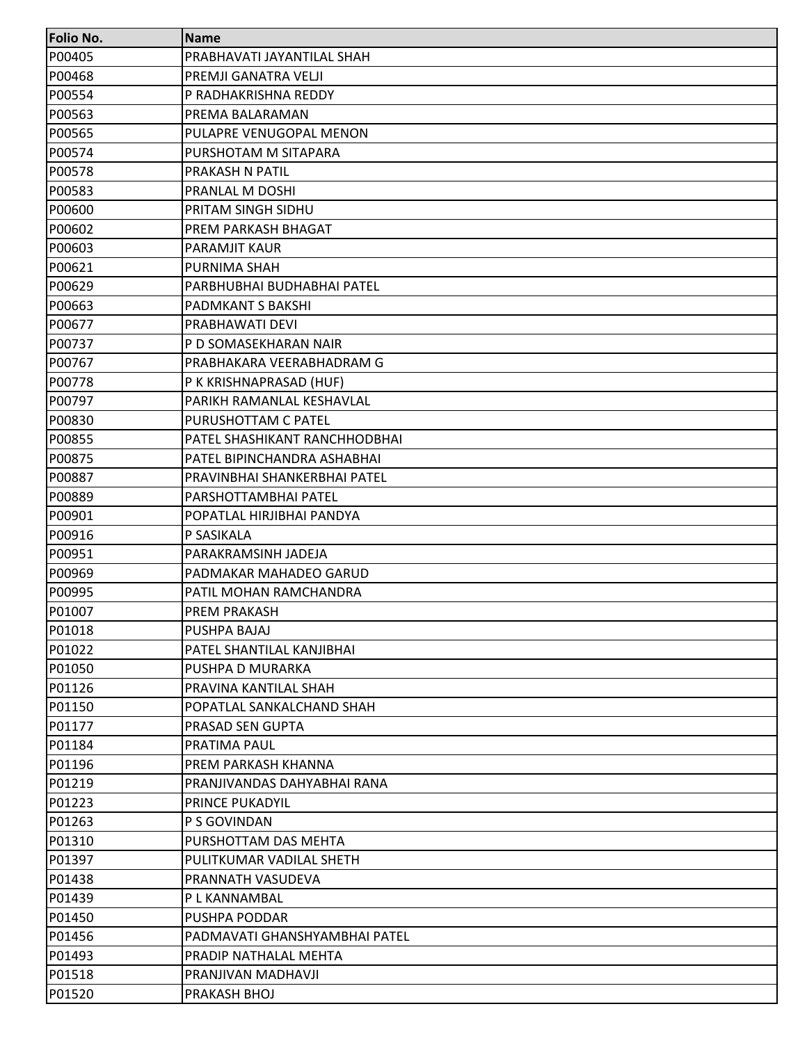| <b>Folio No.</b> | <b>Name</b>                   |
|------------------|-------------------------------|
| P00405           | PRABHAVATI JAYANTILAL SHAH    |
| P00468           | PREMJI GANATRA VELJI          |
| P00554           | P RADHAKRISHNA REDDY          |
| P00563           | PREMA BALARAMAN               |
| P00565           | PULAPRE VENUGOPAL MENON       |
| P00574           | PURSHOTAM M SITAPARA          |
| P00578           | PRAKASH N PATIL               |
| P00583           | PRANLAL M DOSHI               |
| P00600           | PRITAM SINGH SIDHU            |
| P00602           | PREM PARKASH BHAGAT           |
| P00603           | PARAMJIT KAUR                 |
| P00621           | PURNIMA SHAH                  |
| P00629           | PARBHUBHAI BUDHABHAI PATEL    |
| P00663           | PADMKANT S BAKSHI             |
| P00677           | PRABHAWATI DEVI               |
| P00737           | P D SOMASEKHARAN NAIR         |
| P00767           | PRABHAKARA VEERABHADRAM G     |
| P00778           | P K KRISHNAPRASAD (HUF)       |
| P00797           | PARIKH RAMANLAL KESHAVLAL     |
| P00830           | PURUSHOTTAM C PATEL           |
| P00855           | PATEL SHASHIKANT RANCHHODBHAI |
| P00875           | PATEL BIPINCHANDRA ASHABHAI   |
| P00887           | PRAVINBHAI SHANKERBHAI PATEL  |
| P00889           | PARSHOTTAMBHAI PATEL          |
| P00901           | POPATLAL HIRJIBHAI PANDYA     |
| P00916           | P SASIKALA                    |
| P00951           | PARAKRAMSINH JADEJA           |
| P00969           | PADMAKAR MAHADEO GARUD        |
| P00995           | PATIL MOHAN RAMCHANDRA        |
| P01007           | <b>PREM PRAKASH</b>           |
| P01018           | PUSHPA BAJAJ                  |
| P01022           | PATEL SHANTILAL KANJIBHAI     |
| P01050           | PUSHPA D MURARKA              |
| P01126           | PRAVINA KANTILAL SHAH         |
| P01150           | POPATLAL SANKALCHAND SHAH     |
| P01177           | PRASAD SEN GUPTA              |
| P01184           | PRATIMA PAUL                  |
| P01196           | PREM PARKASH KHANNA           |
| P01219           | PRANJIVANDAS DAHYABHAI RANA   |
| P01223           | <b>PRINCE PUKADYIL</b>        |
| P01263           | P S GOVINDAN                  |
| P01310           | PURSHOTTAM DAS MEHTA          |
| P01397           | PULITKUMAR VADILAL SHETH      |
| P01438           | PRANNATH VASUDEVA             |
| P01439           | P L KANNAMBAL                 |
| P01450           | PUSHPA PODDAR                 |
| P01456           | PADMAVATI GHANSHYAMBHAI PATEL |
| P01493           | PRADIP NATHALAL MEHTA         |
| P01518           | PRANJIVAN MADHAVJI            |
| P01520           | PRAKASH BHOJ                  |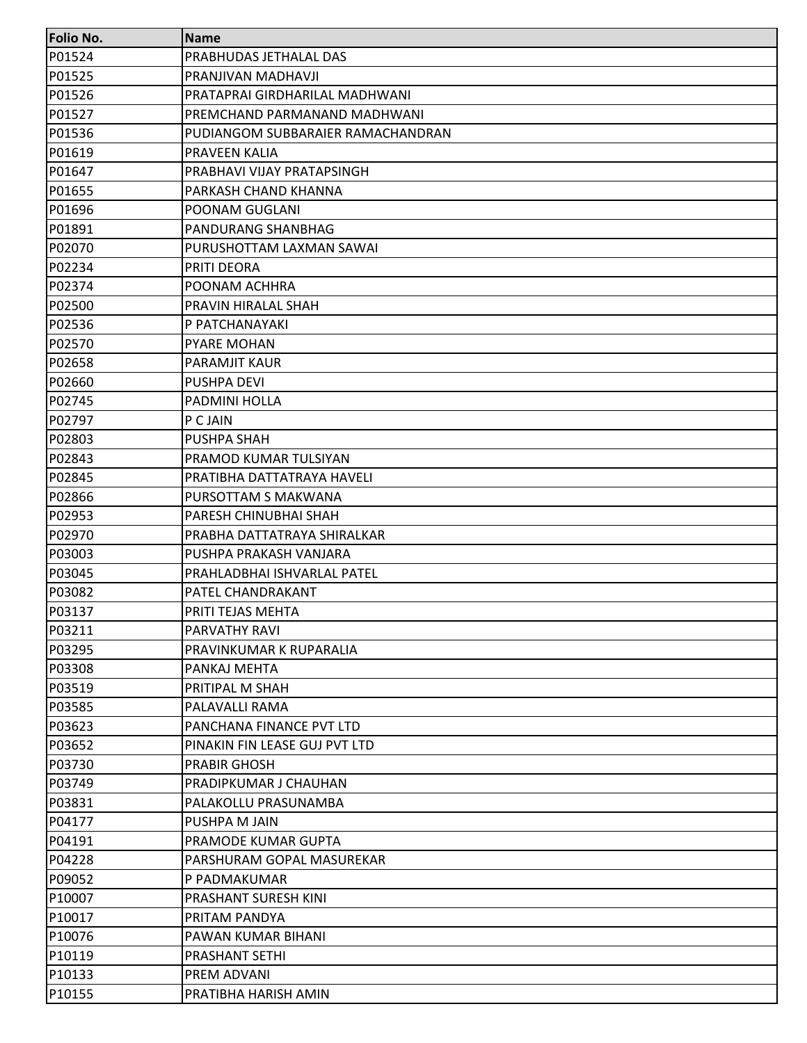| Folio No. | <b>Name</b>                       |
|-----------|-----------------------------------|
| P01524    | PRABHUDAS JETHALAL DAS            |
| P01525    | PRANJIVAN MADHAVJI                |
| P01526    | PRATAPRAI GIRDHARILAL MADHWANI    |
| P01527    | PREMCHAND PARMANAND MADHWANI      |
| P01536    | PUDIANGOM SUBBARAIER RAMACHANDRAN |
| P01619    | <b>PRAVEEN KALIA</b>              |
| P01647    | PRABHAVI VIJAY PRATAPSINGH        |
| P01655    | PARKASH CHAND KHANNA              |
| P01696    | POONAM GUGLANI                    |
| P01891    | PANDURANG SHANBHAG                |
| P02070    | PURUSHOTTAM LAXMAN SAWAI          |
| P02234    | PRITI DEORA                       |
| P02374    | POONAM ACHHRA                     |
| P02500    | PRAVIN HIRALAL SHAH               |
| P02536    | P PATCHANAYAKI                    |
| P02570    | <b>PYARE MOHAN</b>                |
| P02658    | <b>PARAMJIT KAUR</b>              |
| P02660    | PUSHPA DEVI                       |
| P02745    | PADMINI HOLLA                     |
| P02797    | P C JAIN                          |
| P02803    | PUSHPA SHAH                       |
| P02843    | PRAMOD KUMAR TULSIYAN             |
| P02845    | PRATIBHA DATTATRAYA HAVELI        |
| P02866    | PURSOTTAM S MAKWANA               |
| P02953    | PARESH CHINUBHAI SHAH             |
| P02970    | PRABHA DATTATRAYA SHIRALKAR       |
| P03003    | PUSHPA PRAKASH VANJARA            |
| P03045    | PRAHLADBHAI ISHVARLAL PATEL       |
| P03082    | PATEL CHANDRAKANT                 |
| P03137    | PRITI TEJAS MEHTA                 |
| P03211    | PARVATHY RAVI                     |
| P03295    | PRAVINKUMAR K RUPARALIA           |
| P03308    | PANKAJ MEHTA                      |
| P03519    | PRITIPAL M SHAH                   |
| P03585    | PALAVALLI RAMA                    |
| P03623    | PANCHANA FINANCE PVT LTD          |
| P03652    | PINAKIN FIN LEASE GUJ PVT LTD     |
| P03730    | <b>PRABIR GHOSH</b>               |
| P03749    | PRADIPKUMAR J CHAUHAN             |
| P03831    | PALAKOLLU PRASUNAMBA              |
| P04177    | PUSHPA M JAIN                     |
| P04191    | PRAMODE KUMAR GUPTA               |
| P04228    | PARSHURAM GOPAL MASUREKAR         |
| P09052    | P PADMAKUMAR                      |
| P10007    | PRASHANT SURESH KINI              |
| P10017    | PRITAM PANDYA                     |
| P10076    | PAWAN KUMAR BIHANI                |
| P10119    | PRASHANT SETHI                    |
| P10133    | PREM ADVANI                       |
| P10155    | PRATIBHA HARISH AMIN              |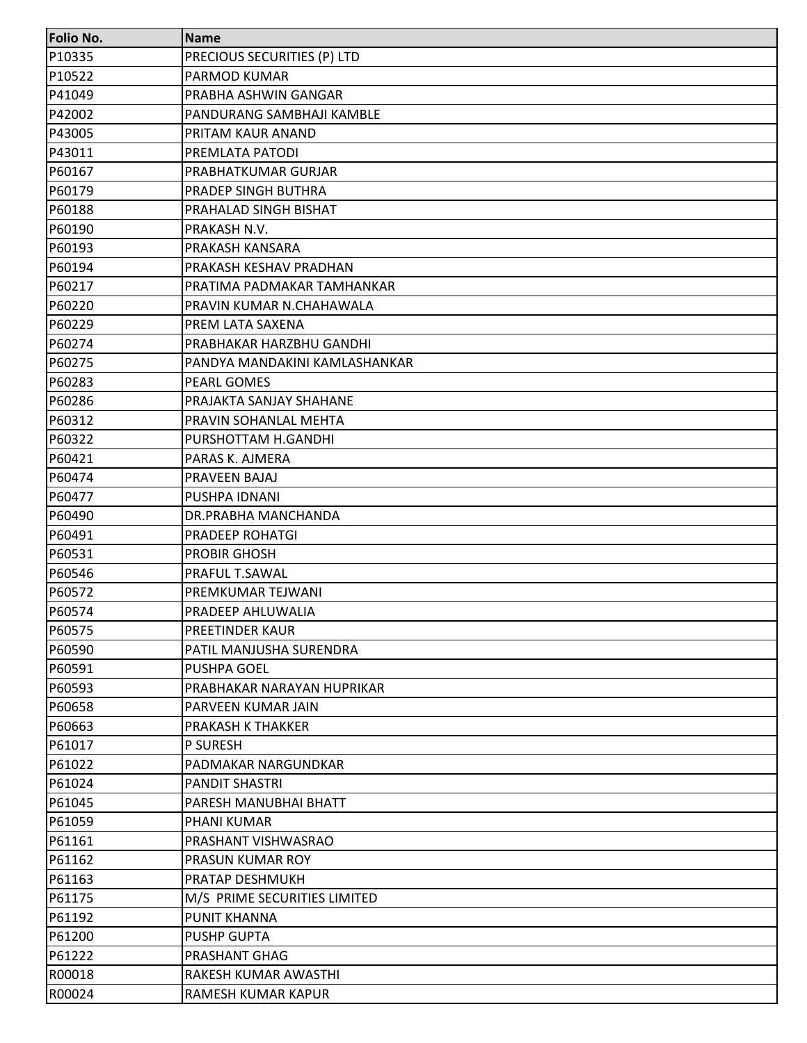| Folio No. | <b>Name</b>                   |
|-----------|-------------------------------|
| P10335    | PRECIOUS SECURITIES (P) LTD   |
| P10522    | PARMOD KUMAR                  |
| P41049    | PRABHA ASHWIN GANGAR          |
| P42002    | PANDURANG SAMBHAJI KAMBLE     |
| P43005    | PRITAM KAUR ANAND             |
| P43011    | PREMLATA PATODI               |
| P60167    | PRABHATKUMAR GURJAR           |
| P60179    | PRADEP SINGH BUTHRA           |
| P60188    | PRAHALAD SINGH BISHAT         |
| P60190    | PRAKASH N.V.                  |
| P60193    | PRAKASH KANSARA               |
| P60194    | PRAKASH KESHAV PRADHAN        |
| P60217    | PRATIMA PADMAKAR TAMHANKAR    |
| P60220    | PRAVIN KUMAR N.CHAHAWALA      |
| P60229    | PREM LATA SAXENA              |
| P60274    | PRABHAKAR HARZBHU GANDHI      |
| P60275    | PANDYA MANDAKINI KAMLASHANKAR |
| P60283    | PEARL GOMES                   |
| P60286    | PRAJAKTA SANJAY SHAHANE       |
| P60312    | PRAVIN SOHANLAL MEHTA         |
| P60322    | PURSHOTTAM H.GANDHI           |
| P60421    | PARAS K. AJMERA               |
| P60474    | PRAVEEN BAJAJ                 |
| P60477    | PUSHPA IDNANI                 |
| P60490    | DR.PRABHA MANCHANDA           |
| P60491    | PRADEEP ROHATGI               |
| P60531    | PROBIR GHOSH                  |
| P60546    | PRAFUL T.SAWAL                |
| P60572    | PREMKUMAR TEJWANI             |
| P60574    | PRADEEP AHLUWALIA             |
| P60575    | <b>PREETINDER KAUR</b>        |
| P60590    | PATIL MANJUSHA SURENDRA       |
| P60591    | PUSHPA GOEL                   |
| P60593    | PRABHAKAR NARAYAN HUPRIKAR    |
| P60658    | PARVEEN KUMAR JAIN            |
| P60663    | PRAKASH K THAKKER             |
| P61017    | P SURESH                      |
| P61022    | PADMAKAR NARGUNDKAR           |
| P61024    | <b>PANDIT SHASTRI</b>         |
| P61045    | PARESH MANUBHAI BHATT         |
| P61059    | PHANI KUMAR                   |
| P61161    | PRASHANT VISHWASRAO           |
| P61162    | PRASUN KUMAR ROY              |
| P61163    | <b>PRATAP DESHMUKH</b>        |
| P61175    | M/S PRIME SECURITIES LIMITED  |
| P61192    | <b>PUNIT KHANNA</b>           |
| P61200    | <b>PUSHP GUPTA</b>            |
| P61222    | PRASHANT GHAG                 |
| R00018    | RAKESH KUMAR AWASTHI          |
| R00024    | RAMESH KUMAR KAPUR            |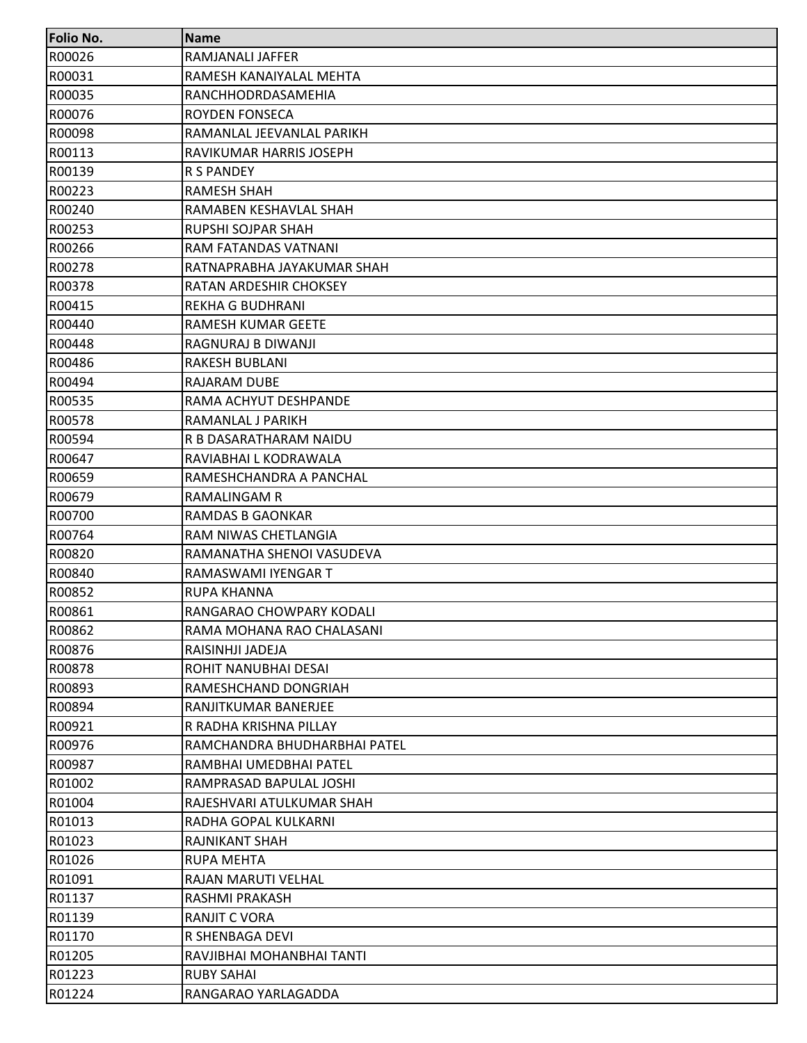| <b>Folio No.</b> | <b>Name</b>                   |
|------------------|-------------------------------|
| R00026           | RAMJANALI JAFFER              |
| R00031           | RAMESH KANAIYALAL MEHTA       |
| R00035           | RANCHHODRDASAMEHIA            |
| R00076           | <b>ROYDEN FONSECA</b>         |
| R00098           | RAMANLAL JEEVANLAL PARIKH     |
| R00113           | RAVIKUMAR HARRIS JOSEPH       |
| R00139           | R S PANDEY                    |
| R00223           | <b>RAMESH SHAH</b>            |
| R00240           | RAMABEN KESHAVLAL SHAH        |
| R00253           | RUPSHI SOJPAR SHAH            |
| R00266           | RAM FATANDAS VATNANI          |
| R00278           | RATNAPRABHA JAYAKUMAR SHAH    |
| R00378           | <b>RATAN ARDESHIR CHOKSEY</b> |
| R00415           | <b>REKHA G BUDHRANI</b>       |
| R00440           | <b>RAMESH KUMAR GEETE</b>     |
| R00448           | RAGNURAJ B DIWANJI            |
| R00486           | <b>RAKESH BUBLANI</b>         |
| R00494           | <b>RAJARAM DUBE</b>           |
| R00535           | RAMA ACHYUT DESHPANDE         |
| R00578           | RAMANLAL J PARIKH             |
| R00594           | R B DASARATHARAM NAIDU        |
| R00647           | RAVIABHAI L KODRAWALA         |
| R00659           | RAMESHCHANDRA A PANCHAL       |
| R00679           | RAMALINGAM R                  |
| R00700           | RAMDAS B GAONKAR              |
| R00764           | RAM NIWAS CHETLANGIA          |
| R00820           | RAMANATHA SHENOI VASUDEVA     |
| R00840           | RAMASWAMI IYENGAR T           |
| R00852           | <b>RUPA KHANNA</b>            |
| R00861           | RANGARAO CHOWPARY KODALI      |
| R00862           | RAMA MOHANA RAO CHALASANI     |
| R00876           | RAISINHJI JADEJA              |
| R00878           | ROHIT NANUBHAI DESAI          |
| R00893           | RAMESHCHAND DONGRIAH          |
| R00894           | RANJITKUMAR BANERJEE          |
| R00921           | R RADHA KRISHNA PILLAY        |
| R00976           | RAMCHANDRA BHUDHARBHAI PATEL  |
| R00987           | RAMBHAI UMEDBHAI PATEL        |
| R01002           | RAMPRASAD BAPULAL JOSHI       |
| R01004           | RAJESHVARI ATULKUMAR SHAH     |
| R01013           | RADHA GOPAL KULKARNI          |
| R01023           | RAJNIKANT SHAH                |
| R01026           | <b>RUPA MEHTA</b>             |
| R01091           | RAJAN MARUTI VELHAL           |
| R01137           | RASHMI PRAKASH                |
| R01139           | <b>RANJIT C VORA</b>          |
| R01170           | R SHENBAGA DEVI               |
| R01205           | RAVJIBHAI MOHANBHAI TANTI     |
| R01223           | <b>RUBY SAHAI</b>             |
| R01224           | RANGARAO YARLAGADDA           |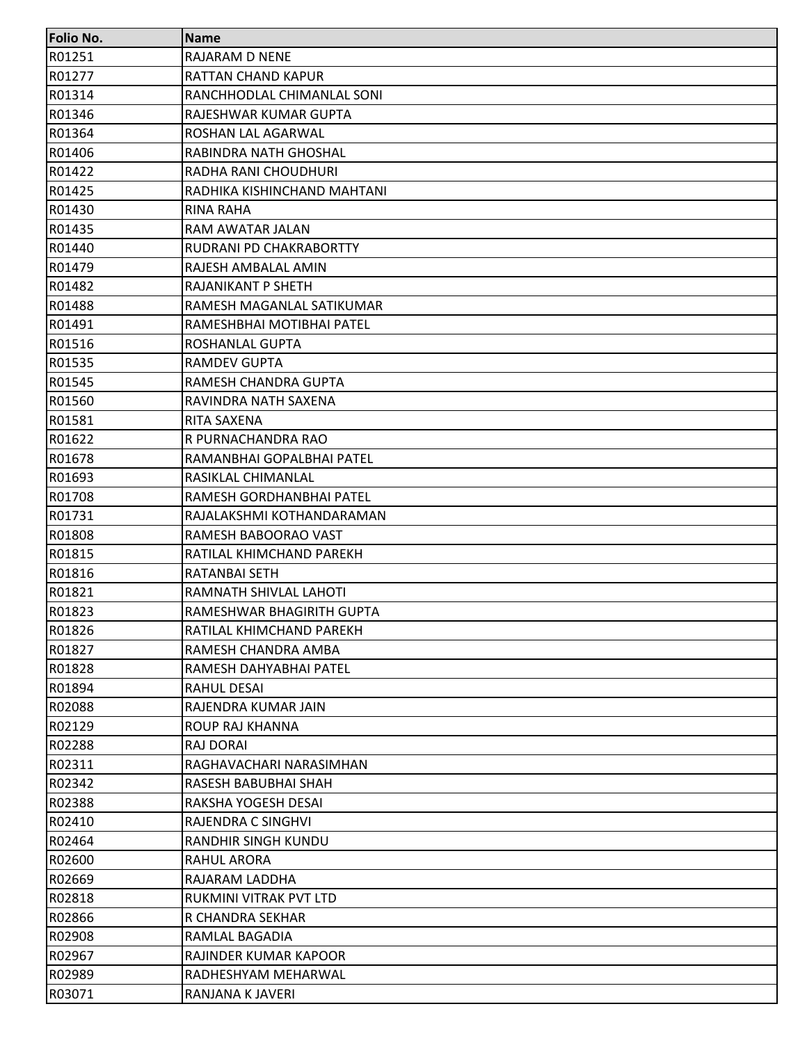| <b>Folio No.</b> | <b>Name</b>                 |
|------------------|-----------------------------|
| R01251           | RAJARAM D NENE              |
| R01277           | RATTAN CHAND KAPUR          |
| R01314           | RANCHHODLAL CHIMANLAL SONI  |
| R01346           | RAJESHWAR KUMAR GUPTA       |
| R01364           | ROSHAN LAL AGARWAL          |
| R01406           | RABINDRA NATH GHOSHAL       |
| R01422           | RADHA RANI CHOUDHURI        |
| R01425           | RADHIKA KISHINCHAND MAHTANI |
| R01430           | RINA RAHA                   |
| R01435           | RAM AWATAR JALAN            |
| R01440           | RUDRANI PD CHAKRABORTTY     |
| R01479           | RAJESH AMBALAL AMIN         |
| R01482           | RAJANIKANT P SHETH          |
| R01488           | RAMESH MAGANLAL SATIKUMAR   |
| R01491           | RAMESHBHAI MOTIBHAI PATEL   |
| R01516           | ROSHANLAL GUPTA             |
| R01535           | <b>RAMDEV GUPTA</b>         |
| R01545           | RAMESH CHANDRA GUPTA        |
| R01560           | RAVINDRA NATH SAXENA        |
| R01581           | RITA SAXENA                 |
| R01622           | R PURNACHANDRA RAO          |
| R01678           | RAMANBHAI GOPALBHAI PATEL   |
| R01693           | RASIKLAL CHIMANLAL          |
| R01708           | RAMESH GORDHANBHAI PATEL    |
| R01731           | RAJALAKSHMI KOTHANDARAMAN   |
| R01808           | RAMESH BABOORAO VAST        |
| R01815           | RATILAL KHIMCHAND PAREKH    |
| R01816           | RATANBAI SETH               |
| R01821           | RAMNATH SHIVLAL LAHOTI      |
| R01823           | RAMESHWAR BHAGIRITH GUPTA   |
| R01826           | RATILAL KHIMCHAND PAREKH    |
| R01827           | RAMESH CHANDRA AMBA         |
| R01828           | RAMESH DAHYABHAI PATEL      |
| R01894           | <b>RAHUL DESAI</b>          |
| R02088           | RAJENDRA KUMAR JAIN         |
| R02129           | ROUP RAJ KHANNA             |
| R02288           | RAJ DORAI                   |
| R02311           | RAGHAVACHARI NARASIMHAN     |
| R02342           | RASESH BABUBHAI SHAH        |
| R02388           | RAKSHA YOGESH DESAI         |
| R02410           | RAJENDRA C SINGHVI          |
| R02464           | RANDHIR SINGH KUNDU         |
| R02600           | RAHUL ARORA                 |
| R02669           | RAJARAM LADDHA              |
| R02818           | RUKMINI VITRAK PVT LTD      |
| R02866           | R CHANDRA SEKHAR            |
| R02908           | RAMLAL BAGADIA              |
| R02967           | RAJINDER KUMAR KAPOOR       |
| R02989           | RADHESHYAM MEHARWAL         |
| R03071           | RANJANA K JAVERI            |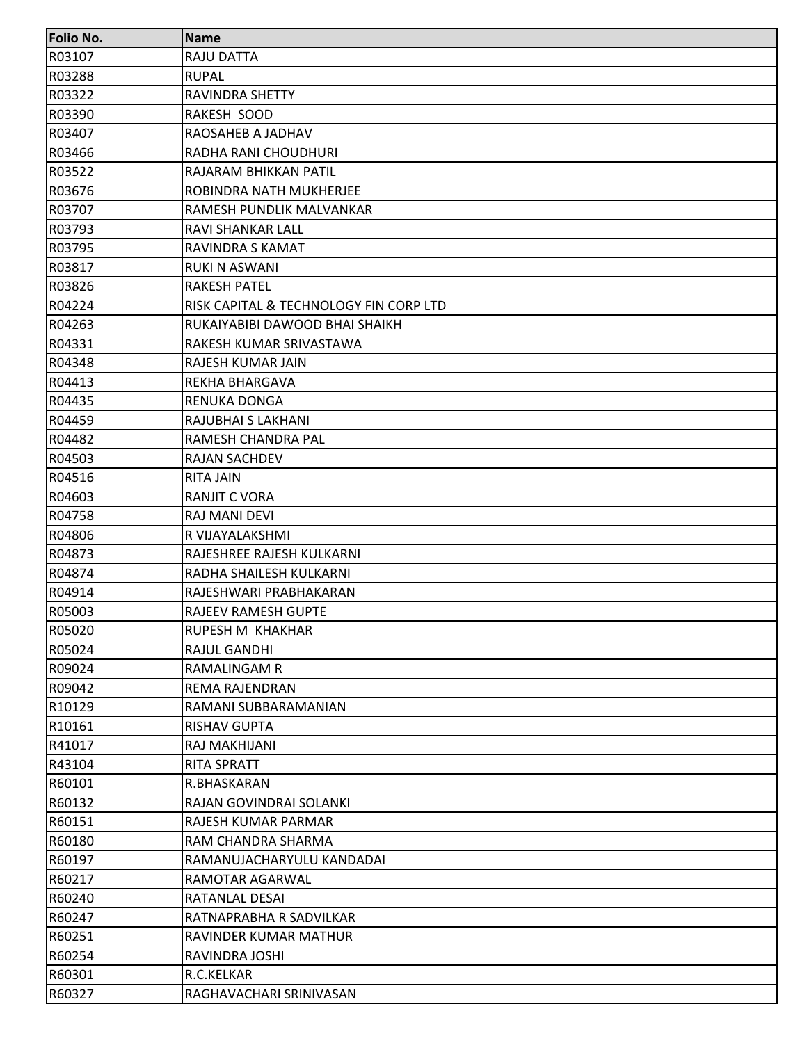| Folio No. | <b>Name</b>                            |
|-----------|----------------------------------------|
| R03107    | RAJU DATTA                             |
| R03288    | <b>RUPAL</b>                           |
| R03322    | <b>RAVINDRA SHETTY</b>                 |
| R03390    | RAKESH SOOD                            |
| R03407    | RAOSAHEB A JADHAV                      |
| R03466    | RADHA RANI CHOUDHURI                   |
| R03522    | RAJARAM BHIKKAN PATIL                  |
| R03676    | ROBINDRA NATH MUKHERJEE                |
| R03707    | RAMESH PUNDLIK MALVANKAR               |
| R03793    | RAVI SHANKAR LALL                      |
| R03795    | RAVINDRA S KAMAT                       |
| R03817    | <b>RUKI N ASWANI</b>                   |
| R03826    | <b>RAKESH PATEL</b>                    |
| R04224    | RISK CAPITAL & TECHNOLOGY FIN CORP LTD |
| R04263    | RUKAIYABIBI DAWOOD BHAI SHAIKH         |
| R04331    | RAKESH KUMAR SRIVASTAWA                |
| R04348    | RAJESH KUMAR JAIN                      |
| R04413    | REKHA BHARGAVA                         |
| R04435    | <b>RENUKA DONGA</b>                    |
| R04459    | RAJUBHAI S LAKHANI                     |
| R04482    | RAMESH CHANDRA PAL                     |
| R04503    | <b>RAJAN SACHDEV</b>                   |
| R04516    | <b>RITA JAIN</b>                       |
| R04603    | <b>RANJIT C VORA</b>                   |
| R04758    | RAJ MANI DEVI                          |
| R04806    | R VIJAYALAKSHMI                        |
| R04873    | RAJESHREE RAJESH KULKARNI              |
| R04874    | RADHA SHAILESH KULKARNI                |
| R04914    | RAJESHWARI PRABHAKARAN                 |
| R05003    | RAJEEV RAMESH GUPTE                    |
| R05020    | RUPESH M KHAKHAR                       |
| R05024    | RAJUL GANDHI                           |
| R09024    | RAMALINGAM R                           |
| R09042    | REMA RAJENDRAN                         |
| R10129    | RAMANI SUBBARAMANIAN                   |
| R10161    | <b>RISHAV GUPTA</b>                    |
| R41017    | RAJ MAKHIJANI                          |
| R43104    | <b>RITA SPRATT</b>                     |
| R60101    | R.BHASKARAN                            |
| R60132    | RAJAN GOVINDRAI SOLANKI                |
| R60151    | RAJESH KUMAR PARMAR                    |
| R60180    | RAM CHANDRA SHARMA                     |
| R60197    | RAMANUJACHARYULU KANDADAI              |
| R60217    | RAMOTAR AGARWAL                        |
| R60240    | RATANLAL DESAI                         |
| R60247    | RATNAPRABHA R SADVILKAR                |
| R60251    | RAVINDER KUMAR MATHUR                  |
| R60254    | RAVINDRA JOSHI                         |
| R60301    | R.C.KELKAR                             |
| R60327    | RAGHAVACHARI SRINIVASAN                |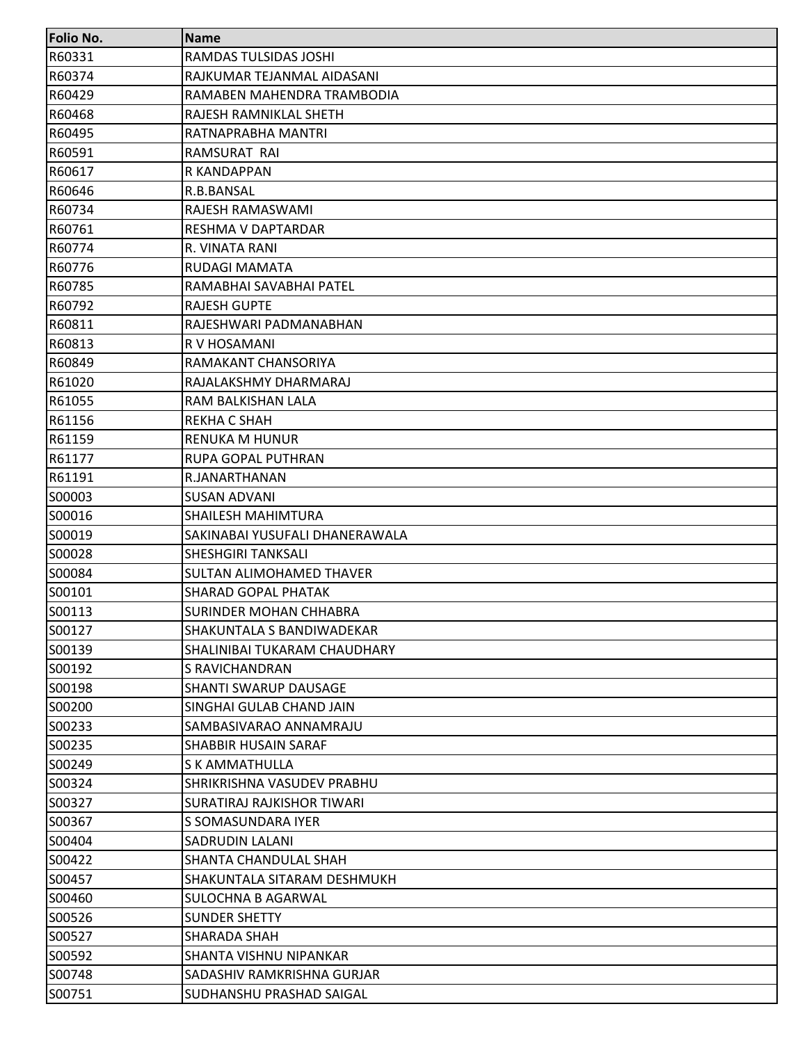| <b>Folio No.</b> | <b>Name</b>                      |
|------------------|----------------------------------|
| R60331           | RAMDAS TULSIDAS JOSHI            |
| R60374           | RAJKUMAR TEJANMAL AIDASANI       |
| R60429           | RAMABEN MAHENDRA TRAMBODIA       |
| R60468           | RAJESH RAMNIKLAL SHETH           |
| R60495           | RATNAPRABHA MANTRI               |
| R60591           | RAMSURAT RAI                     |
| R60617           | R KANDAPPAN                      |
| R60646           | R.B.BANSAL                       |
| R60734           | RAJESH RAMASWAMI                 |
| R60761           | RESHMA V DAPTARDAR               |
| R60774           | R. VINATA RANI                   |
| R60776           | RUDAGI MAMATA                    |
| R60785           | RAMABHAI SAVABHAI PATEL          |
| R60792           | <b>RAJESH GUPTE</b>              |
| R60811           | RAJESHWARI PADMANABHAN           |
| R60813           | R V HOSAMANI                     |
| R60849           | RAMAKANT CHANSORIYA              |
| R61020           | RAJALAKSHMY DHARMARAJ            |
| R61055           | RAM BALKISHAN LALA               |
| R61156           | <b>REKHA C SHAH</b>              |
| R61159           | <b>RENUKA M HUNUR</b>            |
| R61177           | RUPA GOPAL PUTHRAN               |
| R61191           | R.JANARTHANAN                    |
| S00003           | <b>SUSAN ADVANI</b>              |
| S00016           | SHAILESH MAHIMTURA               |
| S00019           | SAKINABAI YUSUFALI DHANERAWALA   |
| S00028           | <b>SHESHGIRI TANKSALI</b>        |
| S00084           | SULTAN ALIMOHAMED THAVER         |
| S00101           | <b>SHARAD GOPAL PHATAK</b>       |
| S00113           | SURINDER MOHAN CHHABRA           |
| S00127           | <b>SHAKUNTALA S BANDIWADEKAR</b> |
| S00139           | SHALINIBAI TUKARAM CHAUDHARY     |
| S00192           | <b>S RAVICHANDRAN</b>            |
| S00198           | <b>SHANTI SWARUP DAUSAGE</b>     |
| S00200           | SINGHAI GULAB CHAND JAIN         |
| S00233           | SAMBASIVARAO ANNAMRAJU           |
| S00235           | SHABBIR HUSAIN SARAF             |
| S00249           | <b>S K AMMATHULLA</b>            |
| S00324           | SHRIKRISHNA VASUDEV PRABHU       |
| S00327           | SURATIRAJ RAJKISHOR TIWARI       |
| S00367           | S SOMASUNDARA IYER               |
| S00404           | SADRUDIN LALANI                  |
| S00422           | SHANTA CHANDULAL SHAH            |
| S00457           | SHAKUNTALA SITARAM DESHMUKH      |
| S00460           | SULOCHNA B AGARWAL               |
| S00526           | <b>SUNDER SHETTY</b>             |
| S00527           | SHARADA SHAH                     |
| S00592           | SHANTA VISHNU NIPANKAR           |
| S00748           | SADASHIV RAMKRISHNA GURJAR       |
| S00751           | <b>SUDHANSHU PRASHAD SAIGAL</b>  |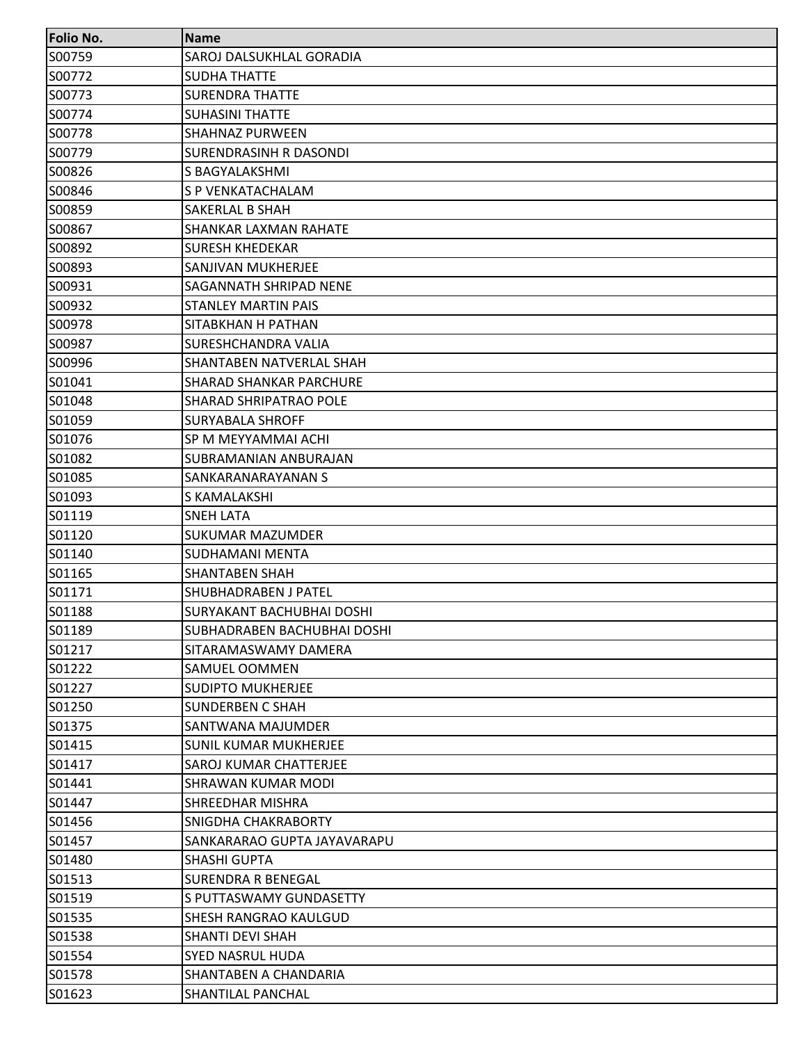| Folio No. | <b>Name</b>                        |
|-----------|------------------------------------|
| S00759    | SAROJ DALSUKHLAL GORADIA           |
| S00772    | <b>SUDHA THATTE</b>                |
| S00773    | <b>SURENDRA THATTE</b>             |
| S00774    | <b>SUHASINI THATTE</b>             |
| S00778    | <b>SHAHNAZ PURWEEN</b>             |
| S00779    | SURENDRASINH R DASONDI             |
| S00826    | S BAGYALAKSHMI                     |
| S00846    | S P VENKATACHALAM                  |
| S00859    | SAKERLAL B SHAH                    |
| S00867    | SHANKAR LAXMAN RAHATE              |
| S00892    | <b>SURESH KHEDEKAR</b>             |
| S00893    | SANJIVAN MUKHERJEE                 |
| S00931    | SAGANNATH SHRIPAD NENE             |
| S00932    | STANLEY MARTIN PAIS                |
| S00978    | SITABKHAN H PATHAN                 |
| S00987    | SURESHCHANDRA VALIA                |
| S00996    | SHANTABEN NATVERLAL SHAH           |
| S01041    | <b>SHARAD SHANKAR PARCHURE</b>     |
| S01048    | <b>SHARAD SHRIPATRAO POLE</b>      |
| S01059    | <b>SURYABALA SHROFF</b>            |
| S01076    | SP M MEYYAMMAI ACHI                |
| S01082    | SUBRAMANIAN ANBURAJAN              |
| S01085    | SANKARANARAYANAN S                 |
| S01093    | S KAMALAKSHI                       |
| S01119    | <b>SNEH LATA</b>                   |
| S01120    | SUKUMAR MAZUMDER                   |
| S01140    | SUDHAMANI MENTA                    |
| S01165    | SHANTABEN SHAH                     |
| S01171    | SHUBHADRABEN J PATEL               |
| S01188    | SURYAKANT BACHUBHAI DOSHI          |
| S01189    | <b>SUBHADRABEN BACHUBHAI DOSHI</b> |
| S01217    | SITARAMASWAMY DAMERA               |
| S01222    | <b>SAMUEL OOMMEN</b>               |
| S01227    | <b>SUDIPTO MUKHERJEE</b>           |
| S01250    | SUNDERBEN C SHAH                   |
| S01375    | SANTWANA MAJUMDER                  |
| S01415    | <b>SUNIL KUMAR MUKHERJEE</b>       |
| S01417    | <b>SAROJ KUMAR CHATTERJEE</b>      |
| S01441    | <b>SHRAWAN KUMAR MODI</b>          |
| S01447    | SHREEDHAR MISHRA                   |
| S01456    | SNIGDHA CHAKRABORTY                |
| S01457    | SANKARARAO GUPTA JAYAVARAPU        |
| S01480    | <b>SHASHI GUPTA</b>                |
| S01513    | <b>SURENDRA R BENEGAL</b>          |
| S01519    | S PUTTASWAMY GUNDASETTY            |
| S01535    | <b>SHESH RANGRAO KAULGUD</b>       |
| S01538    | SHANTI DEVI SHAH                   |
| S01554    | <b>SYED NASRUL HUDA</b>            |
| S01578    | SHANTABEN A CHANDARIA              |
| S01623    | <b>SHANTILAL PANCHAL</b>           |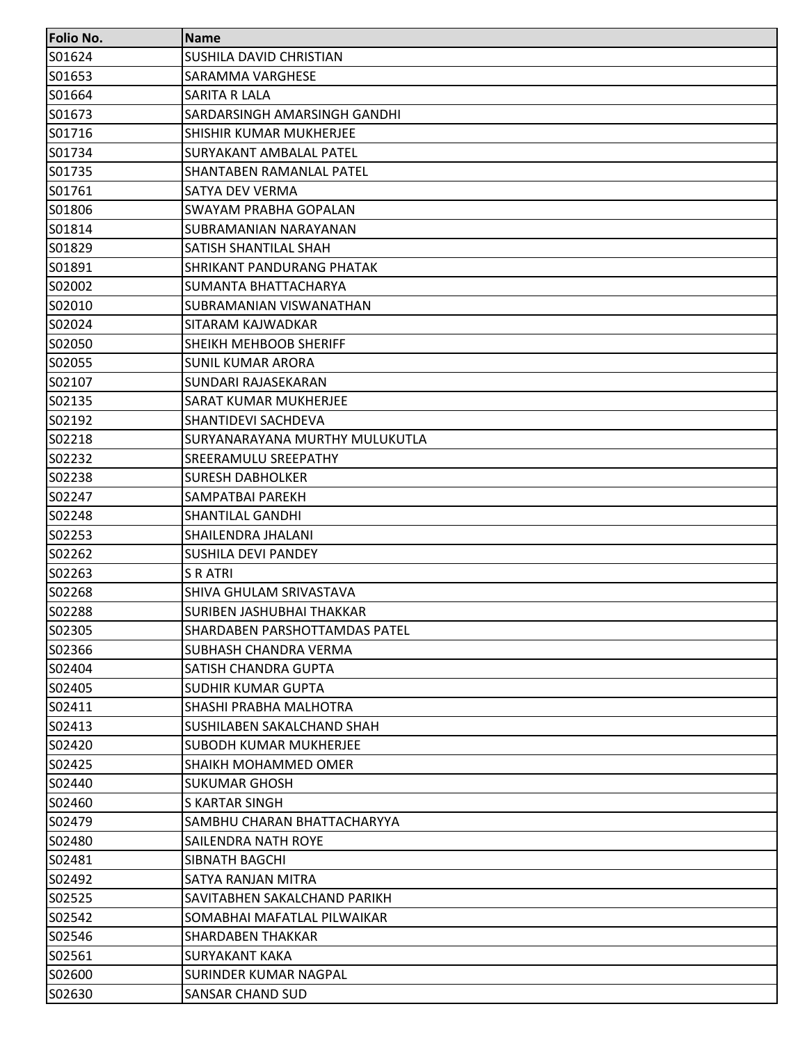| <b>Folio No.</b> | <b>Name</b>                          |
|------------------|--------------------------------------|
| S01624           | SUSHILA DAVID CHRISTIAN              |
| S01653           | SARAMMA VARGHESE                     |
| S01664           | SARITA R LALA                        |
| S01673           | SARDARSINGH AMARSINGH GANDHI         |
| S01716           | SHISHIR KUMAR MUKHERJEE              |
| S01734           | SURYAKANT AMBALAL PATEL              |
| S01735           | <b>SHANTABEN RAMANLAL PATEL</b>      |
| S01761           | SATYA DEV VERMA                      |
| S01806           | SWAYAM PRABHA GOPALAN                |
| S01814           | SUBRAMANIAN NARAYANAN                |
| S01829           | SATISH SHANTILAL SHAH                |
| S01891           | <b>SHRIKANT PANDURANG PHATAK</b>     |
| S02002           | SUMANTA BHATTACHARYA                 |
| S02010           | SUBRAMANIAN VISWANATHAN              |
| S02024           | SITARAM KAJWADKAR                    |
| S02050           | SHEIKH MEHBOOB SHERIFF               |
| S02055           | <b>SUNIL KUMAR ARORA</b>             |
| S02107           | SUNDARI RAJASEKARAN                  |
| S02135           | <b>SARAT KUMAR MUKHERJEE</b>         |
| S02192           | SHANTIDEVI SACHDEVA                  |
| S02218           | SURYANARAYANA MURTHY MULUKUTLA       |
| S02232           | SREERAMULU SREEPATHY                 |
| S02238           | <b>SURESH DABHOLKER</b>              |
| S02247           | SAMPATBAI PAREKH                     |
| S02248           | SHANTILAL GANDHI                     |
| S02253           | SHAILENDRA JHALANI                   |
| S02262           | <b>SUSHILA DEVI PANDEY</b>           |
| S02263           | S R ATRI                             |
| S02268           | SHIVA GHULAM SRIVASTAVA              |
| S02288           | SURIBEN JASHUBHAI THAKKAR            |
| S02305           | <b>SHARDABEN PARSHOTTAMDAS PATEL</b> |
| S02366           | SUBHASH CHANDRA VERMA                |
| S02404           | SATISH CHANDRA GUPTA                 |
| S02405           | <b>SUDHIR KUMAR GUPTA</b>            |
| S02411           | SHASHI PRABHA MALHOTRA               |
| S02413           | <b>SUSHILABEN SAKALCHAND SHAH</b>    |
| S02420           | <b>SUBODH KUMAR MUKHERJEE</b>        |
| S02425           | <b>SHAIKH MOHAMMED OMER</b>          |
| S02440           | <b>SUKUMAR GHOSH</b>                 |
| S02460           | S KARTAR SINGH                       |
| S02479           | SAMBHU CHARAN BHATTACHARYYA          |
| S02480           | SAILENDRA NATH ROYE                  |
| S02481           | SIBNATH BAGCHI                       |
| S02492           | SATYA RANJAN MITRA                   |
| S02525           | SAVITABHEN SAKALCHAND PARIKH         |
| S02542           | SOMABHAI MAFATLAL PILWAIKAR          |
| S02546           | SHARDABEN THAKKAR                    |
| S02561           | <b>SURYAKANT KAKA</b>                |
| S02600           | SURINDER KUMAR NAGPAL                |
| S02630           | SANSAR CHAND SUD                     |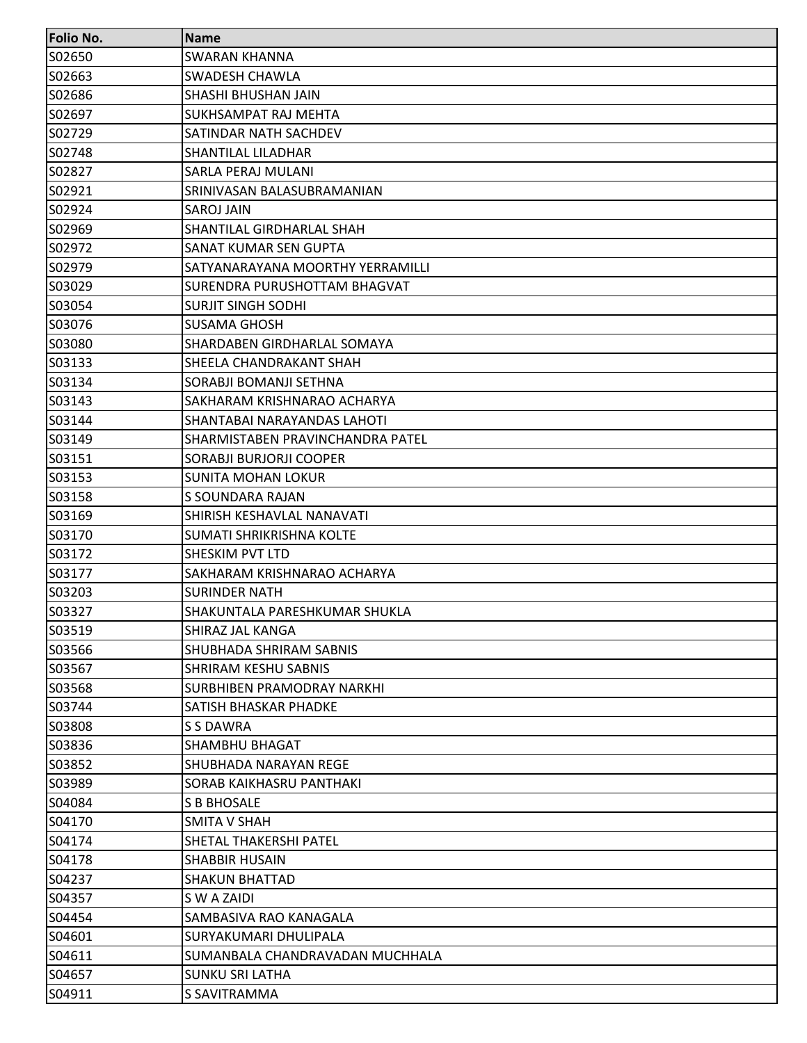| <b>Folio No.</b> | <b>Name</b>                      |
|------------------|----------------------------------|
| S02650           | <b>SWARAN KHANNA</b>             |
| S02663           | SWADESH CHAWLA                   |
| S02686           | SHASHI BHUSHAN JAIN              |
| S02697           | SUKHSAMPAT RAJ MEHTA             |
| S02729           | SATINDAR NATH SACHDEV            |
| S02748           | <b>SHANTILAL LILADHAR</b>        |
| S02827           | SARLA PERAJ MULANI               |
| S02921           | SRINIVASAN BALASUBRAMANIAN       |
| S02924           | <b>SAROJ JAIN</b>                |
| S02969           | SHANTILAL GIRDHARLAL SHAH        |
| S02972           | SANAT KUMAR SEN GUPTA            |
| S02979           | SATYANARAYANA MOORTHY YERRAMILLI |
| S03029           | SURENDRA PURUSHOTTAM BHAGVAT     |
| S03054           | <b>SURJIT SINGH SODHI</b>        |
| S03076           | <b>SUSAMA GHOSH</b>              |
| S03080           | SHARDABEN GIRDHARLAL SOMAYA      |
| S03133           | SHEELA CHANDRAKANT SHAH          |
| S03134           | SORABJI BOMANJI SETHNA           |
| S03143           | SAKHARAM KRISHNARAO ACHARYA      |
| S03144           | SHANTABAI NARAYANDAS LAHOTI      |
| S03149           | SHARMISTABEN PRAVINCHANDRA PATEL |
| S03151           | SORABJI BURJORJI COOPER          |
| S03153           | <b>SUNITA MOHAN LOKUR</b>        |
| S03158           | S SOUNDARA RAJAN                 |
| S03169           | SHIRISH KESHAVLAL NANAVATI       |
| S03170           | SUMATI SHRIKRISHNA KOLTE         |
| S03172           | SHESKIM PVT LTD                  |
| S03177           | SAKHARAM KRISHNARAO ACHARYA      |
| S03203           | <b>SURINDER NATH</b>             |
| S03327           | SHAKUNTALA PARESHKUMAR SHUKLA    |
| S03519           | <b>SHIRAZ JAL KANGA</b>          |
| S03566           | <b>SHUBHADA SHRIRAM SABNIS</b>   |
| S03567           | <b>SHRIRAM KESHU SABNIS</b>      |
| S03568           | SURBHIBEN PRAMODRAY NARKHI       |
| S03744           | SATISH BHASKAR PHADKE            |
| S03808           | <b>S S DAWRA</b>                 |
| S03836           | SHAMBHU BHAGAT                   |
| S03852           | SHUBHADA NARAYAN REGE            |
| S03989           | <b>SORAB KAIKHASRU PANTHAKI</b>  |
| S04084           | S B BHOSALE                      |
| S04170           | <b>SMITA V SHAH</b>              |
| S04174           | SHETAL THAKERSHI PATEL           |
| S04178           | <b>SHABBIR HUSAIN</b>            |
| S04237           | <b>SHAKUN BHATTAD</b>            |
| S04357           | S W A ZAIDI                      |
| S04454           | SAMBASIVA RAO KANAGALA           |
| S04601           | SURYAKUMARI DHULIPALA            |
| S04611           | SUMANBALA CHANDRAVADAN MUCHHALA  |
| S04657           | SUNKU SRI LATHA                  |
| S04911           | S SAVITRAMMA                     |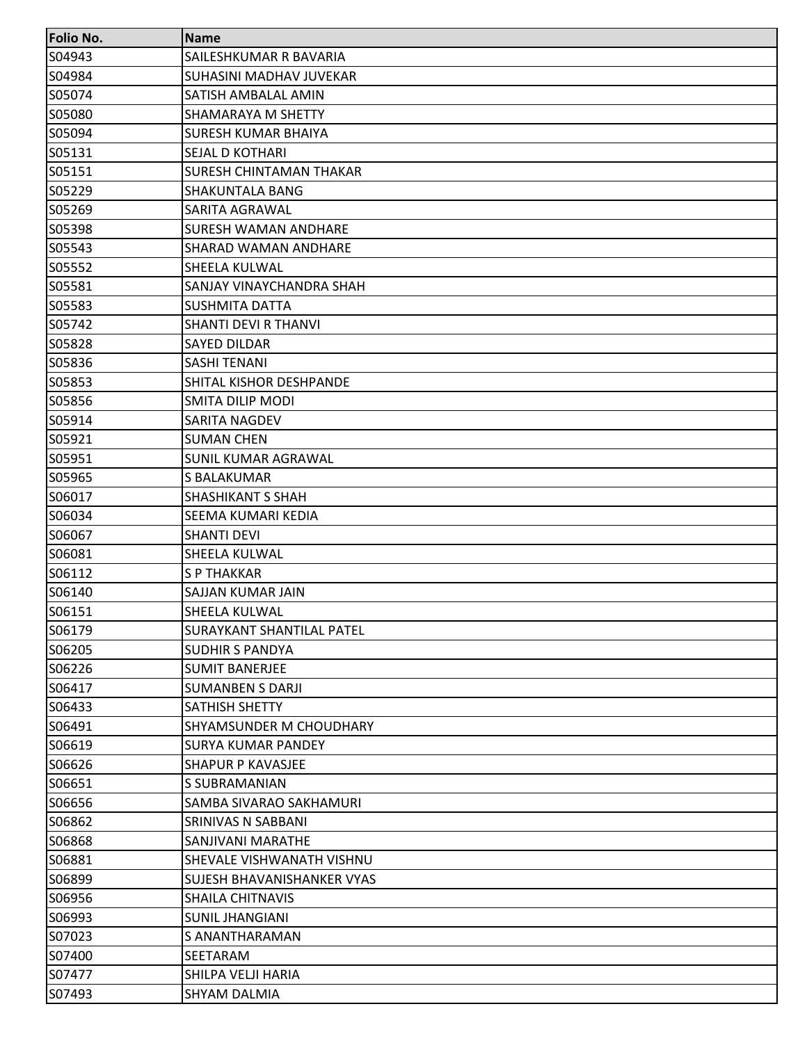| <b>Folio No.</b> | <b>Name</b>                       |
|------------------|-----------------------------------|
| S04943           | SAILESHKUMAR R BAVARIA            |
| S04984           | SUHASINI MADHAV JUVEKAR           |
| S05074           | SATISH AMBALAL AMIN               |
| S05080           | SHAMARAYA M SHETTY                |
| S05094           | <b>SURESH KUMAR BHAIYA</b>        |
| S05131           | <b>SEJAL D KOTHARI</b>            |
| S05151           | <b>SURESH CHINTAMAN THAKAR</b>    |
| S05229           | <b>SHAKUNTALA BANG</b>            |
| S05269           | SARITA AGRAWAL                    |
| S05398           | <b>SURESH WAMAN ANDHARE</b>       |
| S05543           | SHARAD WAMAN ANDHARE              |
| S05552           | <b>SHEELA KULWAL</b>              |
| S05581           | SANJAY VINAYCHANDRA SHAH          |
| S05583           | <b>SUSHMITA DATTA</b>             |
| S05742           | <b>SHANTI DEVI R THANVI</b>       |
| S05828           | <b>SAYED DILDAR</b>               |
| S05836           | <b>SASHI TENANI</b>               |
| S05853           | SHITAL KISHOR DESHPANDE           |
| S05856           | <b>SMITA DILIP MODI</b>           |
| S05914           | SARITA NAGDEV                     |
| S05921           | <b>SUMAN CHEN</b>                 |
| S05951           | <b>SUNIL KUMAR AGRAWAL</b>        |
| S05965           | S BALAKUMAR                       |
| S06017           | <b>SHASHIKANT S SHAH</b>          |
| S06034           | SEEMA KUMARI KEDIA                |
| S06067           | <b>SHANTI DEVI</b>                |
| S06081           | <b>SHEELA KULWAL</b>              |
| S06112           | <b>SP THAKKAR</b>                 |
| S06140           | SAJJAN KUMAR JAIN                 |
| S06151           | <b>SHEELA KULWAL</b>              |
| S06179           | <b>SURAYKANT SHANTILAL PATEL</b>  |
| S06205           | <b>SUDHIR S PANDYA</b>            |
| S06226           | <b>SUMIT BANERJEE</b>             |
| S06417           | <b>SUMANBEN S DARJI</b>           |
| S06433           | SATHISH SHETTY                    |
| S06491           | <b>SHYAMSUNDER M CHOUDHARY</b>    |
| S06619           | <b>SURYA KUMAR PANDEY</b>         |
| S06626           | <b>SHAPUR P KAVASJEE</b>          |
| S06651           | S SUBRAMANIAN                     |
| S06656           | SAMBA SIVARAO SAKHAMURI           |
| S06862           | <b>SRINIVAS N SABBANI</b>         |
| S06868           | <b>SANJIVANI MARATHE</b>          |
| S06881           | SHEVALE VISHWANATH VISHNU         |
| S06899           | <b>SUJESH BHAVANISHANKER VYAS</b> |
| S06956           | <b>SHAILA CHITNAVIS</b>           |
| S06993           | <b>SUNIL JHANGIANI</b>            |
| S07023           | <b>S ANANTHARAMAN</b>             |
| S07400           | SEETARAM                          |
| S07477           | SHILPA VELJI HARIA                |
| S07493           | <b>SHYAM DALMIA</b>               |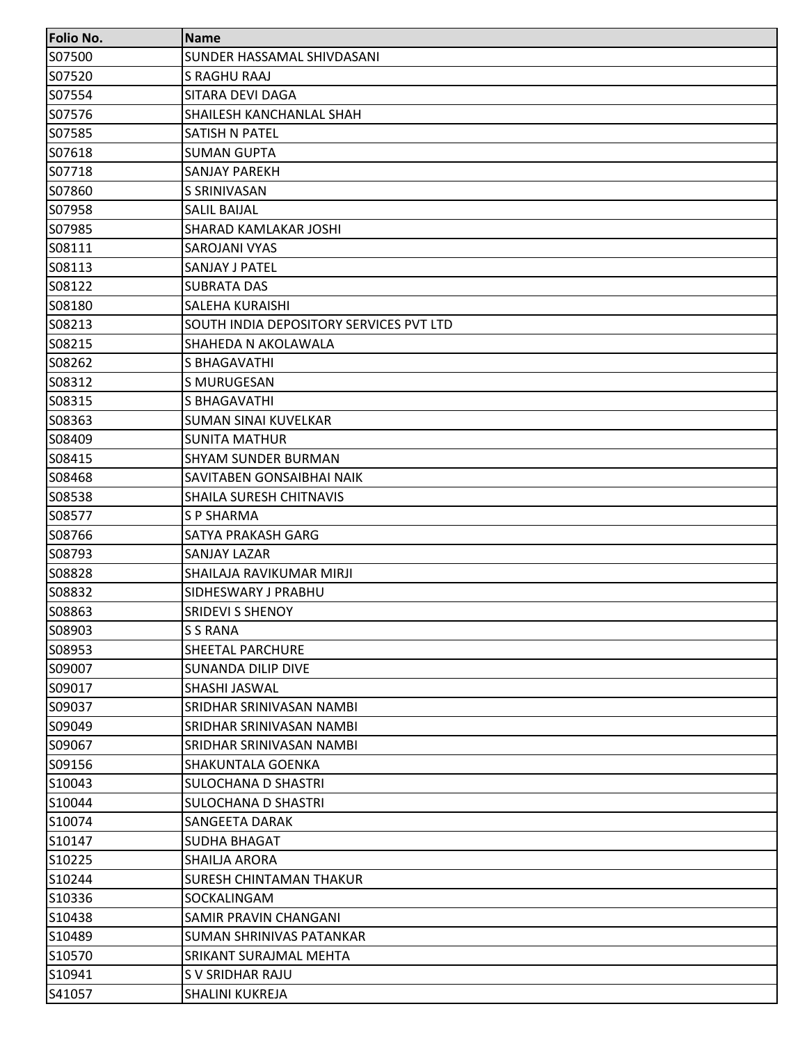| <b>Folio No.</b> | <b>Name</b>                             |
|------------------|-----------------------------------------|
| S07500           | <b>SUNDER HASSAMAL SHIVDASANI</b>       |
| S07520           | <b>S RAGHU RAAJ</b>                     |
| S07554           | SITARA DEVI DAGA                        |
| S07576           | SHAILESH KANCHANLAL SHAH                |
| S07585           | SATISH N PATEL                          |
| S07618           | <b>SUMAN GUPTA</b>                      |
| S07718           | <b>SANJAY PAREKH</b>                    |
| S07860           | S SRINIVASAN                            |
| S07958           | <b>SALIL BAIJAL</b>                     |
| S07985           | SHARAD KAMLAKAR JOSHI                   |
| S08111           | SAROJANI VYAS                           |
| S08113           | SANJAY J PATEL                          |
| S08122           | <b>SUBRATA DAS</b>                      |
| S08180           | <b>SALEHA KURAISHI</b>                  |
| S08213           | SOUTH INDIA DEPOSITORY SERVICES PVT LTD |
| S08215           | SHAHEDA N AKOLAWALA                     |
| S08262           | S BHAGAVATHI                            |
| S08312           | S MURUGESAN                             |
| S08315           | S BHAGAVATHI                            |
| S08363           | <b>SUMAN SINAI KUVELKAR</b>             |
| S08409           | <b>SUNITA MATHUR</b>                    |
| S08415           | <b>SHYAM SUNDER BURMAN</b>              |
| S08468           | SAVITABEN GONSAIBHAI NAIK               |
| S08538           | SHAILA SURESH CHITNAVIS                 |
| S08577           | <b>SP SHARMA</b>                        |
| S08766           | <b>SATYA PRAKASH GARG</b>               |
| S08793           | <b>SANJAY LAZAR</b>                     |
| S08828           | SHAILAJA RAVIKUMAR MIRJI                |
| S08832           | SIDHESWARY J PRABHU                     |
| S08863           | <b>SRIDEVI S SHENOY</b>                 |
| S08903           | <b>S S RANA</b>                         |
| S08953           | <b>SHEETAL PARCHURE</b>                 |
| S09007           | <b>SUNANDA DILIP DIVE</b>               |
| S09017           | SHASHI JASWAL                           |
| S09037           | SRIDHAR SRINIVASAN NAMBI                |
| S09049           | <b>SRIDHAR SRINIVASAN NAMBI</b>         |
| S09067           | SRIDHAR SRINIVASAN NAMBI                |
| S09156           | <b>SHAKUNTALA GOENKA</b>                |
| S10043           | <b>SULOCHANA D SHASTRI</b>              |
| S10044           | SULOCHANA D SHASTRI                     |
| S10074           | SANGEETA DARAK                          |
| S10147           | <b>SUDHA BHAGAT</b>                     |
| S10225           | SHAILJA ARORA                           |
| S10244           | <b>SURESH CHINTAMAN THAKUR</b>          |
| S10336           | SOCKALINGAM                             |
| S10438           | SAMIR PRAVIN CHANGANI                   |
| S10489           | SUMAN SHRINIVAS PATANKAR                |
| S10570           | SRIKANT SURAJMAL MEHTA                  |
| S10941           | S V SRIDHAR RAJU                        |
| S41057           | <b>SHALINI KUKREJA</b>                  |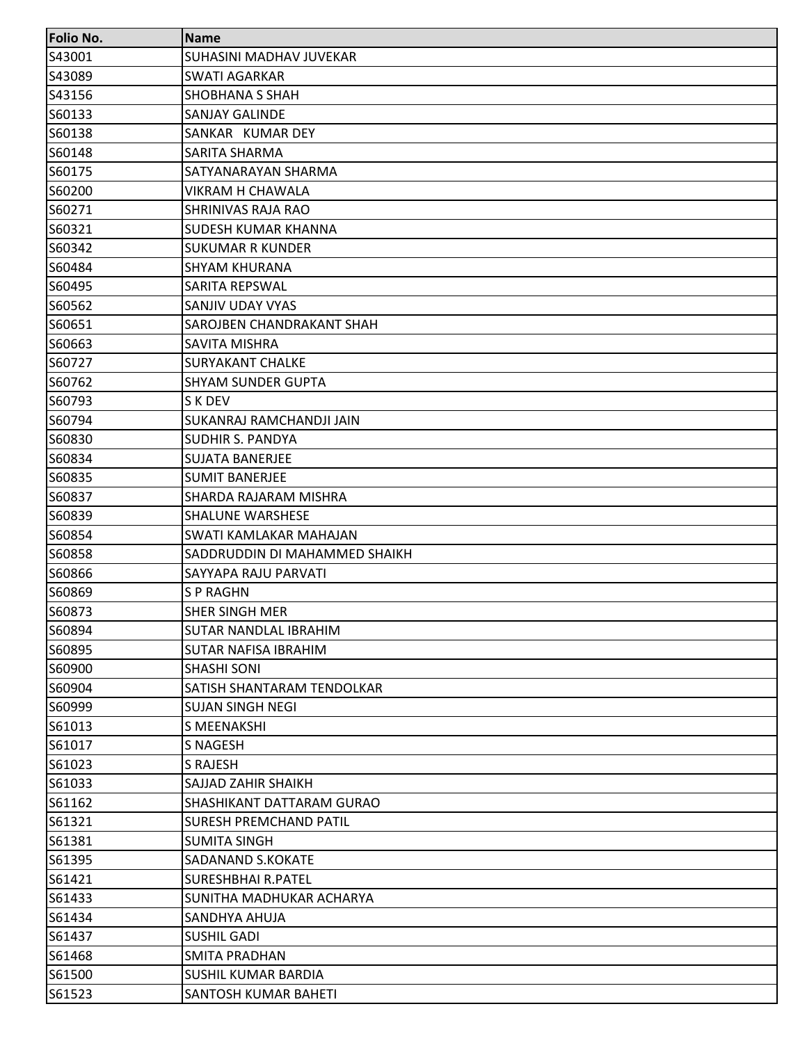| <b>Folio No.</b> | <b>Name</b>                      |
|------------------|----------------------------------|
| S43001           | <b>SUHASINI MADHAV JUVEKAR</b>   |
| S43089           | <b>SWATI AGARKAR</b>             |
| S43156           | SHOBHANA S SHAH                  |
| S60133           | SANJAY GALINDE                   |
| S60138           | SANKAR KUMAR DEY                 |
| S60148           | SARITA SHARMA                    |
| S60175           | SATYANARAYAN SHARMA              |
| S60200           | <b>VIKRAM H CHAWALA</b>          |
| S60271           | <b>SHRINIVAS RAJA RAO</b>        |
| S60321           | <b>SUDESH KUMAR KHANNA</b>       |
| S60342           | <b>SUKUMAR R KUNDER</b>          |
| S60484           | <b>SHYAM KHURANA</b>             |
| S60495           | SARITA REPSWAL                   |
| S60562           | SANJIV UDAY VYAS                 |
| S60651           | SAROJBEN CHANDRAKANT SHAH        |
| S60663           | <b>SAVITA MISHRA</b>             |
| S60727           | <b>SURYAKANT CHALKE</b>          |
| S60762           | <b>SHYAM SUNDER GUPTA</b>        |
| S60793           | S K DEV                          |
| S60794           | SUKANRAJ RAMCHANDJI JAIN         |
| S60830           | <b>SUDHIR S. PANDYA</b>          |
| S60834           | <b>SUJATA BANERJEE</b>           |
| S60835           | <b>SUMIT BANERJEE</b>            |
| S60837           | SHARDA RAJARAM MISHRA            |
| S60839           | <b>SHALUNE WARSHESE</b>          |
| S60854           | SWATI KAMLAKAR MAHAJAN           |
| S60858           | SADDRUDDIN DI MAHAMMED SHAIKH    |
| S60866           | SAYYAPA RAJU PARVATI             |
| S60869           | <b>SP RAGHN</b>                  |
| S60873           | <b>SHER SINGH MER</b>            |
| S60894           | <b>SUTAR NANDLAL IBRAHIM</b>     |
| S60895           | <b>SUTAR NAFISA IBRAHIM</b>      |
| S60900           | <b>SHASHI SONI</b>               |
| S60904           | SATISH SHANTARAM TENDOLKAR       |
| S60999           | <b>SUJAN SINGH NEGI</b>          |
| S61013           | S MEENAKSHI                      |
| S61017           | S NAGESH                         |
| S61023           | S RAJESH                         |
| S61033           | SAJJAD ZAHIR SHAIKH              |
| S61162           | <b>SHASHIKANT DATTARAM GURAO</b> |
| S61321           | <b>SURESH PREMCHAND PATIL</b>    |
| S61381           | <b>SUMITA SINGH</b>              |
| S61395           | SADANAND S.KOKATE                |
| S61421           | <b>SURESHBHAI R.PATEL</b>        |
| S61433           | SUNITHA MADHUKAR ACHARYA         |
| S61434           | SANDHYA AHUJA                    |
| S61437           | <b>SUSHIL GADI</b>               |
| S61468           | <b>SMITA PRADHAN</b>             |
| S61500           | SUSHIL KUMAR BARDIA              |
| S61523           | SANTOSH KUMAR BAHETI             |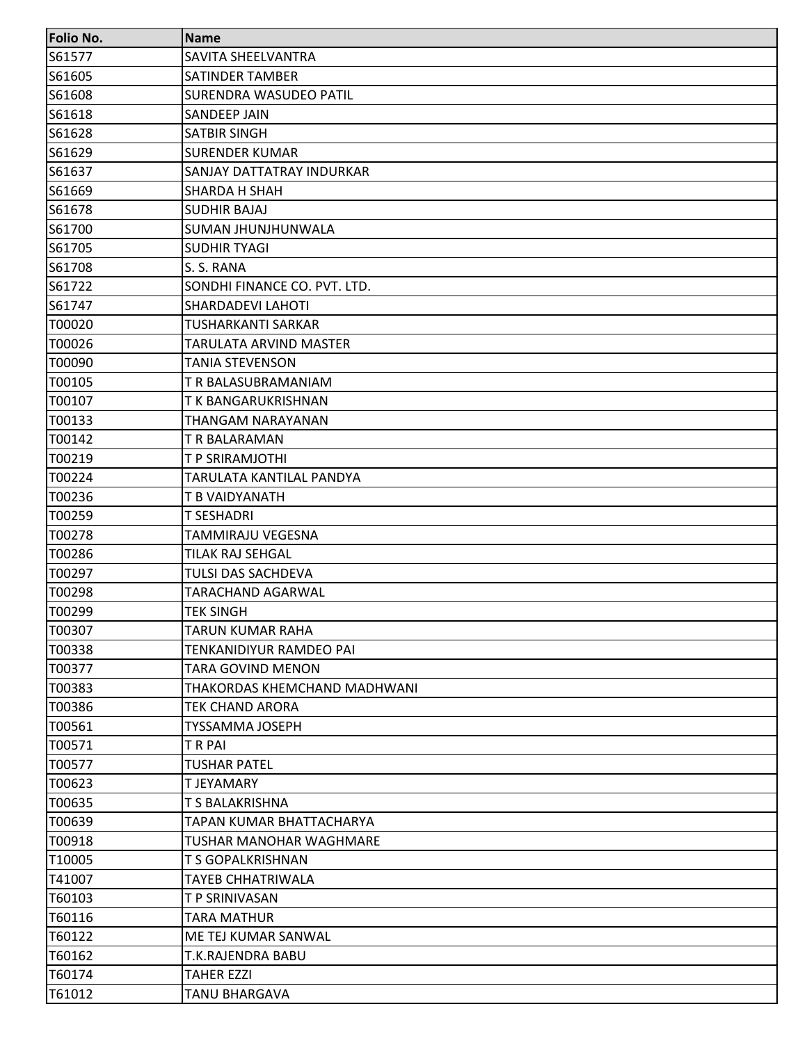| <b>Folio No.</b> | <b>Name</b>                  |
|------------------|------------------------------|
| S61577           | SAVITA SHEELVANTRA           |
| S61605           | SATINDER TAMBER              |
| S61608           | SURENDRA WASUDEO PATIL       |
| S61618           | SANDEEP JAIN                 |
| S61628           | SATBIR SINGH                 |
| S61629           | <b>SURENDER KUMAR</b>        |
| S61637           | SANJAY DATTATRAY INDURKAR    |
| S61669           | <b>SHARDA H SHAH</b>         |
| S61678           | <b>SUDHIR BAJAJ</b>          |
| S61700           | SUMAN JHUNJHUNWALA           |
| S61705           | <b>SUDHIR TYAGI</b>          |
| S61708           | S. S. RANA                   |
| S61722           | SONDHI FINANCE CO. PVT. LTD. |
| S61747           | <b>SHARDADEVI LAHOTI</b>     |
| T00020           | <b>TUSHARKANTI SARKAR</b>    |
| T00026           | TARULATA ARVIND MASTER       |
| T00090           | <b>TANIA STEVENSON</b>       |
| T00105           | T R BALASUBRAMANIAM          |
| T00107           | T K BANGARUKRISHNAN          |
| T00133           | THANGAM NARAYANAN            |
| T00142           | T R BALARAMAN                |
| T00219           | T P SRIRAMJOTHI              |
| T00224           | TARULATA KANTILAL PANDYA     |
| T00236           | T B VAIDYANATH               |
| T00259           | T SESHADRI                   |
| T00278           | TAMMIRAJU VEGESNA            |
| T00286           | <b>TILAK RAJ SEHGAL</b>      |
| T00297           | TULSI DAS SACHDEVA           |
| T00298           | <b>TARACHAND AGARWAL</b>     |
| T00299           | <b>TEK SINGH</b>             |
| T00307           | TARUN KUMAR RAHA             |
| T00338           | TENKANIDIYUR RAMDEO PAI      |
| T00377           | TARA GOVIND MENON            |
| T00383           | THAKORDAS KHEMCHAND MADHWANI |
| T00386           | TEK CHAND ARORA              |
| T00561           | <b>TYSSAMMA JOSEPH</b>       |
| T00571           | <b>TRPAI</b>                 |
| T00577           | <b>TUSHAR PATEL</b>          |
| T00623           | <b>T JEYAMARY</b>            |
| T00635           | T S BALAKRISHNA              |
| T00639           | TAPAN KUMAR BHATTACHARYA     |
| T00918           | TUSHAR MANOHAR WAGHMARE      |
| T10005           | T S GOPALKRISHNAN            |
| T41007           | TAYEB CHHATRIWALA            |
| T60103           | T P SRINIVASAN               |
| T60116           | <b>TARA MATHUR</b>           |
| T60122           | ME TEJ KUMAR SANWAL          |
| T60162           | T.K.RAJENDRA BABU            |
| T60174           | <b>TAHER EZZI</b>            |
| T61012           | <b>TANU BHARGAVA</b>         |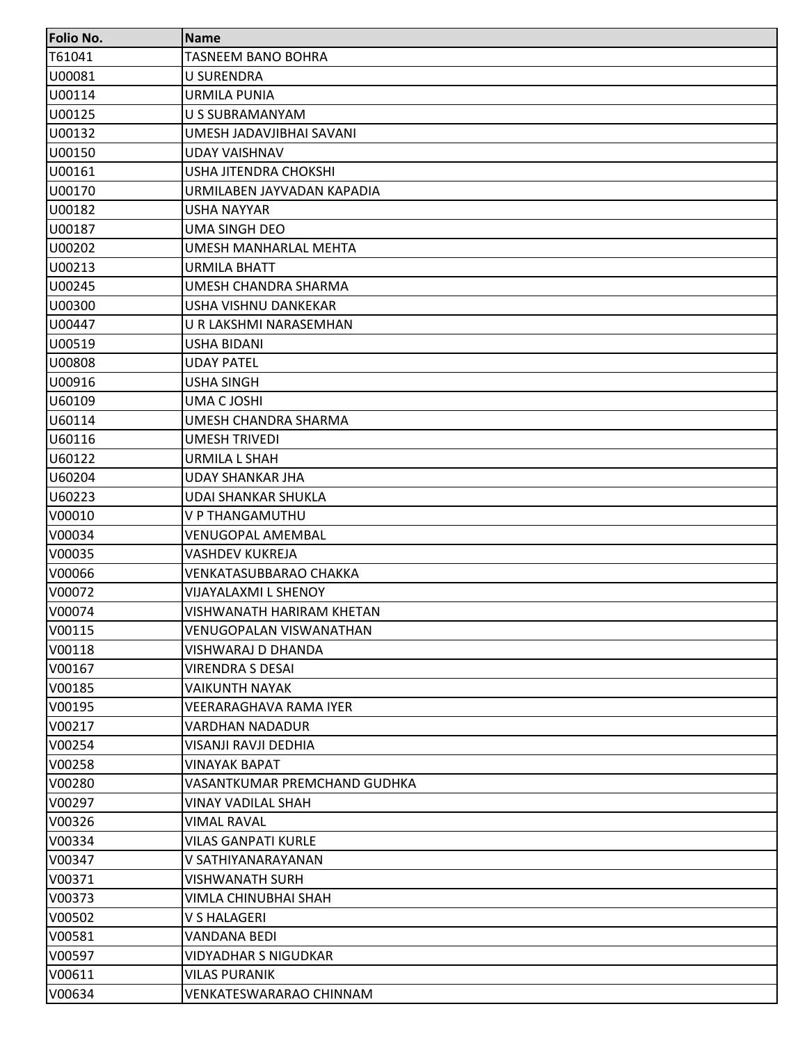| Folio No. | <b>Name</b>                    |
|-----------|--------------------------------|
| T61041    | <b>TASNEEM BANO BOHRA</b>      |
| U00081    | <b>U SURENDRA</b>              |
| U00114    | <b>URMILA PUNIA</b>            |
| U00125    | U S SUBRAMANYAM                |
| U00132    | UMESH JADAVJIBHAI SAVANI       |
| U00150    | UDAY VAISHNAV                  |
| U00161    | USHA JITENDRA CHOKSHI          |
| U00170    | URMILABEN JAYVADAN KAPADIA     |
| U00182    | <b>USHA NAYYAR</b>             |
| U00187    | <b>UMA SINGH DEO</b>           |
| U00202    | UMESH MANHARLAL MEHTA          |
| U00213    | <b>URMILA BHATT</b>            |
| U00245    | UMESH CHANDRA SHARMA           |
| U00300    | <b>USHA VISHNU DANKEKAR</b>    |
| U00447    | U R LAKSHMI NARASEMHAN         |
| U00519    | USHA BIDANI                    |
| U00808    | <b>UDAY PATEL</b>              |
| U00916    | <b>USHA SINGH</b>              |
| U60109    | UMA C JOSHI                    |
| U60114    | UMESH CHANDRA SHARMA           |
| U60116    | <b>UMESH TRIVEDI</b>           |
| U60122    | <b>URMILA L SHAH</b>           |
| U60204    | <b>UDAY SHANKAR JHA</b>        |
| U60223    | UDAI SHANKAR SHUKLA            |
| V00010    | V P THANGAMUTHU                |
| V00034    | <b>VENUGOPAL AMEMBAL</b>       |
| V00035    | <b>VASHDEV KUKREJA</b>         |
| V00066    | VENKATASUBBARAO CHAKKA         |
| V00072    | <b>VIJAYALAXMI L SHENOY</b>    |
| V00074    | VISHWANATH HARIRAM KHETAN      |
| V00115    | <b>VENUGOPALAN VISWANATHAN</b> |
| V00118    | VISHWARAJ D DHANDA             |
| V00167    | <b>VIRENDRA S DESAI</b>        |
| V00185    | <b>VAIKUNTH NAYAK</b>          |
| V00195    | VEERARAGHAVA RAMA IYER         |
| V00217    | <b>VARDHAN NADADUR</b>         |
| V00254    | VISANJI RAVJI DEDHIA           |
| V00258    | <b>VINAYAK BAPAT</b>           |
| V00280    | VASANTKUMAR PREMCHAND GUDHKA   |
| V00297    | VINAY VADILAL SHAH             |
| V00326    | <b>VIMAL RAVAL</b>             |
| V00334    | <b>VILAS GANPATI KURLE</b>     |
| V00347    | V SATHIYANARAYANAN             |
| V00371    | <b>VISHWANATH SURH</b>         |
| V00373    | VIMLA CHINUBHAI SHAH           |
| V00502    | <b>V S HALAGERI</b>            |
| V00581    | <b>VANDANA BEDI</b>            |
| V00597    | <b>VIDYADHAR S NIGUDKAR</b>    |
| V00611    | <b>VILAS PURANIK</b>           |
| V00634    | <b>VENKATESWARARAO CHINNAM</b> |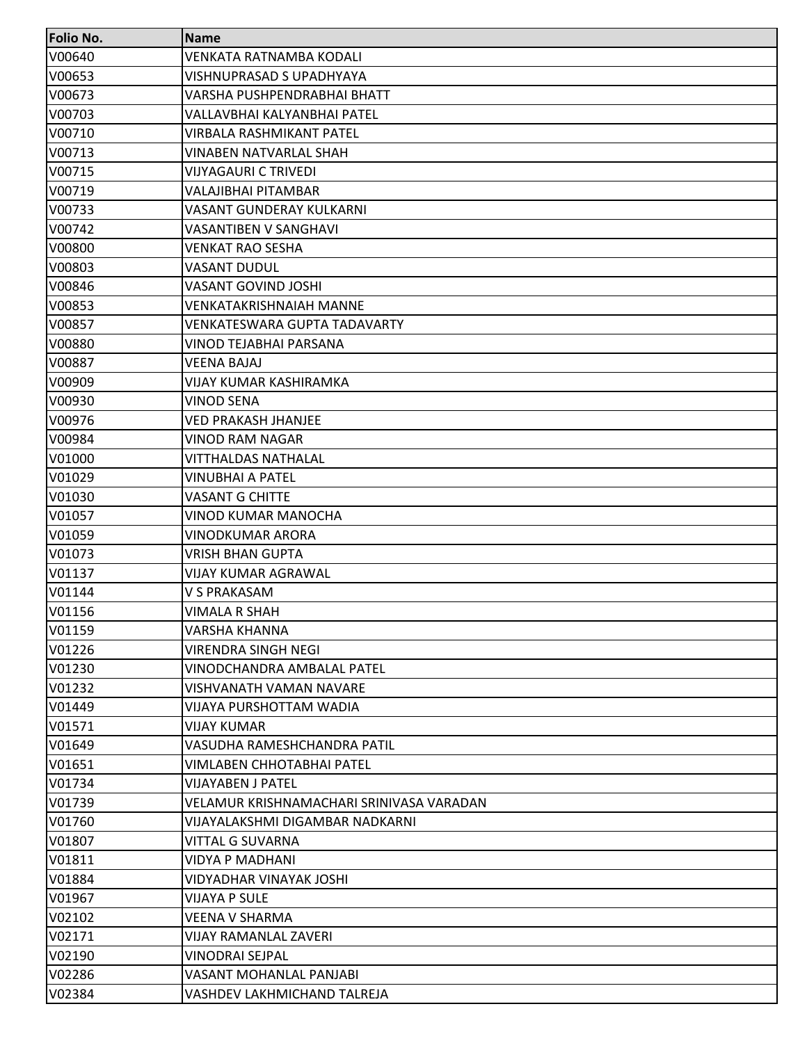| <b>Folio No.</b> | <b>Name</b>                              |
|------------------|------------------------------------------|
| V00640           | VENKATA RATNAMBA KODALI                  |
| V00653           | <b>VISHNUPRASAD S UPADHYAYA</b>          |
| V00673           | VARSHA PUSHPENDRABHAI BHATT              |
| V00703           | VALLAVBHAI KALYANBHAI PATEL              |
| V00710           | <b>VIRBALA RASHMIKANT PATEL</b>          |
| V00713           | VINABEN NATVARLAL SHAH                   |
| V00715           | <b>VIJYAGAURI C TRIVEDI</b>              |
| V00719           | <b>VALAJIBHAI PITAMBAR</b>               |
| V00733           | VASANT GUNDERAY KULKARNI                 |
| V00742           | <b>VASANTIBEN V SANGHAVI</b>             |
| V00800           | VENKAT RAO SESHA                         |
| V00803           | <b>VASANT DUDUL</b>                      |
| V00846           | <b>VASANT GOVIND JOSHI</b>               |
| V00853           | VENKATAKRISHNAIAH MANNE                  |
| V00857           | VENKATESWARA GUPTA TADAVARTY             |
| V00880           | VINOD TEJABHAI PARSANA                   |
| V00887           | <b>VEENA BAJAJ</b>                       |
| V00909           | VIJAY KUMAR KASHIRAMKA                   |
| V00930           | <b>VINOD SENA</b>                        |
| V00976           | <b>VED PRAKASH JHANJEE</b>               |
| V00984           | VINOD RAM NAGAR                          |
| V01000           | <b>VITTHALDAS NATHALAL</b>               |
| V01029           | <b>VINUBHAI A PATEL</b>                  |
| V01030           | <b>VASANT G CHITTE</b>                   |
| V01057           | VINOD KUMAR MANOCHA                      |
| V01059           | <b>VINODKUMAR ARORA</b>                  |
| V01073           | <b>VRISH BHAN GUPTA</b>                  |
| V01137           | <b>VIJAY KUMAR AGRAWAL</b>               |
| V01144           | <b>V S PRAKASAM</b>                      |
| V01156           | VIMALA R SHAH                            |
| V01159           | <b>VARSHA KHANNA</b>                     |
| V01226           | <b>VIRENDRA SINGH NEGI</b>               |
| V01230           | VINODCHANDRA AMBALAL PATEL               |
| V01232           | <b>VISHVANATH VAMAN NAVARE</b>           |
| V01449           | VIJAYA PURSHOTTAM WADIA                  |
| V01571           | <b>VIJAY KUMAR</b>                       |
| V01649           | VASUDHA RAMESHCHANDRA PATIL              |
| V01651           | <b>VIMLABEN CHHOTABHAI PATEL</b>         |
| V01734           | <b>VIJAYABEN J PATEL</b>                 |
| V01739           | VELAMUR KRISHNAMACHARI SRINIVASA VARADAN |
| V01760           | VIJAYALAKSHMI DIGAMBAR NADKARNI          |
| V01807           | VITTAL G SUVARNA                         |
| V01811           | <b>VIDYA P MADHANI</b>                   |
| V01884           | VIDYADHAR VINAYAK JOSHI                  |
| V01967           | VIJAYA P SULE                            |
| V02102           | <b>VEENA V SHARMA</b>                    |
| V02171           | VIJAY RAMANLAL ZAVERI                    |
| V02190           | <b>VINODRAI SEJPAL</b>                   |
| V02286           | VASANT MOHANLAL PANJABI                  |
| V02384           | VASHDEV LAKHMICHAND TALREJA              |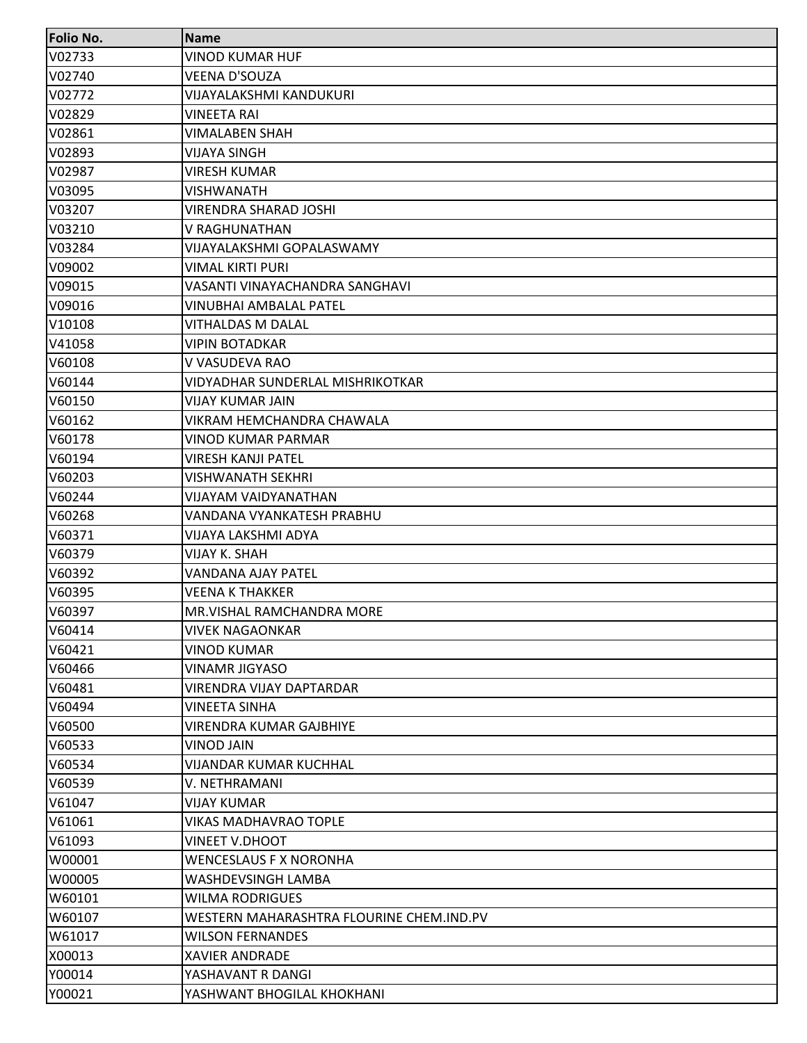| <b>Folio No.</b> | <b>Name</b>                              |
|------------------|------------------------------------------|
| V02733           | <b>VINOD KUMAR HUF</b>                   |
| V02740           | <b>VEENA D'SOUZA</b>                     |
| V02772           | <b>VIJAYALAKSHMI KANDUKURI</b>           |
| V02829           | <b>VINEETA RAI</b>                       |
| V02861           | <b>VIMALABEN SHAH</b>                    |
| V02893           | VIJAYA SINGH                             |
| V02987           | <b>VIRESH KUMAR</b>                      |
| V03095           | <b>VISHWANATH</b>                        |
| V03207           | VIRENDRA SHARAD JOSHI                    |
| V03210           | V RAGHUNATHAN                            |
| V03284           | VIJAYALAKSHMI GOPALASWAMY                |
| V09002           | <b>VIMAL KIRTI PURI</b>                  |
| V09015           | VASANTI VINAYACHANDRA SANGHAVI           |
| V09016           | <b>VINUBHAI AMBALAL PATEL</b>            |
| V10108           | VITHALDAS M DALAL                        |
| V41058           | <b>VIPIN BOTADKAR</b>                    |
| V60108           | V VASUDEVA RAO                           |
| V60144           | VIDYADHAR SUNDERLAL MISHRIKOTKAR         |
| V60150           | <b>VIJAY KUMAR JAIN</b>                  |
| V60162           | VIKRAM HEMCHANDRA CHAWALA                |
| V60178           | VINOD KUMAR PARMAR                       |
| V60194           | <b>VIRESH KANJI PATEL</b>                |
| V60203           | <b>VISHWANATH SEKHRI</b>                 |
| V60244           | VIJAYAM VAIDYANATHAN                     |
| V60268           | VANDANA VYANKATESH PRABHU                |
| V60371           | VIJAYA LAKSHMI ADYA                      |
| V60379           | <b>VIJAY K. SHAH</b>                     |
| V60392           | VANDANA AJAY PATEL                       |
| V60395           | <b>VEENA K THAKKER</b>                   |
| V60397           | MR. VISHAL RAMCHANDRA MORE               |
| V60414           | <b>VIVEK NAGAONKAR</b>                   |
| V60421           | VINOD KUMAR                              |
| V60466           | <b>VINAMR JIGYASO</b>                    |
| V60481           | <b>VIRENDRA VIJAY DAPTARDAR</b>          |
| V60494           | <b>VINEETA SINHA</b>                     |
| V60500           | <b>VIRENDRA KUMAR GAJBHIYE</b>           |
| V60533           | <b>VINOD JAIN</b>                        |
| V60534           | <b>VIJANDAR KUMAR KUCHHAL</b>            |
| V60539           | V. NETHRAMANI                            |
| V61047           | VIJAY KUMAR                              |
| V61061           | <b>VIKAS MADHAVRAO TOPLE</b>             |
| V61093           | <b>VINEET V.DHOOT</b>                    |
| W00001           | <b>WENCESLAUS F X NORONHA</b>            |
| W00005           | WASHDEVSINGH LAMBA                       |
| W60101           | <b>WILMA RODRIGUES</b>                   |
| W60107           | WESTERN MAHARASHTRA FLOURINE CHEM.IND.PV |
| W61017           | <b>WILSON FERNANDES</b>                  |
| X00013           | <b>XAVIER ANDRADE</b>                    |
| Y00014           | YASHAVANT R DANGI                        |
| Y00021           | YASHWANT BHOGILAL KHOKHANI               |